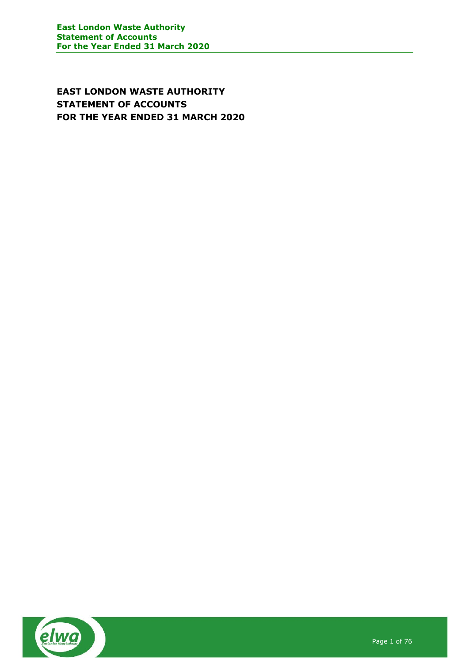EAST LONDON WASTE AUTHORITY STATEMENT OF ACCOUNTS FOR THE YEAR ENDED 31 MARCH 2020

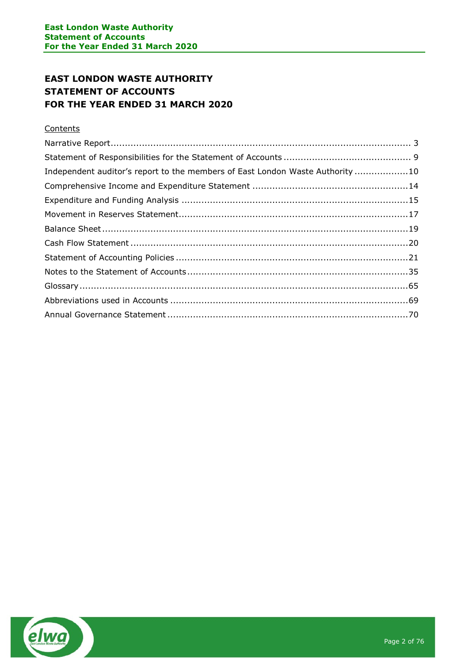# EAST LONDON WASTE AUTHORITY STATEMENT OF ACCOUNTS FOR THE YEAR ENDED 31 MARCH 2020

# **Contents**

| Independent auditor's report to the members of East London Waste Authority10 |
|------------------------------------------------------------------------------|
|                                                                              |
|                                                                              |
|                                                                              |
|                                                                              |
|                                                                              |
|                                                                              |
|                                                                              |
|                                                                              |
|                                                                              |
|                                                                              |
|                                                                              |

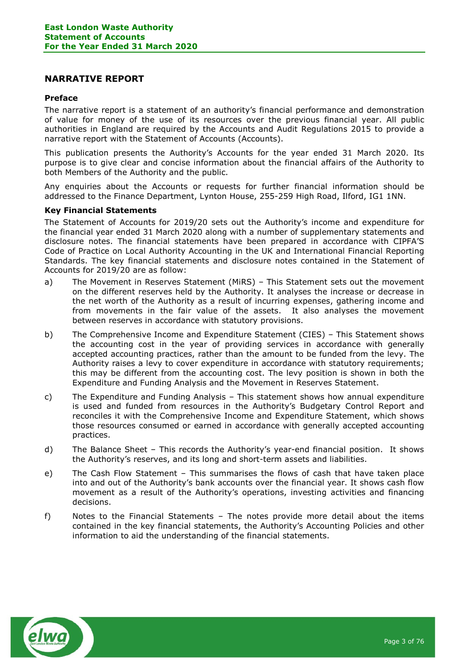## NARRATIVE REPORT

#### Preface

The narrative report is a statement of an authority's financial performance and demonstration of value for money of the use of its resources over the previous financial year. All public authorities in England are required by the Accounts and Audit Regulations 2015 to provide a narrative report with the Statement of Accounts (Accounts).

This publication presents the Authority's Accounts for the year ended 31 March 2020. Its purpose is to give clear and concise information about the financial affairs of the Authority to both Members of the Authority and the public.

Any enquiries about the Accounts or requests for further financial information should be addressed to the Finance Department, Lynton House, 255-259 High Road, Ilford, IG1 1NN.

#### Key Financial Statements

The Statement of Accounts for 2019/20 sets out the Authority's income and expenditure for the financial year ended 31 March 2020 along with a number of supplementary statements and disclosure notes. The financial statements have been prepared in accordance with CIPFA'S Code of Practice on Local Authority Accounting in the UK and International Financial Reporting Standards. The key financial statements and disclosure notes contained in the Statement of Accounts for 2019/20 are as follow:

- a) The Movement in Reserves Statement (MiRS) This Statement sets out the movement on the different reserves held by the Authority. It analyses the increase or decrease in the net worth of the Authority as a result of incurring expenses, gathering income and from movements in the fair value of the assets. It also analyses the movement between reserves in accordance with statutory provisions.
- b) The Comprehensive Income and Expenditure Statement (CIES) This Statement shows the accounting cost in the year of providing services in accordance with generally accepted accounting practices, rather than the amount to be funded from the levy. The Authority raises a levy to cover expenditure in accordance with statutory requirements; this may be different from the accounting cost. The levy position is shown in both the Expenditure and Funding Analysis and the Movement in Reserves Statement.
- c) The Expenditure and Funding Analysis This statement shows how annual expenditure is used and funded from resources in the Authority's Budgetary Control Report and reconciles it with the Comprehensive Income and Expenditure Statement, which shows those resources consumed or earned in accordance with generally accepted accounting practices.
- d) The Balance Sheet This records the Authority's year-end financial position. It shows the Authority's reserves, and its long and short-term assets and liabilities.
- e) The Cash Flow Statement This summarises the flows of cash that have taken place into and out of the Authority's bank accounts over the financial year. It shows cash flow movement as a result of the Authority's operations, investing activities and financing decisions.
- f) Notes to the Financial Statements The notes provide more detail about the items contained in the key financial statements, the Authority's Accounting Policies and other information to aid the understanding of the financial statements.

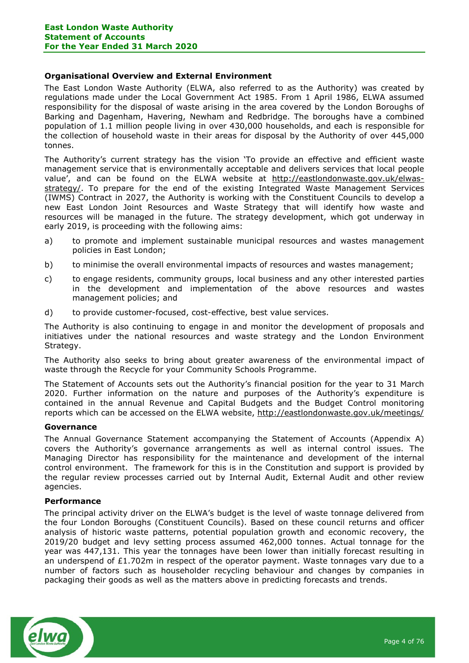## Organisational Overview and External Environment

The East London Waste Authority (ELWA, also referred to as the Authority) was created by regulations made under the Local Government Act 1985. From 1 April 1986, ELWA assumed responsibility for the disposal of waste arising in the area covered by the London Boroughs of Barking and Dagenham, Havering, Newham and Redbridge. The boroughs have a combined population of 1.1 million people living in over 430,000 households, and each is responsible for the collection of household waste in their areas for disposal by the Authority of over 445,000 tonnes.

The Authority's current strategy has the vision 'To provide an effective and efficient waste management service that is environmentally acceptable and delivers services that local people value', and can be found on the ELWA website at http://eastlondonwaste.gov.uk/elwasstrategy/. To prepare for the end of the existing Integrated Waste Management Services (IWMS) Contract in 2027, the Authority is working with the Constituent Councils to develop a new East London Joint Resources and Waste Strategy that will identify how waste and resources will be managed in the future. The strategy development, which got underway in early 2019, is proceeding with the following aims:

- a) to promote and implement sustainable municipal resources and wastes management policies in East London;
- b) to minimise the overall environmental impacts of resources and wastes management;
- c) to engage residents, community groups, local business and any other interested parties in the development and implementation of the above resources and wastes management policies; and
- d) to provide customer-focused, cost-effective, best value services.

The Authority is also continuing to engage in and monitor the development of proposals and initiatives under the national resources and waste strategy and the London Environment Strategy.

The Authority also seeks to bring about greater awareness of the environmental impact of waste through the Recycle for your Community Schools Programme.

The Statement of Accounts sets out the Authority's financial position for the year to 31 March 2020. Further information on the nature and purposes of the Authority's expenditure is contained in the annual Revenue and Capital Budgets and the Budget Control monitoring reports which can be accessed on the ELWA website, http://eastlondonwaste.gov.uk/meetings/

## Governance

The Annual Governance Statement accompanying the Statement of Accounts (Appendix A) covers the Authority's governance arrangements as well as internal control issues. The Managing Director has responsibility for the maintenance and development of the internal control environment. The framework for this is in the Constitution and support is provided by the regular review processes carried out by Internal Audit, External Audit and other review agencies.

## Performance

The principal activity driver on the ELWA's budget is the level of waste tonnage delivered from the four London Boroughs (Constituent Councils). Based on these council returns and officer analysis of historic waste patterns, potential population growth and economic recovery, the 2019/20 budget and levy setting process assumed 462,000 tonnes. Actual tonnage for the year was 447,131. This year the tonnages have been lower than initially forecast resulting in an underspend of  $£1.702m$  in respect of the operator payment. Waste tonnages vary due to a number of factors such as householder recycling behaviour and changes by companies in packaging their goods as well as the matters above in predicting forecasts and trends.

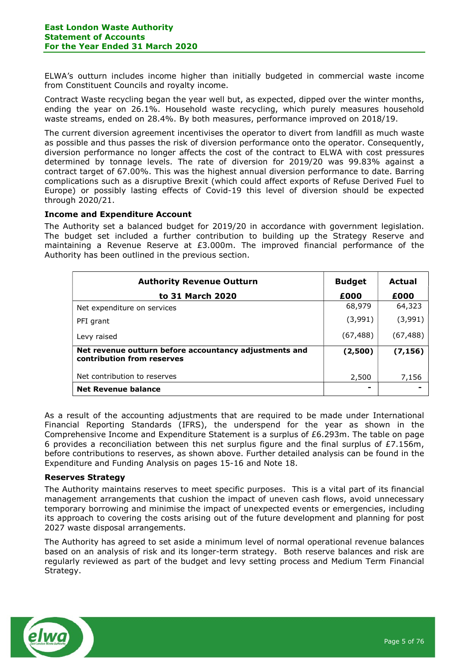ELWA's outturn includes income higher than initially budgeted in commercial waste income from Constituent Councils and royalty income.

Contract Waste recycling began the year well but, as expected, dipped over the winter months, ending the year on 26.1%. Household waste recycling, which purely measures household waste streams, ended on 28.4%. By both measures, performance improved on 2018/19.

The current diversion agreement incentivises the operator to divert from landfill as much waste as possible and thus passes the risk of diversion performance onto the operator. Consequently, diversion performance no longer affects the cost of the contract to ELWA with cost pressures determined by tonnage levels. The rate of diversion for 2019/20 was 99.83% against a contract target of 67.00%. This was the highest annual diversion performance to date. Barring complications such as a disruptive Brexit (which could affect exports of Refuse Derived Fuel to Europe) or possibly lasting effects of Covid-19 this level of diversion should be expected through 2020/21.

## Income and Expenditure Account

The Authority set a balanced budget for 2019/20 in accordance with government legislation. The budget set included a further contribution to building up the Strategy Reserve and maintaining a Revenue Reserve at £3.000m. The improved financial performance of the Authority has been outlined in the previous section.

| <b>Authority Revenue Outturn</b>                                                     | <b>Budget</b> | Actual    |
|--------------------------------------------------------------------------------------|---------------|-----------|
| to 31 March 2020                                                                     | £000          | £000      |
| Net expenditure on services                                                          | 68,979        | 64,323    |
| PFI grant                                                                            | (3,991)       | (3,991)   |
| Levy raised                                                                          | (67, 488)     | (67, 488) |
| Net revenue outturn before accountancy adjustments and<br>contribution from reserves | (2,500)       | (7, 156)  |
| Net contribution to reserves                                                         | 2,500         | 7,156     |
| <b>Net Revenue balance</b>                                                           |               |           |

As a result of the accounting adjustments that are required to be made under International Financial Reporting Standards (IFRS), the underspend for the year as shown in the Comprehensive Income and Expenditure Statement is a surplus of £6.293m. The table on page 6 provides a reconciliation between this net surplus figure and the final surplus of  $E7.156m$ , before contributions to reserves, as shown above. Further detailed analysis can be found in the Expenditure and Funding Analysis on pages 15-16 and Note 18.

## Reserves Strategy

The Authority maintains reserves to meet specific purposes. This is a vital part of its financial management arrangements that cushion the impact of uneven cash flows, avoid unnecessary temporary borrowing and minimise the impact of unexpected events or emergencies, including its approach to covering the costs arising out of the future development and planning for post 2027 waste disposal arrangements.

The Authority has agreed to set aside a minimum level of normal operational revenue balances based on an analysis of risk and its longer-term strategy. Both reserve balances and risk are regularly reviewed as part of the budget and levy setting process and Medium Term Financial Strategy.

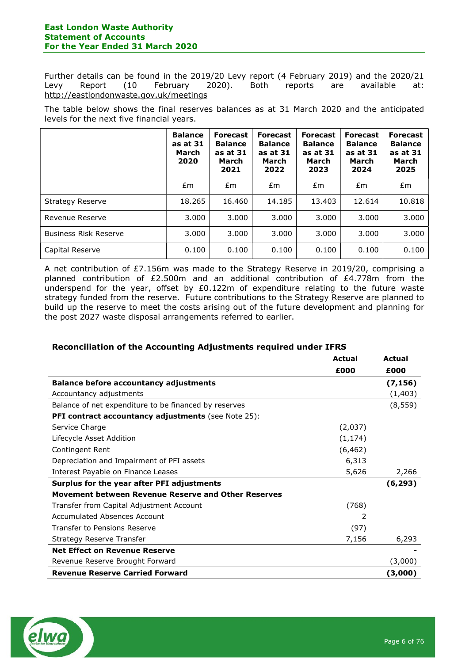Further details can be found in the 2019/20 Levy report (4 February 2019) and the 2020/21 Levy Report (10 February 2020). Both reports are available at: http://eastlondonwaste.gov.uk/meetings

The table below shows the final reserves balances as at 31 March 2020 and the anticipated levels for the next five financial years.

|                              | <b>Balance</b><br>as at 31<br>March<br>2020 | <b>Forecast</b><br><b>Balance</b><br>as at 31<br>March<br>2021 | <b>Forecast</b><br><b>Balance</b><br>as at 31<br>March<br>2022 | <b>Forecast</b><br><b>Balance</b><br>as at 31<br>March<br>2023 | <b>Forecast</b><br><b>Balance</b><br>as at 31<br>March<br>2024 | <b>Forecast</b><br><b>Balance</b><br>as at 31<br>March<br>2025 |
|------------------------------|---------------------------------------------|----------------------------------------------------------------|----------------------------------------------------------------|----------------------------------------------------------------|----------------------------------------------------------------|----------------------------------------------------------------|
|                              | £m                                          | Em                                                             | £m                                                             | £m                                                             | Em                                                             | £m                                                             |
| Strategy Reserve             | 18.265                                      | 16.460                                                         | 14.185                                                         | 13.403                                                         | 12.614                                                         | 10.818                                                         |
| Revenue Reserve              | 3.000                                       | 3.000                                                          | 3.000                                                          | 3.000                                                          | 3.000                                                          | 3.000                                                          |
| <b>Business Risk Reserve</b> | 3.000                                       | 3.000                                                          | 3.000                                                          | 3.000                                                          | 3.000                                                          | 3.000                                                          |
| Capital Reserve              | 0.100                                       | 0.100                                                          | 0.100                                                          | 0.100                                                          | 0.100                                                          | 0.100                                                          |

A net contribution of £7.156m was made to the Strategy Reserve in 2019/20, comprising a planned contribution of £2.500m and an additional contribution of £4.778m from the underspend for the year, offset by £0.122m of expenditure relating to the future waste strategy funded from the reserve. Future contributions to the Strategy Reserve are planned to build up the reserve to meet the costs arising out of the future development and planning for the post 2027 waste disposal arrangements referred to earlier.

## Reconciliation of the Accounting Adjustments required under IFRS

|                                                            | <b>Actual</b> | Actual   |
|------------------------------------------------------------|---------------|----------|
|                                                            | £000          | £000     |
| <b>Balance before accountancy adjustments</b>              |               | (7, 156) |
| Accountancy adjustments                                    |               | (1, 403) |
| Balance of net expenditure to be financed by reserves      |               | (8, 559) |
| <b>PFI contract accountancy adjustments</b> (see Note 25): |               |          |
| Service Charge                                             | (2,037)       |          |
| Lifecycle Asset Addition                                   | (1, 174)      |          |
| Contingent Rent                                            | (6, 462)      |          |
| Depreciation and Impairment of PFI assets                  | 6,313         |          |
| Interest Payable on Finance Leases                         | 5,626         | 2,266    |
| Surplus for the year after PFI adjustments                 |               | (6, 293) |
| <b>Movement between Revenue Reserve and Other Reserves</b> |               |          |
| Transfer from Capital Adjustment Account                   | (768)         |          |
| <b>Accumulated Absences Account</b>                        | 2             |          |
| Transfer to Pensions Reserve                               | (97)          |          |
| Strategy Reserve Transfer                                  | 7,156         | 6,293    |
| <b>Net Effect on Revenue Reserve</b>                       |               |          |
| Revenue Reserve Brought Forward                            |               | (3,000)  |
| <b>Revenue Reserve Carried Forward</b>                     |               | (3,000)  |

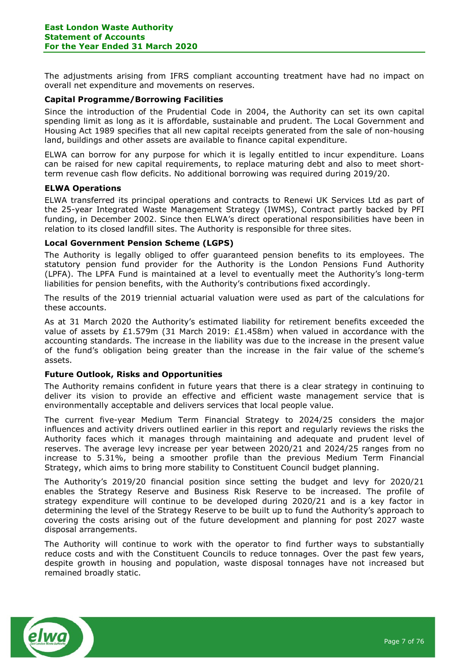The adjustments arising from IFRS compliant accounting treatment have had no impact on overall net expenditure and movements on reserves.

## Capital Programme/Borrowing Facilities

Since the introduction of the Prudential Code in 2004, the Authority can set its own capital spending limit as long as it is affordable, sustainable and prudent. The Local Government and Housing Act 1989 specifies that all new capital receipts generated from the sale of non-housing land, buildings and other assets are available to finance capital expenditure.

ELWA can borrow for any purpose for which it is legally entitled to incur expenditure. Loans can be raised for new capital requirements, to replace maturing debt and also to meet shortterm revenue cash flow deficits. No additional borrowing was required during 2019/20.

#### ELWA Operations

ELWA transferred its principal operations and contracts to Renewi UK Services Ltd as part of the 25-year Integrated Waste Management Strategy (IWMS), Contract partly backed by PFI funding, in December 2002. Since then ELWA's direct operational responsibilities have been in relation to its closed landfill sites. The Authority is responsible for three sites.

#### Local Government Pension Scheme (LGPS)

The Authority is legally obliged to offer guaranteed pension benefits to its employees. The statutory pension fund provider for the Authority is the London Pensions Fund Authority (LPFA). The LPFA Fund is maintained at a level to eventually meet the Authority's long-term liabilities for pension benefits, with the Authority's contributions fixed accordingly.

The results of the 2019 triennial actuarial valuation were used as part of the calculations for these accounts.

As at 31 March 2020 the Authority's estimated liability for retirement benefits exceeded the value of assets by £1.579m (31 March 2019: £1.458m) when valued in accordance with the accounting standards. The increase in the liability was due to the increase in the present value of the fund's obligation being greater than the increase in the fair value of the scheme's assets.

## Future Outlook, Risks and Opportunities

The Authority remains confident in future years that there is a clear strategy in continuing to deliver its vision to provide an effective and efficient waste management service that is environmentally acceptable and delivers services that local people value.

The current five-year Medium Term Financial Strategy to 2024/25 considers the major influences and activity drivers outlined earlier in this report and regularly reviews the risks the Authority faces which it manages through maintaining and adequate and prudent level of reserves. The average levy increase per year between 2020/21 and 2024/25 ranges from no increase to 5.31%, being a smoother profile than the previous Medium Term Financial Strategy, which aims to bring more stability to Constituent Council budget planning.

The Authority's 2019/20 financial position since setting the budget and levy for 2020/21 enables the Strategy Reserve and Business Risk Reserve to be increased. The profile of strategy expenditure will continue to be developed during 2020/21 and is a key factor in determining the level of the Strategy Reserve to be built up to fund the Authority's approach to covering the costs arising out of the future development and planning for post 2027 waste disposal arrangements.

The Authority will continue to work with the operator to find further ways to substantially reduce costs and with the Constituent Councils to reduce tonnages. Over the past few years, despite growth in housing and population, waste disposal tonnages have not increased but remained broadly static.

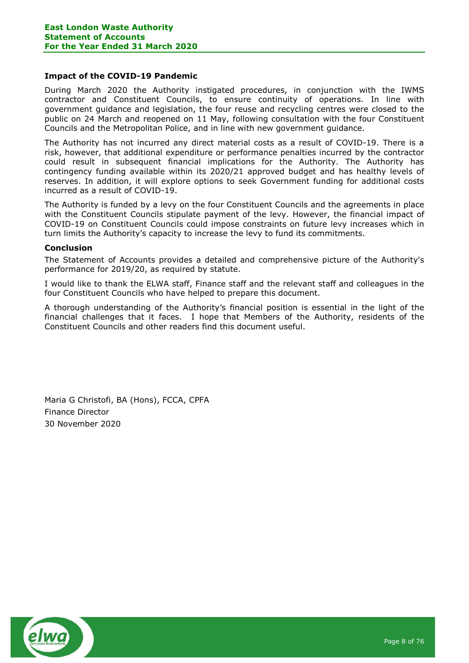#### Impact of the COVID-19 Pandemic

During March 2020 the Authority instigated procedures, in conjunction with the IWMS contractor and Constituent Councils, to ensure continuity of operations. In line with government guidance and legislation, the four reuse and recycling centres were closed to the public on 24 March and reopened on 11 May, following consultation with the four Constituent Councils and the Metropolitan Police, and in line with new government guidance.

The Authority has not incurred any direct material costs as a result of COVID-19. There is a risk, however, that additional expenditure or performance penalties incurred by the contractor could result in subsequent financial implications for the Authority. The Authority has contingency funding available within its 2020/21 approved budget and has healthy levels of reserves. In addition, it will explore options to seek Government funding for additional costs incurred as a result of COVID-19.

The Authority is funded by a levy on the four Constituent Councils and the agreements in place with the Constituent Councils stipulate payment of the levy. However, the financial impact of COVID-19 on Constituent Councils could impose constraints on future levy increases which in turn limits the Authority's capacity to increase the levy to fund its commitments.

#### Conclusion

The Statement of Accounts provides a detailed and comprehensive picture of the Authority's performance for 2019/20, as required by statute.

I would like to thank the ELWA staff, Finance staff and the relevant staff and colleagues in the four Constituent Councils who have helped to prepare this document.

A thorough understanding of the Authority's financial position is essential in the light of the financial challenges that it faces. I hope that Members of the Authority, residents of the Constituent Councils and other readers find this document useful.

Maria G Christofi, BA (Hons), FCCA, CPFA Finance Director 30 November 2020

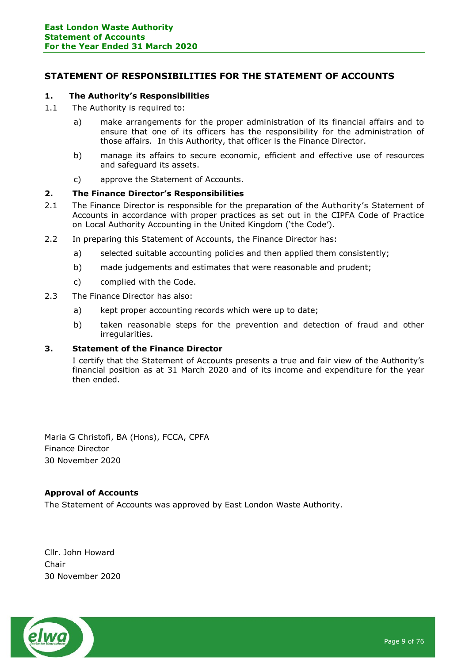# STATEMENT OF RESPONSIBILITIES FOR THE STATEMENT OF ACCOUNTS

## 1. The Authority's Responsibilities

- 1.1 The Authority is required to:
	- a) make arrangements for the proper administration of its financial affairs and to ensure that one of its officers has the responsibility for the administration of those affairs. In this Authority, that officer is the Finance Director.
	- b) manage its affairs to secure economic, efficient and effective use of resources and safeguard its assets.
	- c) approve the Statement of Accounts.

## 2. The Finance Director's Responsibilities

- 2.1 The Finance Director is responsible for the preparation of the Authority's Statement of Accounts in accordance with proper practices as set out in the CIPFA Code of Practice on Local Authority Accounting in the United Kingdom ('the Code').
- 2.2 In preparing this Statement of Accounts, the Finance Director has:
	- a) selected suitable accounting policies and then applied them consistently;
	- b) made judgements and estimates that were reasonable and prudent;
	- c) complied with the Code.
- 2.3 The Finance Director has also:
	- a) kept proper accounting records which were up to date;
	- b) taken reasonable steps for the prevention and detection of fraud and other irregularities.

## 3. Statement of the Finance Director

I certify that the Statement of Accounts presents a true and fair view of the Authority's financial position as at 31 March 2020 and of its income and expenditure for the year then ended.

Maria G Christofi, BA (Hons), FCCA, CPFA Finance Director 30 November 2020

## Approval of Accounts

The Statement of Accounts was approved by East London Waste Authority.

Cllr. John Howard Chair 30 November 2020

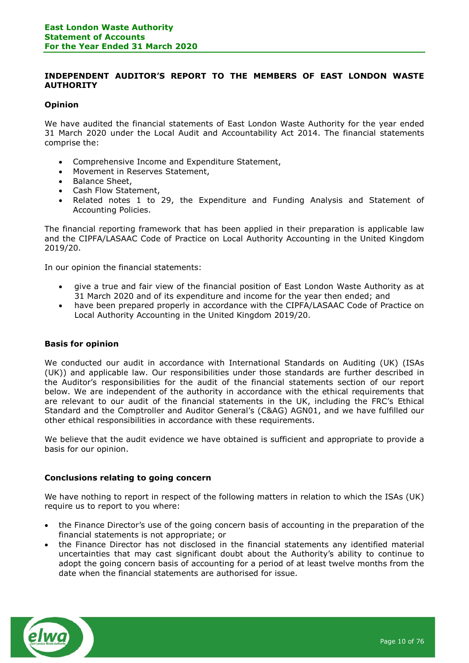## INDEPENDENT AUDITOR'S REPORT TO THE MEMBERS OF EAST LONDON WASTE **AUTHORITY**

## **Opinion**

We have audited the financial statements of East London Waste Authority for the year ended 31 March 2020 under the Local Audit and Accountability Act 2014. The financial statements comprise the:

- Comprehensive Income and Expenditure Statement,
- Movement in Reserves Statement,
- Balance Sheet,
- Cash Flow Statement,
- Related notes 1 to 29, the Expenditure and Funding Analysis and Statement of Accounting Policies.

The financial reporting framework that has been applied in their preparation is applicable law and the CIPFA/LASAAC Code of Practice on Local Authority Accounting in the United Kingdom 2019/20.

In our opinion the financial statements:

- give a true and fair view of the financial position of East London Waste Authority as at 31 March 2020 and of its expenditure and income for the year then ended; and
- have been prepared properly in accordance with the CIPFA/LASAAC Code of Practice on Local Authority Accounting in the United Kingdom 2019/20.

## Basis for opinion

We conducted our audit in accordance with International Standards on Auditing (UK) (ISAs (UK)) and applicable law. Our responsibilities under those standards are further described in the Auditor's responsibilities for the audit of the financial statements section of our report below. We are independent of the authority in accordance with the ethical requirements that are relevant to our audit of the financial statements in the UK, including the FRC's Ethical Standard and the Comptroller and Auditor General's (C&AG) AGN01, and we have fulfilled our other ethical responsibilities in accordance with these requirements.

We believe that the audit evidence we have obtained is sufficient and appropriate to provide a basis for our opinion.

## Conclusions relating to going concern

We have nothing to report in respect of the following matters in relation to which the ISAs (UK) require us to report to you where:

- the Finance Director's use of the going concern basis of accounting in the preparation of the financial statements is not appropriate; or
- the Finance Director has not disclosed in the financial statements any identified material uncertainties that may cast significant doubt about the Authority's ability to continue to adopt the going concern basis of accounting for a period of at least twelve months from the date when the financial statements are authorised for issue.

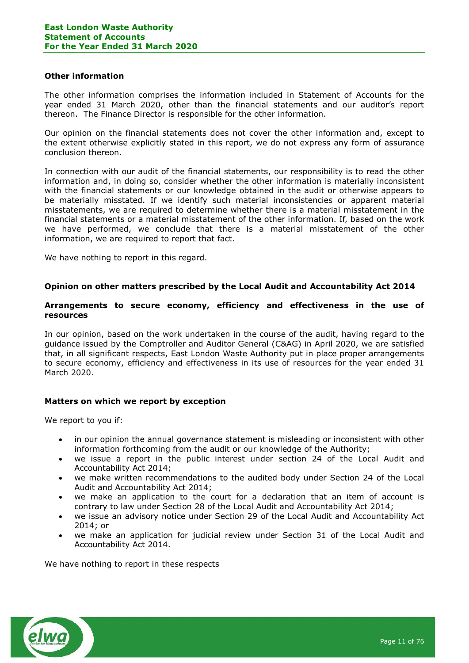#### Other information

The other information comprises the information included in Statement of Accounts for the year ended 31 March 2020, other than the financial statements and our auditor's report thereon. The Finance Director is responsible for the other information.

Our opinion on the financial statements does not cover the other information and, except to the extent otherwise explicitly stated in this report, we do not express any form of assurance conclusion thereon.

In connection with our audit of the financial statements, our responsibility is to read the other information and, in doing so, consider whether the other information is materially inconsistent with the financial statements or our knowledge obtained in the audit or otherwise appears to be materially misstated. If we identify such material inconsistencies or apparent material misstatements, we are required to determine whether there is a material misstatement in the financial statements or a material misstatement of the other information. If, based on the work we have performed, we conclude that there is a material misstatement of the other information, we are required to report that fact.

We have nothing to report in this regard.

## Opinion on other matters prescribed by the Local Audit and Accountability Act 2014

## Arrangements to secure economy, efficiency and effectiveness in the use of resources

In our opinion, based on the work undertaken in the course of the audit, having regard to the guidance issued by the Comptroller and Auditor General (C&AG) in April 2020, we are satisfied that, in all significant respects, East London Waste Authority put in place proper arrangements to secure economy, efficiency and effectiveness in its use of resources for the year ended 31 March 2020.

## Matters on which we report by exception

We report to you if:

- in our opinion the annual governance statement is misleading or inconsistent with other information forthcoming from the audit or our knowledge of the Authority;
- we issue a report in the public interest under section 24 of the Local Audit and Accountability Act 2014;
- we make written recommendations to the audited body under Section 24 of the Local Audit and Accountability Act 2014;
- we make an application to the court for a declaration that an item of account is contrary to law under Section 28 of the Local Audit and Accountability Act 2014;
- we issue an advisory notice under Section 29 of the Local Audit and Accountability Act 2014; or
- we make an application for judicial review under Section 31 of the Local Audit and Accountability Act 2014.

We have nothing to report in these respects

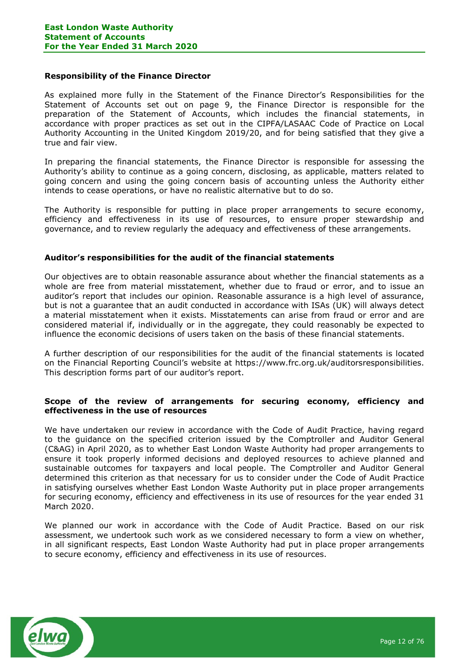#### Responsibility of the Finance Director

As explained more fully in the Statement of the Finance Director's Responsibilities for the Statement of Accounts set out on page 9, the Finance Director is responsible for the preparation of the Statement of Accounts, which includes the financial statements, in accordance with proper practices as set out in the CIPFA/LASAAC Code of Practice on Local Authority Accounting in the United Kingdom 2019/20, and for being satisfied that they give a true and fair view.

In preparing the financial statements, the Finance Director is responsible for assessing the Authority's ability to continue as a going concern, disclosing, as applicable, matters related to going concern and using the going concern basis of accounting unless the Authority either intends to cease operations, or have no realistic alternative but to do so.

The Authority is responsible for putting in place proper arrangements to secure economy, efficiency and effectiveness in its use of resources, to ensure proper stewardship and governance, and to review regularly the adequacy and effectiveness of these arrangements.

## Auditor's responsibilities for the audit of the financial statements

Our objectives are to obtain reasonable assurance about whether the financial statements as a whole are free from material misstatement, whether due to fraud or error, and to issue an auditor's report that includes our opinion. Reasonable assurance is a high level of assurance, but is not a guarantee that an audit conducted in accordance with ISAs (UK) will always detect a material misstatement when it exists. Misstatements can arise from fraud or error and are considered material if, individually or in the aggregate, they could reasonably be expected to influence the economic decisions of users taken on the basis of these financial statements.

A further description of our responsibilities for the audit of the financial statements is located on the Financial Reporting Council's website at https://www.frc.org.uk/auditorsresponsibilities. This description forms part of our auditor's report.

#### Scope of the review of arrangements for securing economy, efficiency and effectiveness in the use of resources

We have undertaken our review in accordance with the Code of Audit Practice, having regard to the guidance on the specified criterion issued by the Comptroller and Auditor General (C&AG) in April 2020, as to whether East London Waste Authority had proper arrangements to ensure it took properly informed decisions and deployed resources to achieve planned and sustainable outcomes for taxpayers and local people. The Comptroller and Auditor General determined this criterion as that necessary for us to consider under the Code of Audit Practice in satisfying ourselves whether East London Waste Authority put in place proper arrangements for securing economy, efficiency and effectiveness in its use of resources for the year ended 31 March 2020.

We planned our work in accordance with the Code of Audit Practice. Based on our risk assessment, we undertook such work as we considered necessary to form a view on whether, in all significant respects, East London Waste Authority had put in place proper arrangements to secure economy, efficiency and effectiveness in its use of resources.

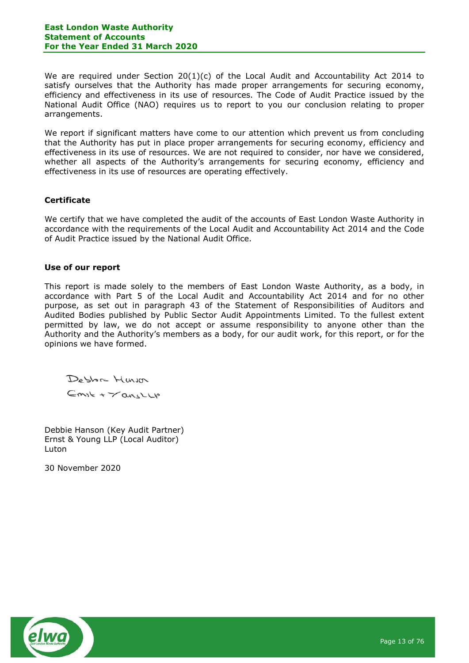We are required under Section 20(1)(c) of the Local Audit and Accountability Act 2014 to satisfy ourselves that the Authority has made proper arrangements for securing economy, efficiency and effectiveness in its use of resources. The Code of Audit Practice issued by the National Audit Office (NAO) requires us to report to you our conclusion relating to proper arrangements.

We report if significant matters have come to our attention which prevent us from concluding that the Authority has put in place proper arrangements for securing economy, efficiency and effectiveness in its use of resources. We are not required to consider, nor have we considered, whether all aspects of the Authority's arrangements for securing economy, efficiency and effectiveness in its use of resources are operating effectively.

## **Certificate**

We certify that we have completed the audit of the accounts of East London Waste Authority in accordance with the requirements of the Local Audit and Accountability Act 2014 and the Code of Audit Practice issued by the National Audit Office.

## Use of our report

This report is made solely to the members of East London Waste Authority, as a body, in accordance with Part 5 of the Local Audit and Accountability Act 2014 and for no other purpose, as set out in paragraph 43 of the Statement of Responsibilities of Auditors and Audited Bodies published by Public Sector Audit Appointments Limited. To the fullest extent permitted by law, we do not accept or assume responsibility to anyone other than the Authority and the Authority's members as a body, for our audit work, for this report, or for the opinions we have formed.

Deshre Huim  $Gmsk + \gamma ansLLV$ 

Debbie Hanson (Key Audit Partner) Ernst & Young LLP (Local Auditor) Luton

30 November 2020

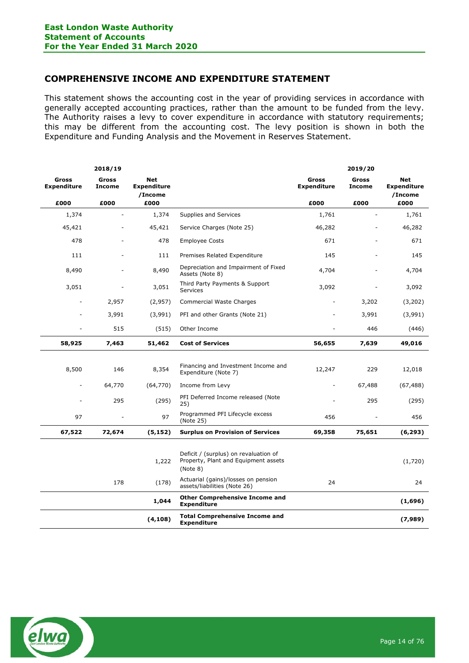# COMPREHENSIVE INCOME AND EXPENDITURE STATEMENT

This statement shows the accounting cost in the year of providing services in accordance with generally accepted accounting practices, rather than the amount to be funded from the levy. The Authority raises a levy to cover expenditure in accordance with statutory requirements; this may be different from the accounting cost. The levy position is shown in both the Expenditure and Funding Analysis and the Movement in Reserves Statement.

|                                    | 2018/19                       |                                             |                                                                                           |                                    | 2019/20                       |                                             |
|------------------------------------|-------------------------------|---------------------------------------------|-------------------------------------------------------------------------------------------|------------------------------------|-------------------------------|---------------------------------------------|
| <b>Gross</b><br><b>Expenditure</b> | <b>Gross</b><br><b>Income</b> | <b>Net</b><br><b>Expenditure</b><br>/Income |                                                                                           | <b>Gross</b><br><b>Expenditure</b> | <b>Gross</b><br><b>Income</b> | <b>Net</b><br><b>Expenditure</b><br>/Income |
| £000                               | £000                          | £000                                        |                                                                                           | £000                               | £000                          | £000                                        |
| 1,374                              |                               | 1,374                                       | Supplies and Services                                                                     | 1,761                              |                               | 1,761                                       |
| 45,421                             |                               | 45,421                                      | Service Charges (Note 25)                                                                 | 46,282                             |                               | 46,282                                      |
| 478                                |                               | 478                                         | <b>Employee Costs</b>                                                                     | 671                                |                               | 671                                         |
| 111                                |                               | 111                                         | Premises Related Expenditure                                                              | 145                                |                               | 145                                         |
| 8,490                              |                               | 8,490                                       | Depreciation and Impairment of Fixed<br>Assets (Note 8)                                   | 4,704                              |                               | 4,704                                       |
| 3,051                              |                               | 3,051                                       | Third Party Payments & Support<br>Services                                                | 3,092                              |                               | 3,092                                       |
|                                    | 2,957                         | (2,957)                                     | Commercial Waste Charges                                                                  |                                    | 3,202                         | (3,202)                                     |
|                                    | 3,991                         | (3,991)                                     | PFI and other Grants (Note 21)                                                            |                                    | 3,991                         | (3,991)                                     |
|                                    | 515                           | (515)                                       | Other Income                                                                              |                                    | 446                           | (446)                                       |
| 58,925                             | 7,463                         | 51,462                                      | <b>Cost of Services</b>                                                                   | 56,655                             | 7,639                         | 49,016                                      |
|                                    |                               |                                             |                                                                                           |                                    |                               |                                             |
| 8,500                              | 146                           | 8,354                                       | Financing and Investment Income and<br>Expenditure (Note 7)                               | 12,247                             | 229                           | 12,018                                      |
| ÷,                                 | 64,770                        | (64, 770)                                   | Income from Levy                                                                          | ÷                                  | 67,488                        | (67, 488)                                   |
|                                    | 295                           | (295)                                       | PFI Deferred Income released (Note<br>25)                                                 |                                    | 295                           | (295)                                       |
| 97                                 |                               | 97                                          | Programmed PFI Lifecycle excess<br>(Note 25)                                              | 456                                |                               | 456                                         |
| 67,522                             | 72,674                        | (5, 152)                                    | <b>Surplus on Provision of Services</b>                                                   | 69,358                             | 75,651                        | (6, 293)                                    |
|                                    |                               |                                             |                                                                                           |                                    |                               |                                             |
|                                    |                               | 1,222                                       | Deficit / (surplus) on revaluation of<br>Property, Plant and Equipment assets<br>(Note 8) |                                    |                               | (1,720)                                     |
|                                    | 178                           | (178)                                       | Actuarial (gains)/losses on pension<br>assets/liabilities (Note 26)                       | 24                                 |                               | 24                                          |
|                                    |                               | 1,044                                       | <b>Other Comprehensive Income and</b><br><b>Expenditure</b>                               |                                    |                               | (1,696)                                     |
|                                    |                               | (4, 108)                                    | <b>Total Comprehensive Income and</b><br><b>Expenditure</b>                               |                                    |                               | (7,989)                                     |

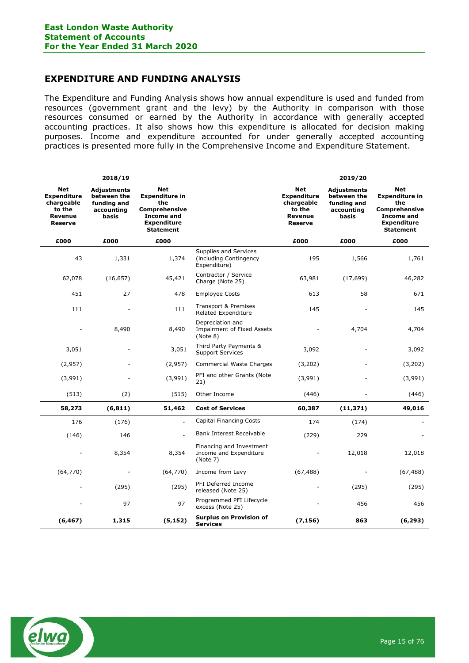# EXPENDITURE AND FUNDING ANALYSIS

The Expenditure and Funding Analysis shows how annual expenditure is used and funded from resources (government grant and the levy) by the Authority in comparison with those resources consumed or earned by the Authority in accordance with generally accepted accounting practices. It also shows how this expenditure is allocated for decision making purposes. Income and expenditure accounted for under generally accepted accounting practices is presented more fully in the Comprehensive Income and Expenditure Statement.

|                                                                                              | 2018/19                                                                 |                                                                                                                                   |                                                                   |                                                                                       | 2019/20                                                                 |                                                                                                                                   |
|----------------------------------------------------------------------------------------------|-------------------------------------------------------------------------|-----------------------------------------------------------------------------------------------------------------------------------|-------------------------------------------------------------------|---------------------------------------------------------------------------------------|-------------------------------------------------------------------------|-----------------------------------------------------------------------------------------------------------------------------------|
| <b>Net</b><br><b>Expenditure</b><br>chargeable<br>to the<br><b>Revenue</b><br><b>Reserve</b> | <b>Adjustments</b><br>between the<br>funding and<br>accounting<br>basis | <b>Net</b><br><b>Expenditure in</b><br>the<br><b>Comprehensive</b><br><b>Income and</b><br><b>Expenditure</b><br><b>Statement</b> |                                                                   | <b>Net</b><br><b>Expenditure</b><br>chargeable<br>to the<br>Revenue<br><b>Reserve</b> | <b>Adjustments</b><br>between the<br>funding and<br>accounting<br>basis | <b>Net</b><br><b>Expenditure in</b><br>the<br><b>Comprehensive</b><br><b>Income and</b><br><b>Expenditure</b><br><b>Statement</b> |
| £000                                                                                         | £000                                                                    | £000                                                                                                                              |                                                                   | £000                                                                                  | £000                                                                    | £000                                                                                                                              |
| 43                                                                                           | 1,331                                                                   | 1,374                                                                                                                             | Supplies and Services<br>(including Contingency<br>Expenditure)   | 195                                                                                   | 1,566                                                                   | 1,761                                                                                                                             |
| 62,078                                                                                       | (16, 657)                                                               | 45,421                                                                                                                            | Contractor / Service<br>Charge (Note 25)                          | 63,981                                                                                | (17, 699)                                                               | 46,282                                                                                                                            |
| 451                                                                                          | 27                                                                      | 478                                                                                                                               | <b>Employee Costs</b>                                             | 613                                                                                   | 58                                                                      | 671                                                                                                                               |
| 111                                                                                          |                                                                         | 111                                                                                                                               | Transport & Premises<br>Related Expenditure                       | 145                                                                                   |                                                                         | 145                                                                                                                               |
|                                                                                              | 8,490                                                                   | 8,490                                                                                                                             | Depreciation and<br><b>Impairment of Fixed Assets</b><br>(Note 8) |                                                                                       | 4,704                                                                   | 4,704                                                                                                                             |
| 3,051                                                                                        |                                                                         | 3,051                                                                                                                             | Third Party Payments &<br><b>Support Services</b>                 | 3,092                                                                                 |                                                                         | 3,092                                                                                                                             |
| (2,957)                                                                                      |                                                                         | (2,957)                                                                                                                           | Commercial Waste Charges                                          | (3,202)                                                                               |                                                                         | (3,202)                                                                                                                           |
| (3,991)                                                                                      |                                                                         | (3,991)                                                                                                                           | PFI and other Grants (Note<br>21)                                 | (3,991)                                                                               |                                                                         | (3,991)                                                                                                                           |
| (513)                                                                                        | (2)                                                                     | (515)                                                                                                                             | Other Income                                                      | (446)                                                                                 |                                                                         | (446)                                                                                                                             |
| 58,273                                                                                       | (6, 811)                                                                | 51,462                                                                                                                            | <b>Cost of Services</b>                                           | 60,387                                                                                | (11, 371)                                                               | 49,016                                                                                                                            |
| 176                                                                                          | (176)                                                                   |                                                                                                                                   | <b>Capital Financing Costs</b>                                    | 174                                                                                   | (174)                                                                   |                                                                                                                                   |
| (146)                                                                                        | 146                                                                     |                                                                                                                                   | Bank Interest Receivable                                          | (229)                                                                                 | 229                                                                     |                                                                                                                                   |
|                                                                                              | 8,354                                                                   | 8,354                                                                                                                             | Financing and Investment<br>Income and Expenditure<br>(Note 7)    |                                                                                       | 12,018                                                                  | 12,018                                                                                                                            |
| (64, 770)                                                                                    |                                                                         | (64, 770)                                                                                                                         | Income from Levy                                                  | (67, 488)                                                                             |                                                                         | (67, 488)                                                                                                                         |
|                                                                                              | (295)                                                                   | (295)                                                                                                                             | PFI Deferred Income<br>released (Note 25)                         |                                                                                       | (295)                                                                   | (295)                                                                                                                             |
|                                                                                              | 97                                                                      | 97                                                                                                                                | Programmed PFI Lifecycle<br>excess (Note 25)                      |                                                                                       | 456                                                                     | 456                                                                                                                               |
| (6, 467)                                                                                     | 1,315                                                                   | (5, 152)                                                                                                                          | <b>Surplus on Provision of</b><br><b>Services</b>                 | (7, 156)                                                                              | 863                                                                     | (6, 293)                                                                                                                          |

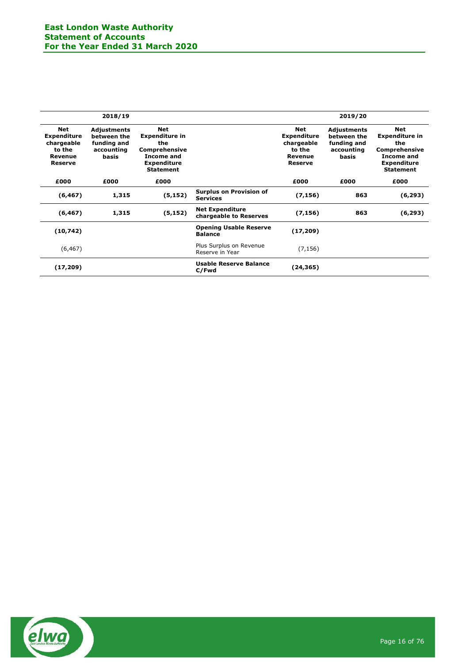|                                                                                | 2018/19                                                          |                                                                                                                                   |                                                   |                                                                                | 2019/20                                                          |                                                                                                                     |
|--------------------------------------------------------------------------------|------------------------------------------------------------------|-----------------------------------------------------------------------------------------------------------------------------------|---------------------------------------------------|--------------------------------------------------------------------------------|------------------------------------------------------------------|---------------------------------------------------------------------------------------------------------------------|
| Net<br><b>Expenditure</b><br>chargeable<br>to the<br>Revenue<br><b>Reserve</b> | Adjustments<br>between the<br>funding and<br>accounting<br>basis | <b>Net</b><br><b>Expenditure in</b><br>the<br><b>Comprehensive</b><br><b>Income and</b><br><b>Expenditure</b><br><b>Statement</b> |                                                   | Net<br><b>Expenditure</b><br>chargeable<br>to the<br>Revenue<br><b>Reserve</b> | Adjustments<br>between the<br>funding and<br>accounting<br>basis | Net<br><b>Expenditure in</b><br>the<br>Comprehensive<br><b>Income and</b><br><b>Expenditure</b><br><b>Statement</b> |
| £000                                                                           | £000                                                             | £000                                                                                                                              |                                                   | £000                                                                           | £000                                                             | £000                                                                                                                |
| (6, 467)                                                                       | 1,315                                                            | (5, 152)                                                                                                                          | <b>Surplus on Provision of</b><br><b>Services</b> | (7, 156)                                                                       | 863                                                              | (6, 293)                                                                                                            |
| (6, 467)                                                                       | 1,315                                                            | (5, 152)                                                                                                                          | <b>Net Expenditure</b><br>chargeable to Reserves  | (7, 156)                                                                       | 863                                                              | (6, 293)                                                                                                            |
| (10, 742)                                                                      |                                                                  |                                                                                                                                   | <b>Opening Usable Reserve</b><br><b>Balance</b>   | (17, 209)                                                                      |                                                                  |                                                                                                                     |
| (6, 467)                                                                       |                                                                  |                                                                                                                                   | Plus Surplus on Revenue<br>Reserve in Year        | (7, 156)                                                                       |                                                                  |                                                                                                                     |
| (17, 209)                                                                      |                                                                  |                                                                                                                                   | Usable Reserve Balance<br>C/Fwd                   | (24,365)                                                                       |                                                                  |                                                                                                                     |

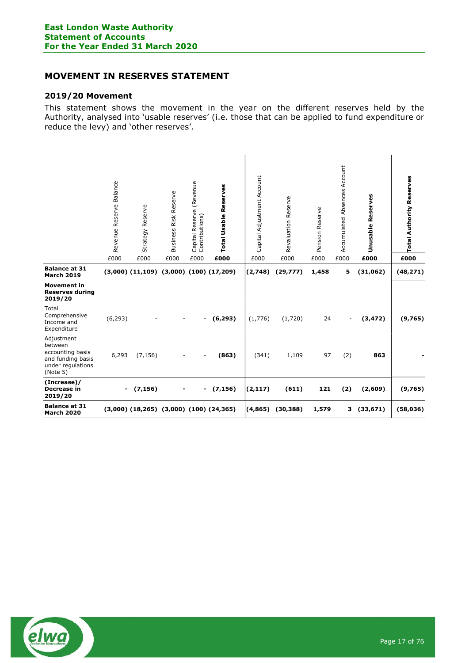# MOVEMENT IN RESERVES STATEMENT

## 2019/20 Movement

This statement shows the movement in the year on the different reserves held by the Authority, analysed into 'usable reserves' (i.e. those that can be applied to fund expenditure or reduce the levy) and 'other reserves'.

|                                                                                                 | Revenue Reserve Balance | Strategy Reserve                                  | Business Risk Reserve    | Capital Reserve (Revenue<br>Contributions) | Reserves<br>Usable<br>Total | Capital Adjustment Account | <b>Reserve</b><br>Revaluation | <b>Reserve</b><br>Pension | Absences Account<br>umulated<br>5<br>ACI | ပ္မ<br>Reserv<br>Unusable | <b>Total Authority Reserves</b> |
|-------------------------------------------------------------------------------------------------|-------------------------|---------------------------------------------------|--------------------------|--------------------------------------------|-----------------------------|----------------------------|-------------------------------|---------------------------|------------------------------------------|---------------------------|---------------------------------|
|                                                                                                 | £000                    | £000                                              | £000                     | £000                                       | £000                        | £000                       | £000                          | £000                      | £000                                     | £000                      | £000                            |
| <b>Balance at 31</b><br><b>March 2019</b>                                                       |                         | $(3,000)$ $(11,109)$ $(3,000)$ $(100)$ $(17,209)$ |                          |                                            |                             | (2,748)                    | (29, 777)                     | 1,458                     | 5                                        | (31,062)                  | (48, 271)                       |
| <b>Movement in</b><br><b>Reserves during</b><br>2019/20                                         |                         |                                                   |                          |                                            |                             |                            |                               |                           |                                          |                           |                                 |
| Total<br>Comprehensive<br>Income and<br>Expenditure                                             | (6, 293)                |                                                   | $\overline{\phantom{a}}$ | $\sim$                                     | (6, 293)                    | (1,776)                    | (1,720)                       | 24                        | $\overline{\phantom{a}}$                 | (3, 472)                  | (9,765)                         |
| Adjustment<br>between<br>accounting basis<br>and funding basis<br>under regulations<br>(Note 5) | 6,293                   | (7, 156)                                          | $\overline{\phantom{0}}$ |                                            | (863)                       | (341)                      | 1,109                         | 97                        | (2)                                      | 863                       |                                 |
| (Increase)/<br>Decrease in<br>2019/20                                                           |                         | $-$ (7,156)                                       | $\blacksquare$           | $\blacksquare$                             | (7, 156)                    | (2, 117)                   | (611)                         | 121                       | (2)                                      | (2,609)                   | (9,765)                         |
| <b>Balance at 31</b><br><b>March 2020</b>                                                       |                         | $(3,000)$ $(18,265)$ $(3,000)$ $(100)$ $(24,365)$ |                          |                                            |                             | (4, 865)                   | (30, 388)                     | 1,579                     |                                          | 3(33,671)                 | (58, 036)                       |

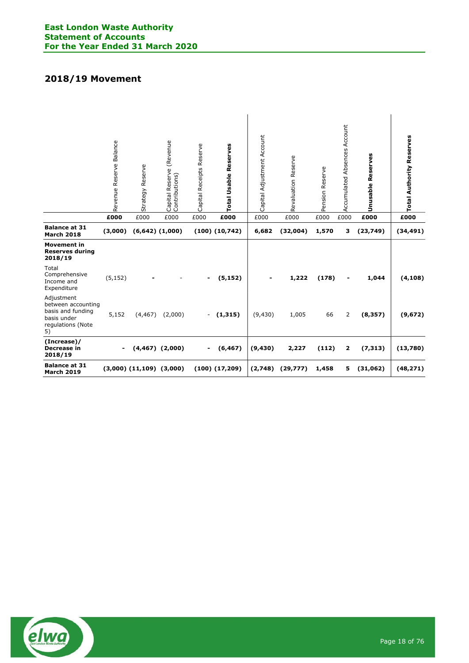# 2018/19 Movement

|                                                                                                 | Balance<br>Reserve<br>Revenue<br>£000 | Φ<br>Strategy Reserv<br>£000   | Capital Reserve (Revenue<br>Contributions)<br>£000 | Capital Receipts Reserve<br>£000 | <b>Total Usable Reserves</b><br>£000 | Adjustment Account<br>Capital<br>£000 | Revaluation Reserve<br>£000 | Pension Reserve<br>£000 | Account<br>Absences<br>Accumulated<br>£000 | yes<br>Reser<br>Unusable<br>£000 | <b>Total Authority Reserves</b><br>£000 |
|-------------------------------------------------------------------------------------------------|---------------------------------------|--------------------------------|----------------------------------------------------|----------------------------------|--------------------------------------|---------------------------------------|-----------------------------|-------------------------|--------------------------------------------|----------------------------------|-----------------------------------------|
| <b>Balance at 31</b><br><b>March 2018</b>                                                       | (3,000)                               |                                | $(6,642)$ $(1,000)$                                |                                  | $(100)$ $(10,742)$                   | 6,682                                 | (32,004)                    | 1,570                   | 3                                          | (23, 749)                        | (34, 491)                               |
| <b>Movement in</b><br><b>Reserves during</b><br>2018/19                                         |                                       |                                |                                                    |                                  |                                      |                                       |                             |                         |                                            |                                  |                                         |
| Total<br>Comprehensive<br>Income and<br>Expenditure                                             | (5, 152)                              |                                | $\overline{\phantom{a}}$                           | $\blacksquare$                   | (5, 152)                             | $\overline{\phantom{a}}$              | 1,222                       | (178)                   | $\overline{\phantom{a}}$                   | 1,044                            | (4, 108)                                |
| Adjustment<br>between accounting<br>basis and funding<br>basis under<br>regulations (Note<br>5) | 5,152                                 | (4, 467)                       | (2,000)                                            |                                  | $-$ (1,315)                          | (9,430)                               | 1,005                       | 66                      | 2                                          | (8, 357)                         | (9,672)                                 |
| (Increase)/<br>Decrease in<br>2018/19                                                           | $\blacksquare$                        |                                | $(4,467)$ $(2,000)$                                |                                  | $- (6,467)$                          | (9, 430)                              | 2,227                       | (112)                   | 2                                          | (7, 313)                         | (13,780)                                |
| <b>Balance at 31</b><br><b>March 2019</b>                                                       |                                       | $(3,000)$ $(11,109)$ $(3,000)$ |                                                    |                                  | $(100)$ $(17,209)$                   | (2,748)                               | (29, 777)                   | 1,458                   | 5                                          | (31,062)                         | (48, 271)                               |

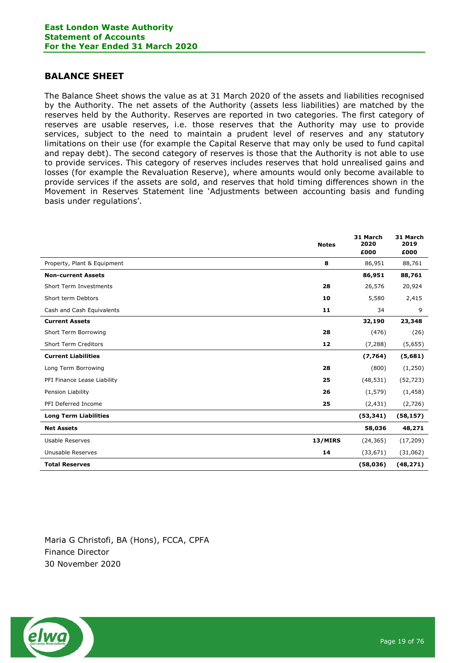# BALANCE SHEET

The Balance Sheet shows the value as at 31 March 2020 of the assets and liabilities recognised by the Authority. The net assets of the Authority (assets less liabilities) are matched by the reserves held by the Authority. Reserves are reported in two categories. The first category of reserves are usable reserves, i.e. those reserves that the Authority may use to provide services, subject to the need to maintain a prudent level of reserves and any statutory limitations on their use (for example the Capital Reserve that may only be used to fund capital and repay debt). The second category of reserves is those that the Authority is not able to use to provide services. This category of reserves includes reserves that hold unrealised gains and losses (for example the Revaluation Reserve), where amounts would only become available to provide services if the assets are sold, and reserves that hold timing differences shown in the Movement in Reserves Statement line 'Adjustments between accounting basis and funding basis under regulations'.

|                              | <b>Notes</b> | 31 March<br>2020<br>£000 | 31 March<br>2019<br>£000 |
|------------------------------|--------------|--------------------------|--------------------------|
| Property, Plant & Equipment  | 8            | 86,951                   | 88,761                   |
| <b>Non-current Assets</b>    |              | 86,951                   | 88,761                   |
| Short Term Investments       | 28           | 26,576                   | 20,924                   |
| Short term Debtors           | 10           | 5,580                    | 2,415                    |
| Cash and Cash Equivalents    | 11           | 34                       | 9                        |
| <b>Current Assets</b>        |              | 32,190                   | 23,348                   |
| Short Term Borrowing         | 28           | (476)                    | (26)                     |
| <b>Short Term Creditors</b>  | 12           | (7, 288)                 | (5,655)                  |
| <b>Current Liabilities</b>   |              | (7,764)                  | (5,681)                  |
| Long Term Borrowing          | 28           | (800)                    | (1,250)                  |
| PFI Finance Lease Liability  | 25           | (48, 531)                | (52, 723)                |
| Pension Liability            | 26           | (1, 579)                 | (1, 458)                 |
| PFI Deferred Income          | 25           | (2, 431)                 | (2,726)                  |
| <b>Long Term Liabilities</b> |              | (53, 341)                | (58, 157)                |
| <b>Net Assets</b>            |              | 58,036                   | 48,271                   |
| <b>Usable Reserves</b>       | 13/MIRS      | (24, 365)                | (17, 209)                |
| Unusable Reserves            | 14           | (33, 671)                | (31,062)                 |
| <b>Total Reserves</b>        |              | (58,036)                 | (48, 271)                |

Maria G Christofi, BA (Hons), FCCA, CPFA Finance Director 30 November 2020

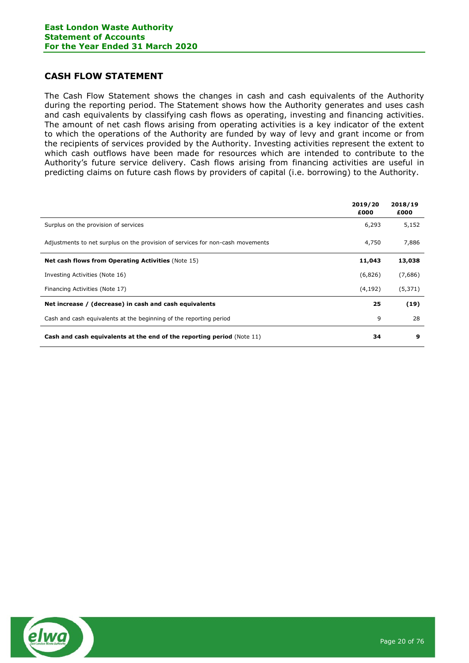# CASH FLOW STATEMENT

The Cash Flow Statement shows the changes in cash and cash equivalents of the Authority during the reporting period. The Statement shows how the Authority generates and uses cash and cash equivalents by classifying cash flows as operating, investing and financing activities. The amount of net cash flows arising from operating activities is a key indicator of the extent to which the operations of the Authority are funded by way of levy and grant income or from the recipients of services provided by the Authority. Investing activities represent the extent to which cash outflows have been made for resources which are intended to contribute to the Authority's future service delivery. Cash flows arising from financing activities are useful in predicting claims on future cash flows by providers of capital (i.e. borrowing) to the Authority.

|                                                                                | 2019/20<br>£000 | 2018/19<br>£000 |
|--------------------------------------------------------------------------------|-----------------|-----------------|
| Surplus on the provision of services                                           | 6,293           | 5,152           |
| Adjustments to net surplus on the provision of services for non-cash movements | 4,750           | 7,886           |
| <b>Net cash flows from Operating Activities (Note 15)</b>                      | 11,043          | 13,038          |
| Investing Activities (Note 16)                                                 | (6,826)         | (7,686)         |
| Financing Activities (Note 17)                                                 | (4, 192)        | (5, 371)        |
| Net increase / (decrease) in cash and cash equivalents                         | 25              | (19)            |
| Cash and cash equivalents at the beginning of the reporting period             | 9               | 28              |
| <b>Cash and cash equivalents at the end of the reporting period (Note 11)</b>  | 34              | 9               |

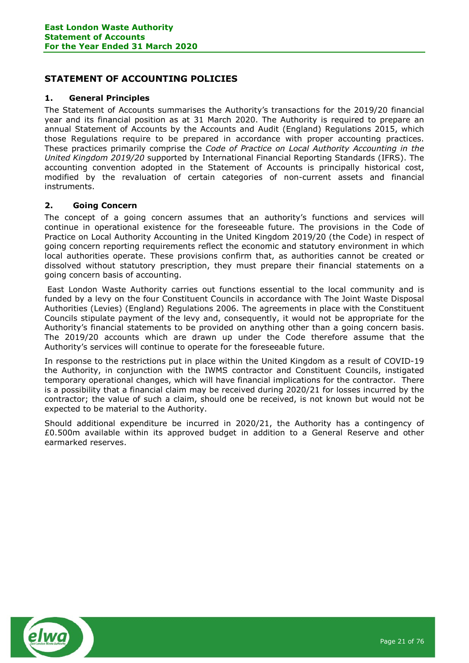# STATEMENT OF ACCOUNTING POLICIES

## 1. General Principles

The Statement of Accounts summarises the Authority's transactions for the 2019/20 financial year and its financial position as at 31 March 2020. The Authority is required to prepare an annual Statement of Accounts by the Accounts and Audit (England) Regulations 2015, which those Regulations require to be prepared in accordance with proper accounting practices. These practices primarily comprise the Code of Practice on Local Authority Accounting in the United Kingdom 2019/20 supported by International Financial Reporting Standards (IFRS). The accounting convention adopted in the Statement of Accounts is principally historical cost, modified by the revaluation of certain categories of non-current assets and financial instruments.

# 2. Going Concern

The concept of a going concern assumes that an authority's functions and services will continue in operational existence for the foreseeable future. The provisions in the Code of Practice on Local Authority Accounting in the United Kingdom 2019/20 (the Code) in respect of going concern reporting requirements reflect the economic and statutory environment in which local authorities operate. These provisions confirm that, as authorities cannot be created or dissolved without statutory prescription, they must prepare their financial statements on a going concern basis of accounting.

 East London Waste Authority carries out functions essential to the local community and is funded by a levy on the four Constituent Councils in accordance with The Joint Waste Disposal Authorities (Levies) (England) Regulations 2006. The agreements in place with the Constituent Councils stipulate payment of the levy and, consequently, it would not be appropriate for the Authority's financial statements to be provided on anything other than a going concern basis. The 2019/20 accounts which are drawn up under the Code therefore assume that the Authority's services will continue to operate for the foreseeable future.

In response to the restrictions put in place within the United Kingdom as a result of COVID-19 the Authority, in conjunction with the IWMS contractor and Constituent Councils, instigated temporary operational changes, which will have financial implications for the contractor. There is a possibility that a financial claim may be received during 2020/21 for losses incurred by the contractor; the value of such a claim, should one be received, is not known but would not be expected to be material to the Authority.

Should additional expenditure be incurred in 2020/21, the Authority has a contingency of £0.500m available within its approved budget in addition to a General Reserve and other earmarked reserves.

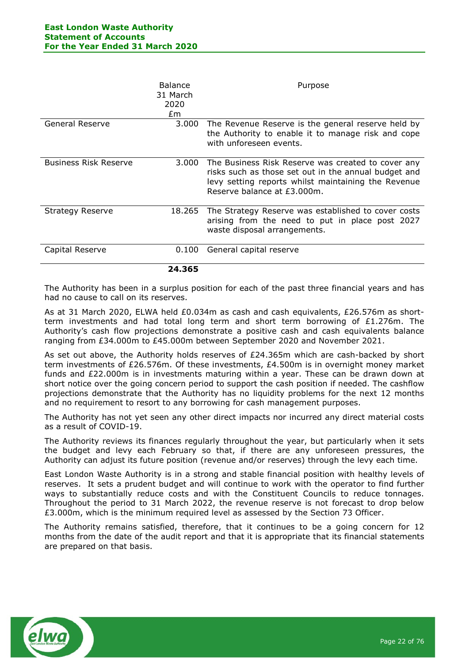|                              | <b>Balance</b><br>31 March<br>2020<br>£m | Purpose                                                                                                                                                                                          |
|------------------------------|------------------------------------------|--------------------------------------------------------------------------------------------------------------------------------------------------------------------------------------------------|
| General Reserve              | 3.000                                    | The Revenue Reserve is the general reserve held by<br>the Authority to enable it to manage risk and cope<br>with unforeseen events.                                                              |
| <b>Business Risk Reserve</b> | 3.000                                    | The Business Risk Reserve was created to cover any<br>risks such as those set out in the annual budget and<br>levy setting reports whilst maintaining the Revenue<br>Reserve balance at £3.000m. |
| <b>Strategy Reserve</b>      | 18.265                                   | The Strategy Reserve was established to cover costs<br>arising from the need to put in place post 2027<br>waste disposal arrangements.                                                           |
| Capital Reserve              | 0.100                                    | General capital reserve                                                                                                                                                                          |
|                              | 24.365                                   |                                                                                                                                                                                                  |

The Authority has been in a surplus position for each of the past three financial years and has had no cause to call on its reserves.

As at 31 March 2020, ELWA held £0.034m as cash and cash equivalents, £26.576m as shortterm investments and had total long term and short term borrowing of £1.276m. The Authority's cash flow projections demonstrate a positive cash and cash equivalents balance ranging from £34.000m to £45.000m between September 2020 and November 2021.

As set out above, the Authority holds reserves of £24.365m which are cash-backed by short term investments of £26.576m. Of these investments, £4.500m is in overnight money market funds and £22.000m is in investments maturing within a year. These can be drawn down at short notice over the going concern period to support the cash position if needed. The cashflow projections demonstrate that the Authority has no liquidity problems for the next 12 months and no requirement to resort to any borrowing for cash management purposes.

The Authority has not yet seen any other direct impacts nor incurred any direct material costs as a result of COVID-19.

The Authority reviews its finances regularly throughout the year, but particularly when it sets the budget and levy each February so that, if there are any unforeseen pressures, the Authority can adjust its future position (revenue and/or reserves) through the levy each time.

East London Waste Authority is in a strong and stable financial position with healthy levels of reserves. It sets a prudent budget and will continue to work with the operator to find further ways to substantially reduce costs and with the Constituent Councils to reduce tonnages. Throughout the period to 31 March 2022, the revenue reserve is not forecast to drop below £3.000m, which is the minimum required level as assessed by the Section 73 Officer.

The Authority remains satisfied, therefore, that it continues to be a going concern for 12 months from the date of the audit report and that it is appropriate that its financial statements are prepared on that basis.

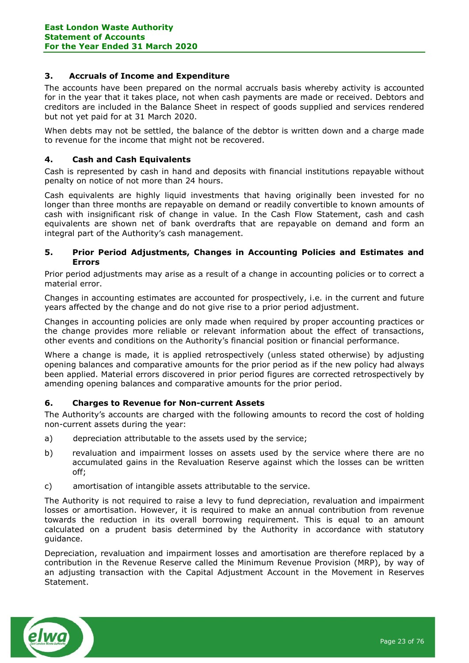## 3. Accruals of Income and Expenditure

The accounts have been prepared on the normal accruals basis whereby activity is accounted for in the year that it takes place, not when cash payments are made or received. Debtors and creditors are included in the Balance Sheet in respect of goods supplied and services rendered but not yet paid for at 31 March 2020.

When debts may not be settled, the balance of the debtor is written down and a charge made to revenue for the income that might not be recovered.

## 4. Cash and Cash Equivalents

Cash is represented by cash in hand and deposits with financial institutions repayable without penalty on notice of not more than 24 hours.

Cash equivalents are highly liquid investments that having originally been invested for no longer than three months are repayable on demand or readily convertible to known amounts of cash with insignificant risk of change in value. In the Cash Flow Statement, cash and cash equivalents are shown net of bank overdrafts that are repayable on demand and form an integral part of the Authority's cash management.

## 5. Prior Period Adjustments, Changes in Accounting Policies and Estimates and Errors

Prior period adjustments may arise as a result of a change in accounting policies or to correct a material error.

Changes in accounting estimates are accounted for prospectively, i.e. in the current and future years affected by the change and do not give rise to a prior period adjustment.

Changes in accounting policies are only made when required by proper accounting practices or the change provides more reliable or relevant information about the effect of transactions, other events and conditions on the Authority's financial position or financial performance.

Where a change is made, it is applied retrospectively (unless stated otherwise) by adjusting opening balances and comparative amounts for the prior period as if the new policy had always been applied. Material errors discovered in prior period figures are corrected retrospectively by amending opening balances and comparative amounts for the prior period.

## 6. Charges to Revenue for Non-current Assets

The Authority's accounts are charged with the following amounts to record the cost of holding non-current assets during the year:

- a) depreciation attributable to the assets used by the service;
- b) revaluation and impairment losses on assets used by the service where there are no accumulated gains in the Revaluation Reserve against which the losses can be written off;
- c) amortisation of intangible assets attributable to the service.

The Authority is not required to raise a levy to fund depreciation, revaluation and impairment losses or amortisation. However, it is required to make an annual contribution from revenue towards the reduction in its overall borrowing requirement. This is equal to an amount calculated on a prudent basis determined by the Authority in accordance with statutory guidance.

Depreciation, revaluation and impairment losses and amortisation are therefore replaced by a contribution in the Revenue Reserve called the Minimum Revenue Provision (MRP), by way of an adjusting transaction with the Capital Adjustment Account in the Movement in Reserves Statement.

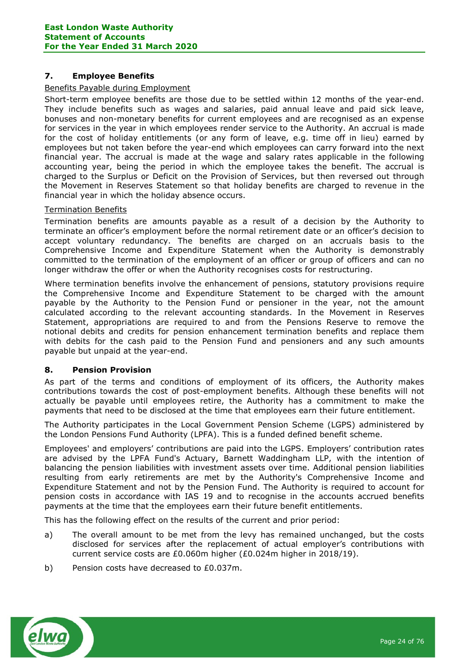## 7. Employee Benefits

## Benefits Payable during Employment

Short-term employee benefits are those due to be settled within 12 months of the year-end. They include benefits such as wages and salaries, paid annual leave and paid sick leave, bonuses and non-monetary benefits for current employees and are recognised as an expense for services in the year in which employees render service to the Authority. An accrual is made for the cost of holiday entitlements (or any form of leave, e.g. time off in lieu) earned by employees but not taken before the year-end which employees can carry forward into the next financial year. The accrual is made at the wage and salary rates applicable in the following accounting year, being the period in which the employee takes the benefit. The accrual is charged to the Surplus or Deficit on the Provision of Services, but then reversed out through the Movement in Reserves Statement so that holiday benefits are charged to revenue in the financial year in which the holiday absence occurs.

## Termination Benefits

Termination benefits are amounts payable as a result of a decision by the Authority to terminate an officer's employment before the normal retirement date or an officer's decision to accept voluntary redundancy. The benefits are charged on an accruals basis to the Comprehensive Income and Expenditure Statement when the Authority is demonstrably committed to the termination of the employment of an officer or group of officers and can no longer withdraw the offer or when the Authority recognises costs for restructuring.

Where termination benefits involve the enhancement of pensions, statutory provisions require the Comprehensive Income and Expenditure Statement to be charged with the amount payable by the Authority to the Pension Fund or pensioner in the year, not the amount calculated according to the relevant accounting standards. In the Movement in Reserves Statement, appropriations are required to and from the Pensions Reserve to remove the notional debits and credits for pension enhancement termination benefits and replace them with debits for the cash paid to the Pension Fund and pensioners and any such amounts payable but unpaid at the year-end.

# 8. Pension Provision

As part of the terms and conditions of employment of its officers, the Authority makes contributions towards the cost of post-employment benefits. Although these benefits will not actually be payable until employees retire, the Authority has a commitment to make the payments that need to be disclosed at the time that employees earn their future entitlement.

The Authority participates in the Local Government Pension Scheme (LGPS) administered by the London Pensions Fund Authority (LPFA). This is a funded defined benefit scheme.

Employees' and employers' contributions are paid into the LGPS. Employers' contribution rates are advised by the LPFA Fund's Actuary, Barnett Waddingham LLP, with the intention of balancing the pension liabilities with investment assets over time. Additional pension liabilities resulting from early retirements are met by the Authority's Comprehensive Income and Expenditure Statement and not by the Pension Fund. The Authority is required to account for pension costs in accordance with IAS 19 and to recognise in the accounts accrued benefits payments at the time that the employees earn their future benefit entitlements.

This has the following effect on the results of the current and prior period:

- a) The overall amount to be met from the levy has remained unchanged, but the costs disclosed for services after the replacement of actual employer's contributions with current service costs are £0.060m higher (£0.024m higher in 2018/19).
- b) Pension costs have decreased to £0.037m.

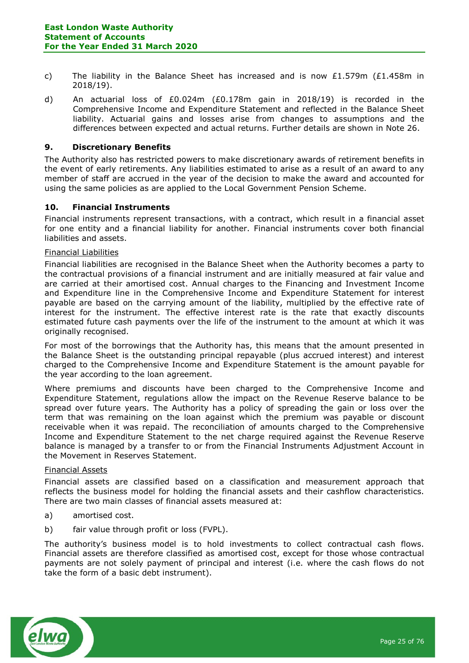- c) The liability in the Balance Sheet has increased and is now £1.579m (£1.458m in 2018/19).
- d) An actuarial loss of £0.024m (£0.178m gain in 2018/19) is recorded in the Comprehensive Income and Expenditure Statement and reflected in the Balance Sheet liability. Actuarial gains and losses arise from changes to assumptions and the differences between expected and actual returns. Further details are shown in Note 26.

## 9. Discretionary Benefits

The Authority also has restricted powers to make discretionary awards of retirement benefits in the event of early retirements. Any liabilities estimated to arise as a result of an award to any member of staff are accrued in the year of the decision to make the award and accounted for using the same policies as are applied to the Local Government Pension Scheme.

## 10. Financial Instruments

Financial instruments represent transactions, with a contract, which result in a financial asset for one entity and a financial liability for another. Financial instruments cover both financial liabilities and assets.

#### Financial Liabilities

Financial liabilities are recognised in the Balance Sheet when the Authority becomes a party to the contractual provisions of a financial instrument and are initially measured at fair value and are carried at their amortised cost. Annual charges to the Financing and Investment Income and Expenditure line in the Comprehensive Income and Expenditure Statement for interest payable are based on the carrying amount of the liability, multiplied by the effective rate of interest for the instrument. The effective interest rate is the rate that exactly discounts estimated future cash payments over the life of the instrument to the amount at which it was originally recognised.

For most of the borrowings that the Authority has, this means that the amount presented in the Balance Sheet is the outstanding principal repayable (plus accrued interest) and interest charged to the Comprehensive Income and Expenditure Statement is the amount payable for the year according to the loan agreement.

Where premiums and discounts have been charged to the Comprehensive Income and Expenditure Statement, regulations allow the impact on the Revenue Reserve balance to be spread over future years. The Authority has a policy of spreading the gain or loss over the term that was remaining on the loan against which the premium was payable or discount receivable when it was repaid. The reconciliation of amounts charged to the Comprehensive Income and Expenditure Statement to the net charge required against the Revenue Reserve balance is managed by a transfer to or from the Financial Instruments Adjustment Account in the Movement in Reserves Statement.

#### Financial Assets

Financial assets are classified based on a classification and measurement approach that reflects the business model for holding the financial assets and their cashflow characteristics. There are two main classes of financial assets measured at:

- a) amortised cost.
- b) fair value through profit or loss (FVPL).

The authority's business model is to hold investments to collect contractual cash flows. Financial assets are therefore classified as amortised cost, except for those whose contractual payments are not solely payment of principal and interest (i.e. where the cash flows do not take the form of a basic debt instrument).

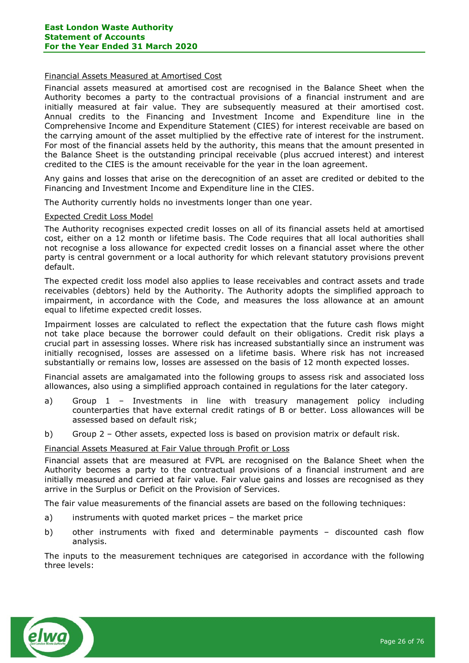### Financial Assets Measured at Amortised Cost

Financial assets measured at amortised cost are recognised in the Balance Sheet when the Authority becomes a party to the contractual provisions of a financial instrument and are initially measured at fair value. They are subsequently measured at their amortised cost. Annual credits to the Financing and Investment Income and Expenditure line in the Comprehensive Income and Expenditure Statement (CIES) for interest receivable are based on the carrying amount of the asset multiplied by the effective rate of interest for the instrument. For most of the financial assets held by the authority, this means that the amount presented in the Balance Sheet is the outstanding principal receivable (plus accrued interest) and interest credited to the CIES is the amount receivable for the year in the loan agreement.

Any gains and losses that arise on the derecognition of an asset are credited or debited to the Financing and Investment Income and Expenditure line in the CIES.

The Authority currently holds no investments longer than one year.

#### Expected Credit Loss Model

The Authority recognises expected credit losses on all of its financial assets held at amortised cost, either on a 12 month or lifetime basis. The Code requires that all local authorities shall not recognise a loss allowance for expected credit losses on a financial asset where the other party is central government or a local authority for which relevant statutory provisions prevent default.

The expected credit loss model also applies to lease receivables and contract assets and trade receivables (debtors) held by the Authority. The Authority adopts the simplified approach to impairment, in accordance with the Code, and measures the loss allowance at an amount equal to lifetime expected credit losses.

Impairment losses are calculated to reflect the expectation that the future cash flows might not take place because the borrower could default on their obligations. Credit risk plays a crucial part in assessing losses. Where risk has increased substantially since an instrument was initially recognised, losses are assessed on a lifetime basis. Where risk has not increased substantially or remains low, losses are assessed on the basis of 12 month expected losses.

Financial assets are amalgamated into the following groups to assess risk and associated loss allowances, also using a simplified approach contained in regulations for the later category.

- a) Group 1 Investments in line with treasury management policy including counterparties that have external credit ratings of B or better. Loss allowances will be assessed based on default risk;
- b) Group 2 Other assets, expected loss is based on provision matrix or default risk.

## Financial Assets Measured at Fair Value through Profit or Loss

Financial assets that are measured at FVPL are recognised on the Balance Sheet when the Authority becomes a party to the contractual provisions of a financial instrument and are initially measured and carried at fair value. Fair value gains and losses are recognised as they arrive in the Surplus or Deficit on the Provision of Services.

The fair value measurements of the financial assets are based on the following techniques:

- a) instruments with quoted market prices the market price
- b) other instruments with fixed and determinable payments discounted cash flow analysis.

The inputs to the measurement techniques are categorised in accordance with the following three levels:

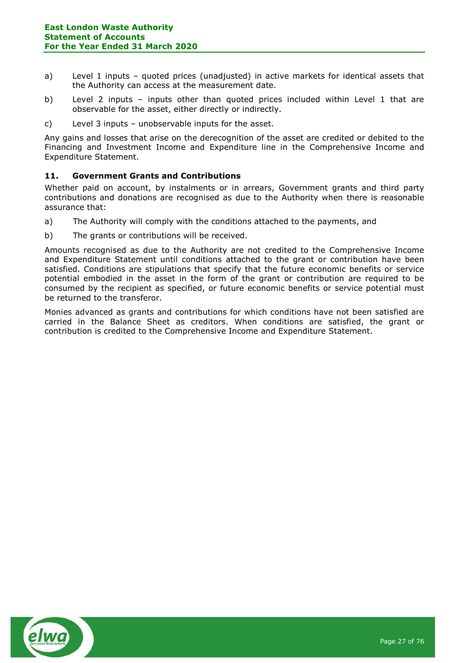- a) Level 1 inputs quoted prices (unadjusted) in active markets for identical assets that the Authority can access at the measurement date.
- b) Level 2 inputs inputs other than quoted prices included within Level 1 that are observable for the asset, either directly or indirectly.
- c) Level 3 inputs unobservable inputs for the asset.

Any gains and losses that arise on the derecognition of the asset are credited or debited to the Financing and Investment Income and Expenditure line in the Comprehensive Income and Expenditure Statement.

## 11. Government Grants and Contributions

Whether paid on account, by instalments or in arrears, Government grants and third party contributions and donations are recognised as due to the Authority when there is reasonable assurance that:

- a) The Authority will comply with the conditions attached to the payments, and
- b) The grants or contributions will be received.

Amounts recognised as due to the Authority are not credited to the Comprehensive Income and Expenditure Statement until conditions attached to the grant or contribution have been satisfied. Conditions are stipulations that specify that the future economic benefits or service potential embodied in the asset in the form of the grant or contribution are required to be consumed by the recipient as specified, or future economic benefits or service potential must be returned to the transferor.

Monies advanced as grants and contributions for which conditions have not been satisfied are carried in the Balance Sheet as creditors. When conditions are satisfied, the grant or contribution is credited to the Comprehensive Income and Expenditure Statement.

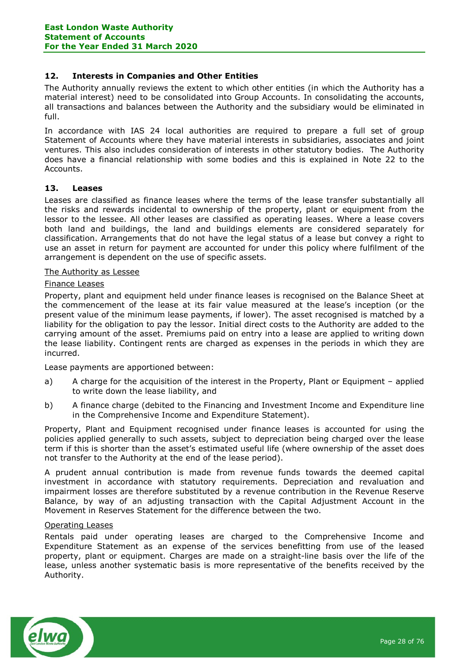## 12. Interests in Companies and Other Entities

The Authority annually reviews the extent to which other entities (in which the Authority has a material interest) need to be consolidated into Group Accounts. In consolidating the accounts, all transactions and balances between the Authority and the subsidiary would be eliminated in full.

In accordance with IAS 24 local authorities are required to prepare a full set of group Statement of Accounts where they have material interests in subsidiaries, associates and joint ventures. This also includes consideration of interests in other statutory bodies. The Authority does have a financial relationship with some bodies and this is explained in Note 22 to the Accounts.

## 13. Leases

Leases are classified as finance leases where the terms of the lease transfer substantially all the risks and rewards incidental to ownership of the property, plant or equipment from the lessor to the lessee. All other leases are classified as operating leases. Where a lease covers both land and buildings, the land and buildings elements are considered separately for classification. Arrangements that do not have the legal status of a lease but convey a right to use an asset in return for payment are accounted for under this policy where fulfilment of the arrangement is dependent on the use of specific assets.

## The Authority as Lessee

#### Finance Leases

Property, plant and equipment held under finance leases is recognised on the Balance Sheet at the commencement of the lease at its fair value measured at the lease's inception (or the present value of the minimum lease payments, if lower). The asset recognised is matched by a liability for the obligation to pay the lessor. Initial direct costs to the Authority are added to the carrying amount of the asset. Premiums paid on entry into a lease are applied to writing down the lease liability. Contingent rents are charged as expenses in the periods in which they are incurred.

Lease payments are apportioned between:

- a) A charge for the acquisition of the interest in the Property, Plant or Equipment applied to write down the lease liability, and
- b) A finance charge (debited to the Financing and Investment Income and Expenditure line in the Comprehensive Income and Expenditure Statement).

Property, Plant and Equipment recognised under finance leases is accounted for using the policies applied generally to such assets, subject to depreciation being charged over the lease term if this is shorter than the asset's estimated useful life (where ownership of the asset does not transfer to the Authority at the end of the lease period).

A prudent annual contribution is made from revenue funds towards the deemed capital investment in accordance with statutory requirements. Depreciation and revaluation and impairment losses are therefore substituted by a revenue contribution in the Revenue Reserve Balance, by way of an adjusting transaction with the Capital Adjustment Account in the Movement in Reserves Statement for the difference between the two.

#### Operating Leases

Rentals paid under operating leases are charged to the Comprehensive Income and Expenditure Statement as an expense of the services benefitting from use of the leased property, plant or equipment. Charges are made on a straight-line basis over the life of the lease, unless another systematic basis is more representative of the benefits received by the Authority.

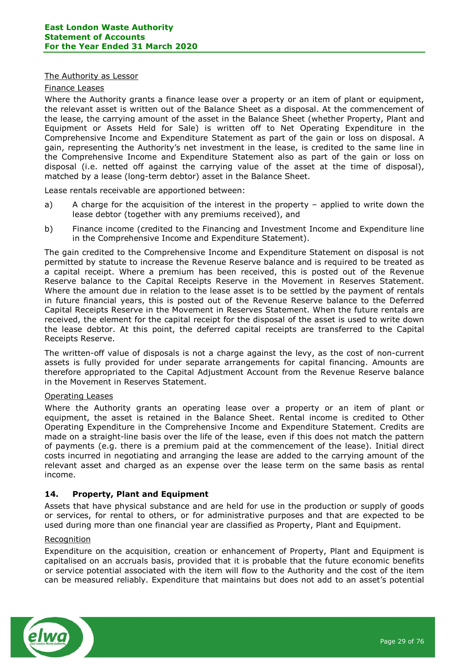#### The Authority as Lessor

#### Finance Leases

Where the Authority grants a finance lease over a property or an item of plant or equipment, the relevant asset is written out of the Balance Sheet as a disposal. At the commencement of the lease, the carrying amount of the asset in the Balance Sheet (whether Property, Plant and Equipment or Assets Held for Sale) is written off to Net Operating Expenditure in the Comprehensive Income and Expenditure Statement as part of the gain or loss on disposal. A gain, representing the Authority's net investment in the lease, is credited to the same line in the Comprehensive Income and Expenditure Statement also as part of the gain or loss on disposal (i.e. netted off against the carrying value of the asset at the time of disposal), matched by a lease (long-term debtor) asset in the Balance Sheet.

Lease rentals receivable are apportioned between:

- a) A charge for the acquisition of the interest in the property applied to write down the lease debtor (together with any premiums received), and
- b) Finance income (credited to the Financing and Investment Income and Expenditure line in the Comprehensive Income and Expenditure Statement).

The gain credited to the Comprehensive Income and Expenditure Statement on disposal is not permitted by statute to increase the Revenue Reserve balance and is required to be treated as a capital receipt. Where a premium has been received, this is posted out of the Revenue Reserve balance to the Capital Receipts Reserve in the Movement in Reserves Statement. Where the amount due in relation to the lease asset is to be settled by the payment of rentals in future financial years, this is posted out of the Revenue Reserve balance to the Deferred Capital Receipts Reserve in the Movement in Reserves Statement. When the future rentals are received, the element for the capital receipt for the disposal of the asset is used to write down the lease debtor. At this point, the deferred capital receipts are transferred to the Capital Receipts Reserve.

The written-off value of disposals is not a charge against the levy, as the cost of non-current assets is fully provided for under separate arrangements for capital financing. Amounts are therefore appropriated to the Capital Adjustment Account from the Revenue Reserve balance in the Movement in Reserves Statement.

## Operating Leases

Where the Authority grants an operating lease over a property or an item of plant or equipment, the asset is retained in the Balance Sheet. Rental income is credited to Other Operating Expenditure in the Comprehensive Income and Expenditure Statement. Credits are made on a straight-line basis over the life of the lease, even if this does not match the pattern of payments (e.g. there is a premium paid at the commencement of the lease). Initial direct costs incurred in negotiating and arranging the lease are added to the carrying amount of the relevant asset and charged as an expense over the lease term on the same basis as rental income.

## 14. Property, Plant and Equipment

Assets that have physical substance and are held for use in the production or supply of goods or services, for rental to others, or for administrative purposes and that are expected to be used during more than one financial year are classified as Property, Plant and Equipment.

#### Recognition

Expenditure on the acquisition, creation or enhancement of Property, Plant and Equipment is capitalised on an accruals basis, provided that it is probable that the future economic benefits or service potential associated with the item will flow to the Authority and the cost of the item can be measured reliably. Expenditure that maintains but does not add to an asset's potential

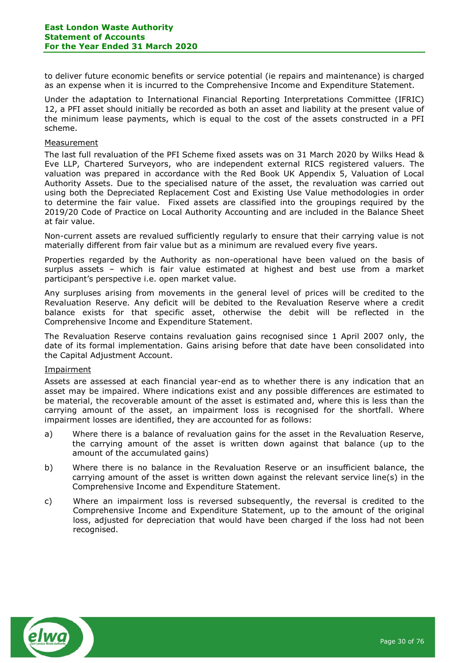to deliver future economic benefits or service potential (ie repairs and maintenance) is charged as an expense when it is incurred to the Comprehensive Income and Expenditure Statement.

Under the adaptation to International Financial Reporting Interpretations Committee (IFRIC) 12, a PFI asset should initially be recorded as both an asset and liability at the present value of the minimum lease payments, which is equal to the cost of the assets constructed in a PFI scheme.

#### Measurement

The last full revaluation of the PFI Scheme fixed assets was on 31 March 2020 by Wilks Head & Eve LLP, Chartered Surveyors, who are independent external RICS registered valuers. The valuation was prepared in accordance with the Red Book UK Appendix 5, Valuation of Local Authority Assets. Due to the specialised nature of the asset, the revaluation was carried out using both the Depreciated Replacement Cost and Existing Use Value methodologies in order to determine the fair value. Fixed assets are classified into the groupings required by the 2019/20 Code of Practice on Local Authority Accounting and are included in the Balance Sheet at fair value.

Non-current assets are revalued sufficiently regularly to ensure that their carrying value is not materially different from fair value but as a minimum are revalued every five years.

Properties regarded by the Authority as non-operational have been valued on the basis of surplus assets – which is fair value estimated at highest and best use from a market participant's perspective i.e. open market value.

Any surpluses arising from movements in the general level of prices will be credited to the Revaluation Reserve. Any deficit will be debited to the Revaluation Reserve where a credit balance exists for that specific asset, otherwise the debit will be reflected in the Comprehensive Income and Expenditure Statement.

The Revaluation Reserve contains revaluation gains recognised since 1 April 2007 only, the date of its formal implementation. Gains arising before that date have been consolidated into the Capital Adjustment Account.

## Impairment

Assets are assessed at each financial year-end as to whether there is any indication that an asset may be impaired. Where indications exist and any possible differences are estimated to be material, the recoverable amount of the asset is estimated and, where this is less than the carrying amount of the asset, an impairment loss is recognised for the shortfall. Where impairment losses are identified, they are accounted for as follows:

- a) Where there is a balance of revaluation gains for the asset in the Revaluation Reserve, the carrying amount of the asset is written down against that balance (up to the amount of the accumulated gains)
- b) Where there is no balance in the Revaluation Reserve or an insufficient balance, the carrying amount of the asset is written down against the relevant service line(s) in the Comprehensive Income and Expenditure Statement.
- c) Where an impairment loss is reversed subsequently, the reversal is credited to the Comprehensive Income and Expenditure Statement, up to the amount of the original loss, adjusted for depreciation that would have been charged if the loss had not been recognised.

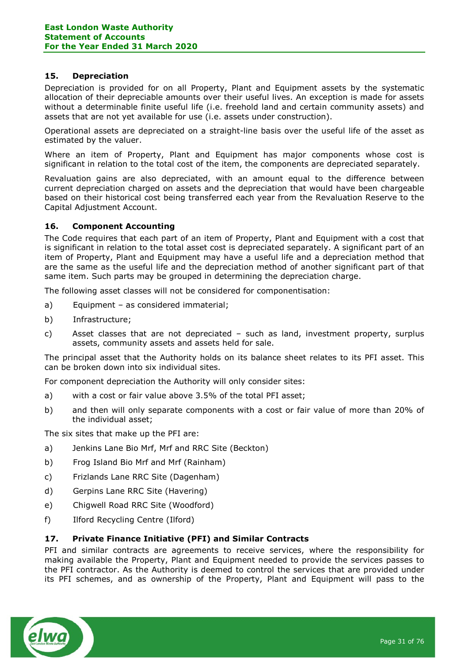## 15. Depreciation

Depreciation is provided for on all Property, Plant and Equipment assets by the systematic allocation of their depreciable amounts over their useful lives. An exception is made for assets without a determinable finite useful life (i.e. freehold land and certain community assets) and assets that are not yet available for use (i.e. assets under construction).

Operational assets are depreciated on a straight-line basis over the useful life of the asset as estimated by the valuer.

Where an item of Property, Plant and Equipment has major components whose cost is significant in relation to the total cost of the item, the components are depreciated separately.

Revaluation gains are also depreciated, with an amount equal to the difference between current depreciation charged on assets and the depreciation that would have been chargeable based on their historical cost being transferred each year from the Revaluation Reserve to the Capital Adjustment Account.

# 16. Component Accounting

The Code requires that each part of an item of Property, Plant and Equipment with a cost that is significant in relation to the total asset cost is depreciated separately. A significant part of an item of Property, Plant and Equipment may have a useful life and a depreciation method that are the same as the useful life and the depreciation method of another significant part of that same item. Such parts may be grouped in determining the depreciation charge.

The following asset classes will not be considered for componentisation:

- a) Equipment as considered immaterial;
- b) Infrastructure;
- c) Asset classes that are not depreciated such as land, investment property, surplus assets, community assets and assets held for sale.

The principal asset that the Authority holds on its balance sheet relates to its PFI asset. This can be broken down into six individual sites.

For component depreciation the Authority will only consider sites:

- a) with a cost or fair value above 3.5% of the total PFI asset;
- b) and then will only separate components with a cost or fair value of more than 20% of the individual asset;

The six sites that make up the PFI are:

- a) Jenkins Lane Bio Mrf, Mrf and RRC Site (Beckton)
- b) Frog Island Bio Mrf and Mrf (Rainham)
- c) Frizlands Lane RRC Site (Dagenham)
- d) Gerpins Lane RRC Site (Havering)
- e) Chigwell Road RRC Site (Woodford)
- f) Ilford Recycling Centre (Ilford)

## 17. Private Finance Initiative (PFI) and Similar Contracts

PFI and similar contracts are agreements to receive services, where the responsibility for making available the Property, Plant and Equipment needed to provide the services passes to the PFI contractor. As the Authority is deemed to control the services that are provided under its PFI schemes, and as ownership of the Property, Plant and Equipment will pass to the

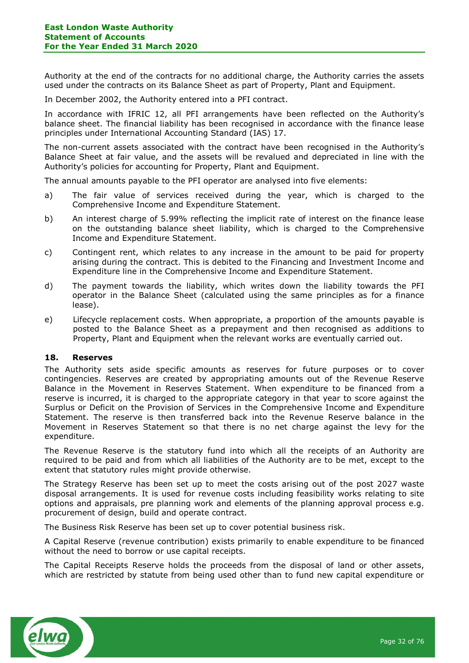Authority at the end of the contracts for no additional charge, the Authority carries the assets used under the contracts on its Balance Sheet as part of Property, Plant and Equipment.

In December 2002, the Authority entered into a PFI contract.

In accordance with IFRIC 12, all PFI arrangements have been reflected on the Authority's balance sheet. The financial liability has been recognised in accordance with the finance lease principles under International Accounting Standard (IAS) 17.

The non-current assets associated with the contract have been recognised in the Authority's Balance Sheet at fair value, and the assets will be revalued and depreciated in line with the Authority's policies for accounting for Property, Plant and Equipment.

The annual amounts payable to the PFI operator are analysed into five elements:

- a) The fair value of services received during the year, which is charged to the Comprehensive Income and Expenditure Statement.
- b) An interest charge of 5.99% reflecting the implicit rate of interest on the finance lease on the outstanding balance sheet liability, which is charged to the Comprehensive Income and Expenditure Statement.
- c) Contingent rent, which relates to any increase in the amount to be paid for property arising during the contract. This is debited to the Financing and Investment Income and Expenditure line in the Comprehensive Income and Expenditure Statement.
- d) The payment towards the liability, which writes down the liability towards the PFI operator in the Balance Sheet (calculated using the same principles as for a finance lease).
- e) Lifecycle replacement costs. When appropriate, a proportion of the amounts payable is posted to the Balance Sheet as a prepayment and then recognised as additions to Property, Plant and Equipment when the relevant works are eventually carried out.

## 18. Reserves

The Authority sets aside specific amounts as reserves for future purposes or to cover contingencies. Reserves are created by appropriating amounts out of the Revenue Reserve Balance in the Movement in Reserves Statement. When expenditure to be financed from a reserve is incurred, it is charged to the appropriate category in that year to score against the Surplus or Deficit on the Provision of Services in the Comprehensive Income and Expenditure Statement. The reserve is then transferred back into the Revenue Reserve balance in the Movement in Reserves Statement so that there is no net charge against the levy for the expenditure.

The Revenue Reserve is the statutory fund into which all the receipts of an Authority are required to be paid and from which all liabilities of the Authority are to be met, except to the extent that statutory rules might provide otherwise.

The Strategy Reserve has been set up to meet the costs arising out of the post 2027 waste disposal arrangements. It is used for revenue costs including feasibility works relating to site options and appraisals, pre planning work and elements of the planning approval process e.g. procurement of design, build and operate contract.

The Business Risk Reserve has been set up to cover potential business risk.

A Capital Reserve (revenue contribution) exists primarily to enable expenditure to be financed without the need to borrow or use capital receipts.

The Capital Receipts Reserve holds the proceeds from the disposal of land or other assets, which are restricted by statute from being used other than to fund new capital expenditure or

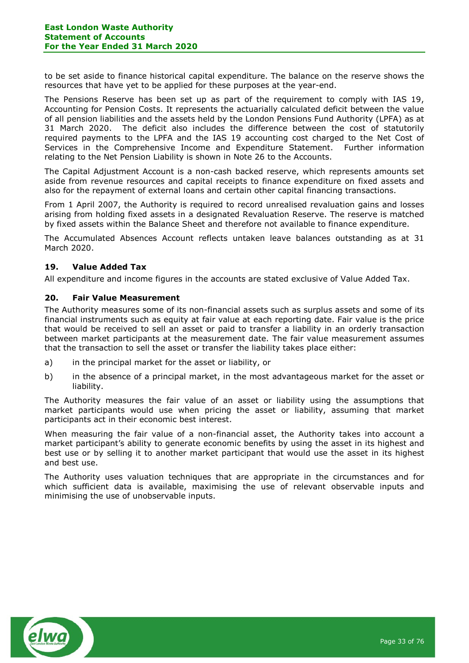to be set aside to finance historical capital expenditure. The balance on the reserve shows the resources that have yet to be applied for these purposes at the year-end.

The Pensions Reserve has been set up as part of the requirement to comply with IAS 19, Accounting for Pension Costs. It represents the actuarially calculated deficit between the value of all pension liabilities and the assets held by the London Pensions Fund Authority (LPFA) as at 31 March 2020. The deficit also includes the difference between the cost of statutorily required payments to the LPFA and the IAS 19 accounting cost charged to the Net Cost of Services in the Comprehensive Income and Expenditure Statement. Further information relating to the Net Pension Liability is shown in Note 26 to the Accounts.

The Capital Adjustment Account is a non-cash backed reserve, which represents amounts set aside from revenue resources and capital receipts to finance expenditure on fixed assets and also for the repayment of external loans and certain other capital financing transactions.

From 1 April 2007, the Authority is required to record unrealised revaluation gains and losses arising from holding fixed assets in a designated Revaluation Reserve. The reserve is matched by fixed assets within the Balance Sheet and therefore not available to finance expenditure.

The Accumulated Absences Account reflects untaken leave balances outstanding as at 31 March 2020.

## 19. Value Added Tax

All expenditure and income figures in the accounts are stated exclusive of Value Added Tax.

## 20. Fair Value Measurement

The Authority measures some of its non-financial assets such as surplus assets and some of its financial instruments such as equity at fair value at each reporting date. Fair value is the price that would be received to sell an asset or paid to transfer a liability in an orderly transaction between market participants at the measurement date. The fair value measurement assumes that the transaction to sell the asset or transfer the liability takes place either:

- a) in the principal market for the asset or liability, or
- b) in the absence of a principal market, in the most advantageous market for the asset or liability.

The Authority measures the fair value of an asset or liability using the assumptions that market participants would use when pricing the asset or liability, assuming that market participants act in their economic best interest.

When measuring the fair value of a non-financial asset, the Authority takes into account a market participant's ability to generate economic benefits by using the asset in its highest and best use or by selling it to another market participant that would use the asset in its highest and best use.

The Authority uses valuation techniques that are appropriate in the circumstances and for which sufficient data is available, maximising the use of relevant observable inputs and minimising the use of unobservable inputs.

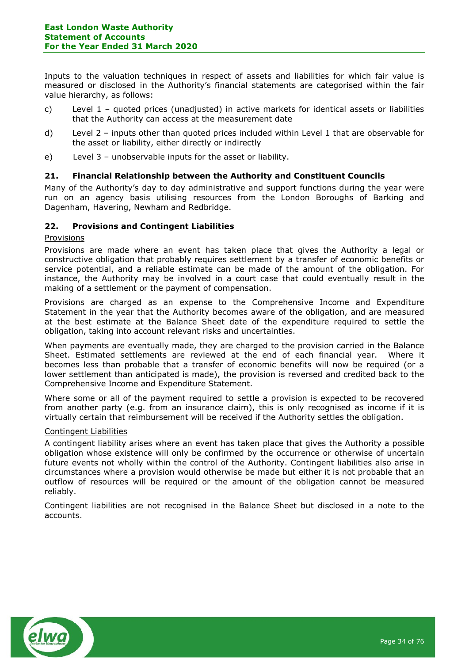Inputs to the valuation techniques in respect of assets and liabilities for which fair value is measured or disclosed in the Authority's financial statements are categorised within the fair value hierarchy, as follows:

- c) Level 1 quoted prices (unadjusted) in active markets for identical assets or liabilities that the Authority can access at the measurement date
- d) Level 2 inputs other than quoted prices included within Level 1 that are observable for the asset or liability, either directly or indirectly
- e) Level 3 unobservable inputs for the asset or liability.

## 21. Financial Relationship between the Authority and Constituent Councils

Many of the Authority's day to day administrative and support functions during the year were run on an agency basis utilising resources from the London Boroughs of Barking and Dagenham, Havering, Newham and Redbridge.

## 22. Provisions and Contingent Liabilities

## Provisions

Provisions are made where an event has taken place that gives the Authority a legal or constructive obligation that probably requires settlement by a transfer of economic benefits or service potential, and a reliable estimate can be made of the amount of the obligation. For instance, the Authority may be involved in a court case that could eventually result in the making of a settlement or the payment of compensation.

Provisions are charged as an expense to the Comprehensive Income and Expenditure Statement in the year that the Authority becomes aware of the obligation, and are measured at the best estimate at the Balance Sheet date of the expenditure required to settle the obligation, taking into account relevant risks and uncertainties.

When payments are eventually made, they are charged to the provision carried in the Balance Sheet. Estimated settlements are reviewed at the end of each financial year. Where it becomes less than probable that a transfer of economic benefits will now be required (or a lower settlement than anticipated is made), the provision is reversed and credited back to the Comprehensive Income and Expenditure Statement.

Where some or all of the payment required to settle a provision is expected to be recovered from another party (e.g. from an insurance claim), this is only recognised as income if it is virtually certain that reimbursement will be received if the Authority settles the obligation.

## Contingent Liabilities

A contingent liability arises where an event has taken place that gives the Authority a possible obligation whose existence will only be confirmed by the occurrence or otherwise of uncertain future events not wholly within the control of the Authority. Contingent liabilities also arise in circumstances where a provision would otherwise be made but either it is not probable that an outflow of resources will be required or the amount of the obligation cannot be measured reliably.

Contingent liabilities are not recognised in the Balance Sheet but disclosed in a note to the accounts.

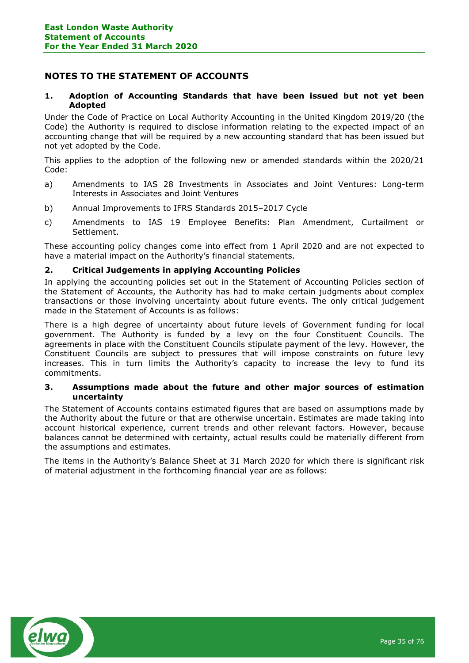# NOTES TO THE STATEMENT OF ACCOUNTS

## 1. Adoption of Accounting Standards that have been issued but not yet been Adopted

Under the Code of Practice on Local Authority Accounting in the United Kingdom 2019/20 (the Code) the Authority is required to disclose information relating to the expected impact of an accounting change that will be required by a new accounting standard that has been issued but not yet adopted by the Code.

This applies to the adoption of the following new or amended standards within the 2020/21 Code:

- a) Amendments to IAS 28 Investments in Associates and Joint Ventures: Long-term Interests in Associates and Joint Ventures
- b) Annual Improvements to IFRS Standards 2015–2017 Cycle
- c) Amendments to IAS 19 Employee Benefits: Plan Amendment, Curtailment or Settlement.

These accounting policy changes come into effect from 1 April 2020 and are not expected to have a material impact on the Authority's financial statements.

## 2. Critical Judgements in applying Accounting Policies

In applying the accounting policies set out in the Statement of Accounting Policies section of the Statement of Accounts, the Authority has had to make certain judgments about complex transactions or those involving uncertainty about future events. The only critical judgement made in the Statement of Accounts is as follows:

There is a high degree of uncertainty about future levels of Government funding for local government. The Authority is funded by a levy on the four Constituent Councils. The agreements in place with the Constituent Councils stipulate payment of the levy. However, the Constituent Councils are subject to pressures that will impose constraints on future levy increases. This in turn limits the Authority's capacity to increase the levy to fund its commitments.

#### 3. Assumptions made about the future and other major sources of estimation uncertainty

The Statement of Accounts contains estimated figures that are based on assumptions made by the Authority about the future or that are otherwise uncertain. Estimates are made taking into account historical experience, current trends and other relevant factors. However, because balances cannot be determined with certainty, actual results could be materially different from the assumptions and estimates.

The items in the Authority's Balance Sheet at 31 March 2020 for which there is significant risk of material adjustment in the forthcoming financial year are as follows:

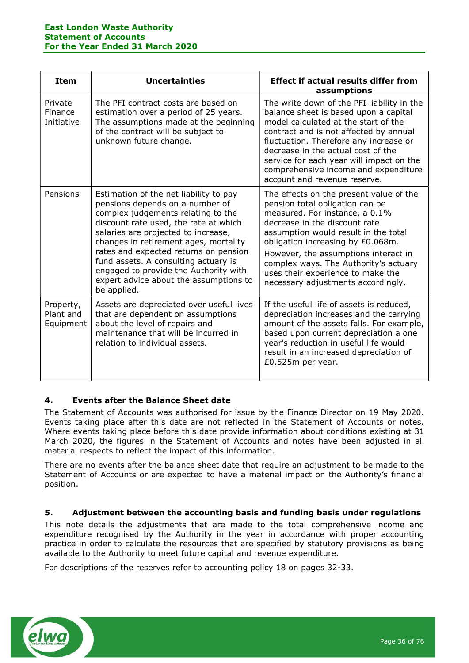| <b>Item</b>                         | <b>Uncertainties</b>                                                                                                                                                                                                                                                                                                                                                                                                        | <b>Effect if actual results differ from</b><br>assumptions                                                                                                                                                                                                                                                                                                                             |
|-------------------------------------|-----------------------------------------------------------------------------------------------------------------------------------------------------------------------------------------------------------------------------------------------------------------------------------------------------------------------------------------------------------------------------------------------------------------------------|----------------------------------------------------------------------------------------------------------------------------------------------------------------------------------------------------------------------------------------------------------------------------------------------------------------------------------------------------------------------------------------|
| Private<br>Finance<br>Initiative    | The PFI contract costs are based on<br>estimation over a period of 25 years.<br>The assumptions made at the beginning<br>of the contract will be subject to<br>unknown future change.                                                                                                                                                                                                                                       | The write down of the PFI liability in the<br>balance sheet is based upon a capital<br>model calculated at the start of the<br>contract and is not affected by annual<br>fluctuation. Therefore any increase or<br>decrease in the actual cost of the<br>service for each year will impact on the<br>comprehensive income and expenditure<br>account and revenue reserve.              |
| Pensions                            | Estimation of the net liability to pay<br>pensions depends on a number of<br>complex judgements relating to the<br>discount rate used, the rate at which<br>salaries are projected to increase,<br>changes in retirement ages, mortality<br>rates and expected returns on pension<br>fund assets. A consulting actuary is<br>engaged to provide the Authority with<br>expert advice about the assumptions to<br>be applied. | The effects on the present value of the<br>pension total obligation can be<br>measured. For instance, a 0.1%<br>decrease in the discount rate<br>assumption would result in the total<br>obligation increasing by £0.068m.<br>However, the assumptions interact in<br>complex ways. The Authority's actuary<br>uses their experience to make the<br>necessary adjustments accordingly. |
| Property,<br>Plant and<br>Equipment | Assets are depreciated over useful lives<br>that are dependent on assumptions<br>about the level of repairs and<br>maintenance that will be incurred in<br>relation to individual assets.                                                                                                                                                                                                                                   | If the useful life of assets is reduced,<br>depreciation increases and the carrying<br>amount of the assets falls. For example,<br>based upon current depreciation a one<br>year's reduction in useful life would<br>result in an increased depreciation of<br>£0.525m per year.                                                                                                       |

# 4. Events after the Balance Sheet date

The Statement of Accounts was authorised for issue by the Finance Director on 19 May 2020. Events taking place after this date are not reflected in the Statement of Accounts or notes. Where events taking place before this date provide information about conditions existing at 31 March 2020, the figures in the Statement of Accounts and notes have been adjusted in all material respects to reflect the impact of this information.

There are no events after the balance sheet date that require an adjustment to be made to the Statement of Accounts or are expected to have a material impact on the Authority's financial position.

# 5. Adjustment between the accounting basis and funding basis under regulations

This note details the adjustments that are made to the total comprehensive income and expenditure recognised by the Authority in the year in accordance with proper accounting practice in order to calculate the resources that are specified by statutory provisions as being available to the Authority to meet future capital and revenue expenditure.

For descriptions of the reserves refer to accounting policy 18 on pages 32-33.

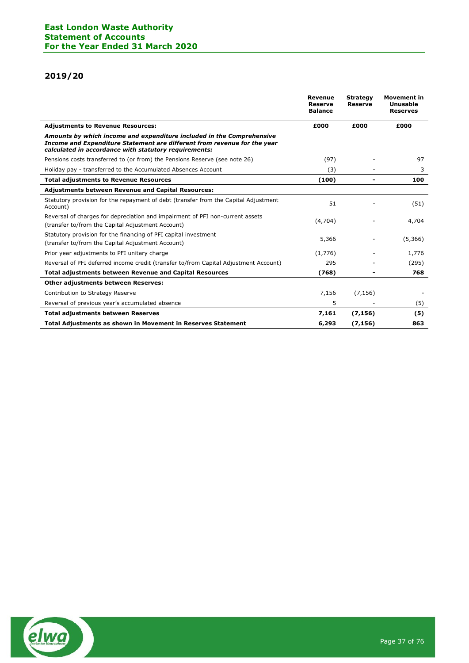# 2019/20

|                                                                                                                                                                                                            | Revenue<br><b>Reserve</b><br><b>Balance</b> | <b>Strategy</b><br><b>Reserve</b> | <b>Movement in</b><br>Unusable<br><b>Reserves</b> |
|------------------------------------------------------------------------------------------------------------------------------------------------------------------------------------------------------------|---------------------------------------------|-----------------------------------|---------------------------------------------------|
| <b>Adjustments to Revenue Resources:</b>                                                                                                                                                                   | £000                                        | £000                              | £000                                              |
| Amounts by which income and expenditure included in the Comprehensive<br>Income and Expenditure Statement are different from revenue for the year<br>calculated in accordance with statutory requirements: |                                             |                                   |                                                   |
| Pensions costs transferred to (or from) the Pensions Reserve (see note 26)                                                                                                                                 | (97)                                        |                                   | 97                                                |
| Holiday pay - transferred to the Accumulated Absences Account                                                                                                                                              | (3)                                         |                                   | 3                                                 |
| <b>Total adjustments to Revenue Resources</b>                                                                                                                                                              | (100)                                       |                                   | 100                                               |
| <b>Adjustments between Revenue and Capital Resources:</b>                                                                                                                                                  |                                             |                                   |                                                   |
| Statutory provision for the repayment of debt (transfer from the Capital Adjustment<br>Account)                                                                                                            | 51                                          |                                   | (51)                                              |
| Reversal of charges for depreciation and impairment of PFI non-current assets<br>(transfer to/from the Capital Adjustment Account)                                                                         | (4,704)                                     |                                   | 4,704                                             |
| Statutory provision for the financing of PFI capital investment<br>(transfer to/from the Capital Adjustment Account)                                                                                       | 5,366                                       |                                   | (5,366)                                           |
| Prior year adjustments to PFI unitary charge                                                                                                                                                               | (1,776)                                     |                                   | 1,776                                             |
| Reversal of PFI deferred income credit (transfer to/from Capital Adjustment Account)                                                                                                                       | 295                                         |                                   | (295)                                             |
| <b>Total adjustments between Revenue and Capital Resources</b>                                                                                                                                             | (768)                                       |                                   | 768                                               |
| <b>Other adjustments between Reserves:</b>                                                                                                                                                                 |                                             |                                   |                                                   |
| Contribution to Strategy Reserve                                                                                                                                                                           | 7,156                                       | (7, 156)                          |                                                   |
| Reversal of previous year's accumulated absence                                                                                                                                                            | 5                                           |                                   | (5)                                               |
| <b>Total adjustments between Reserves</b>                                                                                                                                                                  | 7,161                                       | (7, 156)                          | (5)                                               |
| <b>Total Adjustments as shown in Movement in Reserves Statement</b>                                                                                                                                        | 6,293                                       | (7, 156)                          | 863                                               |

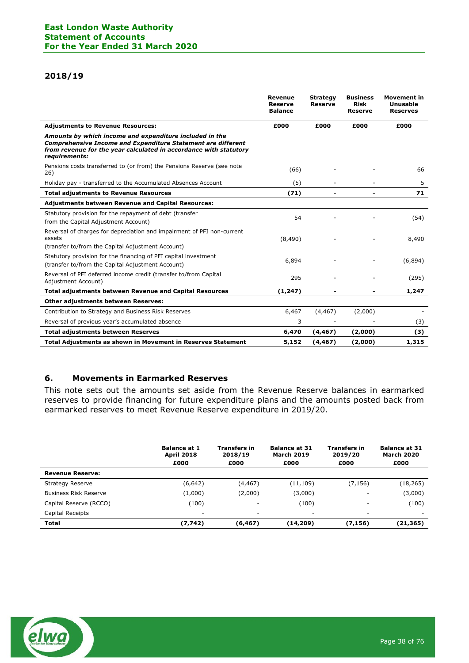## 2018/19

|                                                                                                                                                                                                                      | <b>Revenue</b><br><b>Reserve</b><br><b>Balance</b> | <b>Strategy</b><br><b>Reserve</b> | <b>Business</b><br><b>Risk</b><br><b>Reserve</b> | <b>Movement in</b><br>Unusable<br><b>Reserves</b> |
|----------------------------------------------------------------------------------------------------------------------------------------------------------------------------------------------------------------------|----------------------------------------------------|-----------------------------------|--------------------------------------------------|---------------------------------------------------|
| <b>Adjustments to Revenue Resources:</b>                                                                                                                                                                             | £000                                               | £000                              | £000                                             | £000                                              |
| Amounts by which income and expenditure included in the<br><b>Comprehensive Income and Expenditure Statement are different</b><br>from revenue for the year calculated in accordance with statutory<br>requirements: |                                                    |                                   |                                                  |                                                   |
| Pensions costs transferred to (or from) the Pensions Reserve (see note<br>26)                                                                                                                                        | (66)                                               |                                   |                                                  | 66                                                |
| Holiday pay - transferred to the Accumulated Absences Account                                                                                                                                                        | (5)                                                |                                   |                                                  | 5                                                 |
| <b>Total adjustments to Revenue Resources</b>                                                                                                                                                                        | (71)                                               |                                   |                                                  | 71                                                |
| Adjustments between Revenue and Capital Resources:                                                                                                                                                                   |                                                    |                                   |                                                  |                                                   |
| Statutory provision for the repayment of debt (transfer<br>from the Capital Adjustment Account)                                                                                                                      | 54                                                 |                                   |                                                  | (54)                                              |
| Reversal of charges for depreciation and impairment of PFI non-current<br>assets                                                                                                                                     | (8,490)                                            |                                   |                                                  | 8,490                                             |
| (transfer to/from the Capital Adjustment Account)                                                                                                                                                                    |                                                    |                                   |                                                  |                                                   |
| Statutory provision for the financing of PFI capital investment<br>(transfer to/from the Capital Adjustment Account)                                                                                                 | 6,894                                              |                                   |                                                  | (6,894)                                           |
| Reversal of PFI deferred income credit (transfer to/from Capital<br>Adjustment Account)                                                                                                                              | 295                                                |                                   |                                                  | (295)                                             |
| <b>Total adjustments between Revenue and Capital Resources</b>                                                                                                                                                       | (1, 247)                                           |                                   |                                                  | 1,247                                             |
| <b>Other adjustments between Reserves:</b>                                                                                                                                                                           |                                                    |                                   |                                                  |                                                   |
| Contribution to Strategy and Business Risk Reserves                                                                                                                                                                  | 6,467                                              | (4, 467)                          | (2,000)                                          |                                                   |
| Reversal of previous year's accumulated absence                                                                                                                                                                      | 3                                                  |                                   |                                                  | (3)                                               |
| <b>Total adjustments between Reserves</b>                                                                                                                                                                            | 6,470                                              | (4, 467)                          | (2,000)                                          | (3)                                               |
| Total Adjustments as shown in Movement in Reserves Statement                                                                                                                                                         | 5,152                                              | (4,467)                           | (2,000)                                          | 1,315                                             |

# 6. Movements in Earmarked Reserves

This note sets out the amounts set aside from the Revenue Reserve balances in earmarked reserves to provide financing for future expenditure plans and the amounts posted back from earmarked reserves to meet Revenue Reserve expenditure in 2019/20.

|                              | <b>Balance at 1</b><br><b>April 2018</b> | <b>Transfers in</b><br>2018/19 | <b>Balance at 31</b><br><b>March 2019</b> | <b>Transfers in</b><br>2019/20 | <b>Balance at 31</b><br><b>March 2020</b> |
|------------------------------|------------------------------------------|--------------------------------|-------------------------------------------|--------------------------------|-------------------------------------------|
|                              | £000                                     | £000                           | £000                                      | £000                           | £000                                      |
| <b>Revenue Reserve:</b>      |                                          |                                |                                           |                                |                                           |
| <b>Strategy Reserve</b>      | (6, 642)                                 | (4, 467)                       | (11, 109)                                 | (7, 156)                       | (18, 265)                                 |
| <b>Business Risk Reserve</b> | (1,000)                                  | (2,000)                        | (3,000)                                   | -                              | (3,000)                                   |
| Capital Reserve (RCCO)       | (100)                                    | ۰                              | (100)                                     | -                              | (100)                                     |
| Capital Receipts             | $\overline{\phantom{a}}$                 | ۰                              | $\overline{\phantom{a}}$                  | ۰                              | -                                         |
| <b>Total</b>                 | (7, 742)                                 | (6, 467)                       | (14,209)                                  | (7, 156)                       | (21,365)                                  |

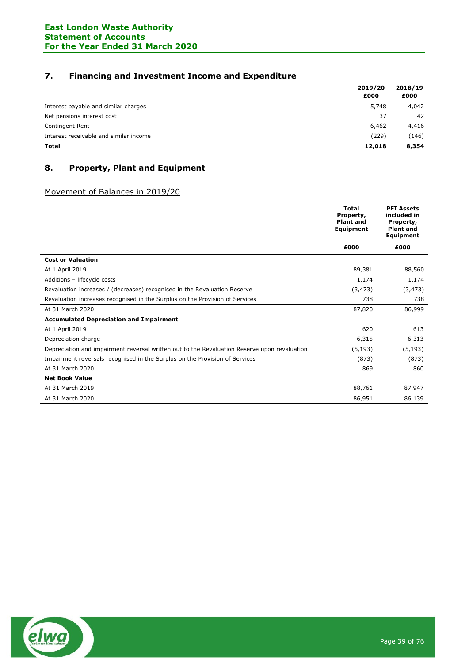# 7. Financing and Investment Income and Expenditure

|                                        | 2019/20 | 2018/19 |
|----------------------------------------|---------|---------|
|                                        | £000    | £000    |
| Interest payable and similar charges   | 5,748   | 4,042   |
| Net pensions interest cost             | 37      | 42      |
| Contingent Rent                        | 6,462   | 4,416   |
| Interest receivable and similar income | (229)   | (146)   |
| <b>Total</b>                           | 12,018  | 8,354   |

# 8. Property, Plant and Equipment

# Movement of Balances in 2019/20

|                                                                                              | <b>Total</b><br>Property,<br><b>Plant and</b><br>Equipment | <b>PFI Assets</b><br>included in<br>Property,<br><b>Plant and</b><br>Equipment |
|----------------------------------------------------------------------------------------------|------------------------------------------------------------|--------------------------------------------------------------------------------|
|                                                                                              | £000                                                       | £000                                                                           |
| <b>Cost or Valuation</b>                                                                     |                                                            |                                                                                |
| At 1 April 2019                                                                              | 89,381                                                     | 88,560                                                                         |
| Additions - lifecycle costs                                                                  | 1,174                                                      | 1,174                                                                          |
| Revaluation increases / (decreases) recognised in the Revaluation Reserve                    | (3, 473)                                                   | (3, 473)                                                                       |
| Revaluation increases recognised in the Surplus on the Provision of Services                 | 738                                                        | 738                                                                            |
| At 31 March 2020                                                                             | 87,820                                                     | 86,999                                                                         |
| <b>Accumulated Depreciation and Impairment</b>                                               |                                                            |                                                                                |
| At 1 April 2019                                                                              | 620                                                        | 613                                                                            |
| Depreciation charge                                                                          | 6,315                                                      | 6,313                                                                          |
| Depreciation and impairment reversal written out to the Revaluation Reserve upon revaluation | (5, 193)                                                   | (5, 193)                                                                       |
| Impairment reversals recognised in the Surplus on the Provision of Services                  | (873)                                                      | (873)                                                                          |
| At 31 March 2020                                                                             | 869                                                        | 860                                                                            |
| <b>Net Book Value</b>                                                                        |                                                            |                                                                                |
| At 31 March 2019                                                                             | 88,761                                                     | 87,947                                                                         |
| At 31 March 2020                                                                             | 86,951                                                     | 86,139                                                                         |

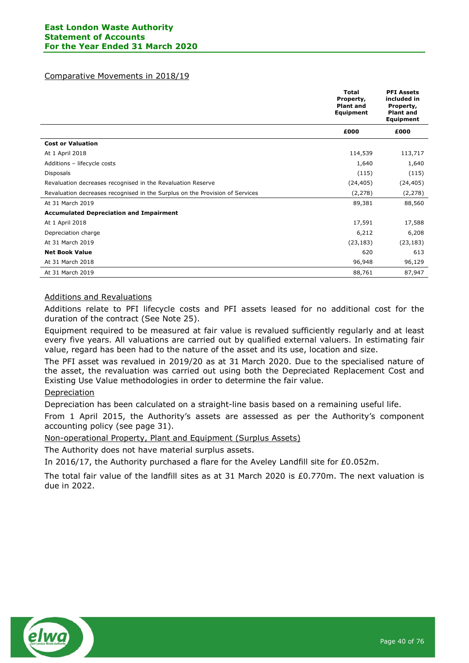## Comparative Movements in 2018/19

|                                                                              | <b>Total</b><br>Property,<br><b>Plant and</b><br>Equipment | <b>PFI Assets</b><br>included in<br>Property,<br><b>Plant and</b><br>Equipment |
|------------------------------------------------------------------------------|------------------------------------------------------------|--------------------------------------------------------------------------------|
|                                                                              | £000                                                       | £000                                                                           |
| <b>Cost or Valuation</b>                                                     |                                                            |                                                                                |
| At 1 April 2018                                                              | 114,539                                                    | 113,717                                                                        |
| Additions - lifecycle costs                                                  | 1,640                                                      | 1,640                                                                          |
| Disposals                                                                    | (115)                                                      | (115)                                                                          |
| Revaluation decreases recognised in the Revaluation Reserve                  | (24, 405)                                                  | (24, 405)                                                                      |
| Revaluation decreases recognised in the Surplus on the Provision of Services | (2, 278)                                                   | (2, 278)                                                                       |
| At 31 March 2019                                                             | 89,381                                                     | 88,560                                                                         |
| <b>Accumulated Depreciation and Impairment</b>                               |                                                            |                                                                                |
| At 1 April 2018                                                              | 17,591                                                     | 17,588                                                                         |
| Depreciation charge                                                          | 6,212                                                      | 6,208                                                                          |
| At 31 March 2019                                                             | (23, 183)                                                  | (23, 183)                                                                      |
| <b>Net Book Value</b>                                                        | 620                                                        | 613                                                                            |
| At 31 March 2018                                                             | 96,948                                                     | 96,129                                                                         |
| At 31 March 2019                                                             | 88,761                                                     | 87,947                                                                         |

## Additions and Revaluations

Additions relate to PFI lifecycle costs and PFI assets leased for no additional cost for the duration of the contract (See Note 25).

Equipment required to be measured at fair value is revalued sufficiently regularly and at least every five years. All valuations are carried out by qualified external valuers. In estimating fair value, regard has been had to the nature of the asset and its use, location and size.

The PFI asset was revalued in 2019/20 as at 31 March 2020. Due to the specialised nature of the asset, the revaluation was carried out using both the Depreciated Replacement Cost and Existing Use Value methodologies in order to determine the fair value.

## Depreciation

Depreciation has been calculated on a straight-line basis based on a remaining useful life.

From 1 April 2015, the Authority's assets are assessed as per the Authority's component accounting policy (see page 31).

Non-operational Property, Plant and Equipment (Surplus Assets)

The Authority does not have material surplus assets.

In 2016/17, the Authority purchased a flare for the Aveley Landfill site for £0.052m.

The total fair value of the landfill sites as at 31 March 2020 is £0.770m. The next valuation is due in 2022.

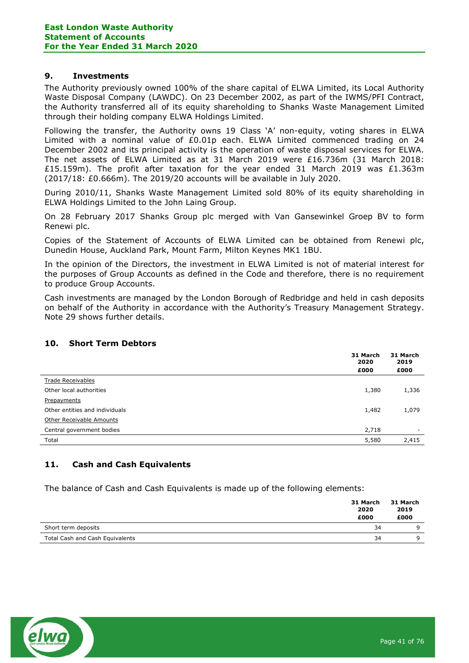## 9. Investments

The Authority previously owned 100% of the share capital of ELWA Limited, its Local Authority Waste Disposal Company (LAWDC). On 23 December 2002, as part of the IWMS/PFI Contract, the Authority transferred all of its equity shareholding to Shanks Waste Management Limited through their holding company ELWA Holdings Limited.

Following the transfer, the Authority owns 19 Class 'A' non-equity, voting shares in ELWA Limited with a nominal value of £0.01p each. ELWA Limited commenced trading on 24 December 2002 and its principal activity is the operation of waste disposal services for ELWA. The net assets of ELWA Limited as at 31 March 2019 were £16.736m (31 March 2018: £15.159m). The profit after taxation for the year ended 31 March 2019 was £1.363m (2017/18: £0.666m). The 2019/20 accounts will be available in July 2020.

During 2010/11, Shanks Waste Management Limited sold 80% of its equity shareholding in ELWA Holdings Limited to the John Laing Group.

On 28 February 2017 Shanks Group plc merged with Van Gansewinkel Groep BV to form Renewi plc.

Copies of the Statement of Accounts of ELWA Limited can be obtained from Renewi plc, Dunedin House, Auckland Park, Mount Farm, Milton Keynes MK1 1BU.

In the opinion of the Directors, the investment in ELWA Limited is not of material interest for the purposes of Group Accounts as defined in the Code and therefore, there is no requirement to produce Group Accounts.

Cash investments are managed by the London Borough of Redbridge and held in cash deposits on behalf of the Authority in accordance with the Authority's Treasury Management Strategy. Note 29 shows further details.

## 10. Short Term Debtors

|                                | 31 March<br>2020 | 31 March<br>2019 |
|--------------------------------|------------------|------------------|
|                                | £000             | £000             |
| <b>Trade Receivables</b>       |                  |                  |
| Other local authorities        | 1,380            | 1,336            |
| Prepayments                    |                  |                  |
| Other entities and individuals | 1,482            | 1,079            |
| Other Receivable Amounts       |                  |                  |
| Central government bodies      | 2,718            | ۰                |
| Total                          | 5,580            | 2,415            |

## 11. Cash and Cash Equivalents

The balance of Cash and Cash Equivalents is made up of the following elements:

|                                 | 31 March<br>2020<br>£000 | 31 March<br>2019<br>£000 |
|---------------------------------|--------------------------|--------------------------|
| Short term deposits             | 34                       |                          |
| Total Cash and Cash Equivalents | 34                       |                          |

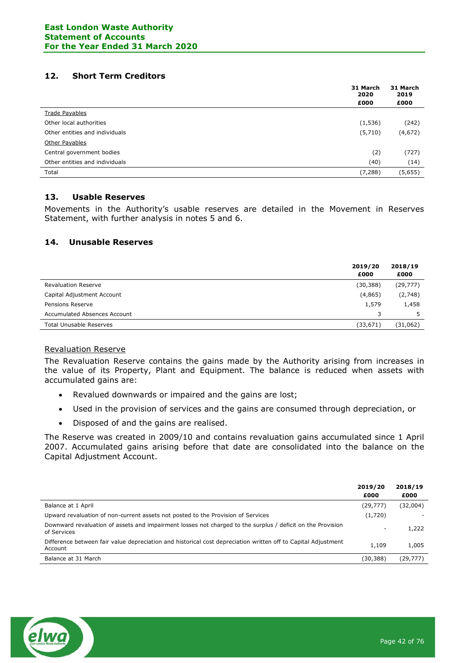## 12. Short Term Creditors

|                                | 31 March<br>2020 | 31 March<br>2019 |
|--------------------------------|------------------|------------------|
|                                | £000             | £000             |
| <b>Trade Payables</b>          |                  |                  |
| Other local authorities        | (1, 536)         | (242)            |
| Other entities and individuals | (5,710)          | (4,672)          |
| Other Payables                 |                  |                  |
| Central government bodies      | (2)              | (727)            |
| Other entities and individuals | (40)             | (14)             |
| Total                          | (7, 288)         | (5,655)          |

## 13. Usable Reserves

Movements in the Authority's usable reserves are detailed in the Movement in Reserves Statement, with further analysis in notes 5 and 6.

## 14. Unusable Reserves

|                                | 2019/20<br>£000 | 2018/19<br>£000 |
|--------------------------------|-----------------|-----------------|
| <b>Revaluation Reserve</b>     | (30, 388)       | (29, 777)       |
| Capital Adjustment Account     | (4,865)         | (2,748)         |
| Pensions Reserve               | 1,579           | 1,458           |
| Accumulated Absences Account   | 3               |                 |
| <b>Total Unusable Reserves</b> | (33, 671)       | (31,062)        |

## Revaluation Reserve

The Revaluation Reserve contains the gains made by the Authority arising from increases in the value of its Property, Plant and Equipment. The balance is reduced when assets with accumulated gains are:

- Revalued downwards or impaired and the gains are lost;
- Used in the provision of services and the gains are consumed through depreciation, or
- Disposed of and the gains are realised.

The Reserve was created in 2009/10 and contains revaluation gains accumulated since 1 April 2007. Accumulated gains arising before that date are consolidated into the balance on the Capital Adjustment Account.

|                                                                                                                           | 2019/20<br>£000 | 2018/19<br>£000 |
|---------------------------------------------------------------------------------------------------------------------------|-----------------|-----------------|
| Balance at 1 April                                                                                                        | (29, 777)       | (32,004)        |
| Upward revaluation of non-current assets not posted to the Provision of Services                                          | (1,720)         |                 |
| Downward revaluation of assets and impairment losses not charged to the surplus / deficit on the Provision<br>of Services | ۰               | 1,222           |
| Difference between fair value depreciation and historical cost depreciation written off to Capital Adjustment<br>Account  | 1,109           | 1,005           |
| Balance at 31 March                                                                                                       | (30,388)        | (29,777)        |

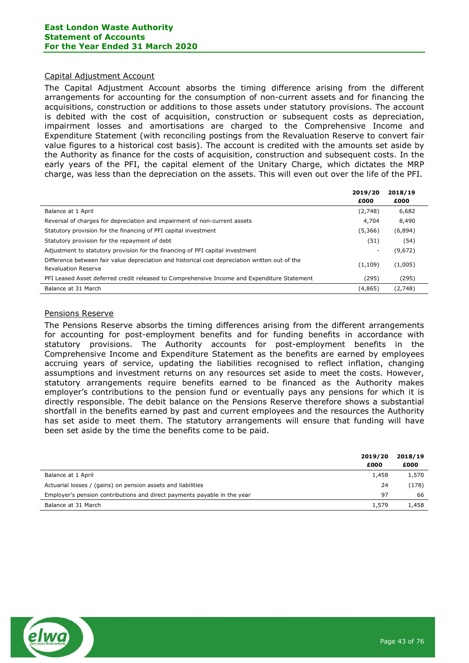### Capital Adjustment Account

The Capital Adjustment Account absorbs the timing difference arising from the different arrangements for accounting for the consumption of non-current assets and for financing the acquisitions, construction or additions to those assets under statutory provisions. The account is debited with the cost of acquisition, construction or subsequent costs as depreciation, impairment losses and amortisations are charged to the Comprehensive Income and Expenditure Statement (with reconciling postings from the Revaluation Reserve to convert fair value figures to a historical cost basis). The account is credited with the amounts set aside by the Authority as finance for the costs of acquisition, construction and subsequent costs. In the early years of the PFI, the capital element of the Unitary Charge, which dictates the MRP charge, was less than the depreciation on the assets. This will even out over the life of the PFI.

|                                                                                                                              | 2019/20<br>£000 | 2018/19<br>£000 |
|------------------------------------------------------------------------------------------------------------------------------|-----------------|-----------------|
| Balance at 1 April                                                                                                           | (2,748)         | 6,682           |
| Reversal of charges for depreciation and impairment of non-current assets                                                    | 4,704           | 8,490           |
| Statutory provision for the financing of PFI capital investment                                                              | (5,366)         | (6,894)         |
| Statutory provision for the repayment of debt                                                                                | (51)            | (54)            |
| Adjustment to statutory provision for the financing of PFI capital investment                                                |                 | (9,672)         |
| Difference between fair value depreciation and historical cost depreciation written out of the<br><b>Revaluation Reserve</b> | (1, 109)        | (1,005)         |
| PFI Leased Asset deferred credit released to Comprehensive Income and Expenditure Statement                                  | (295)           | (295)           |
| Balance at 31 March                                                                                                          | (4, 865)        | (2,748)         |
|                                                                                                                              |                 |                 |

## Pensions Reserve

The Pensions Reserve absorbs the timing differences arising from the different arrangements for accounting for post-employment benefits and for funding benefits in accordance with statutory provisions. The Authority accounts for post-employment benefits in the Comprehensive Income and Expenditure Statement as the benefits are earned by employees accruing years of service, updating the liabilities recognised to reflect inflation, changing assumptions and investment returns on any resources set aside to meet the costs. However, statutory arrangements require benefits earned to be financed as the Authority makes employer's contributions to the pension fund or eventually pays any pensions for which it is directly responsible. The debit balance on the Pensions Reserve therefore shows a substantial shortfall in the benefits earned by past and current employees and the resources the Authority has set aside to meet them. The statutory arrangements will ensure that funding will have been set aside by the time the benefits come to be paid.

|                                                                          | 2019/20<br>£000 | 2018/19<br>£000 |
|--------------------------------------------------------------------------|-----------------|-----------------|
| Balance at 1 April                                                       | 1,458           | 1,570           |
| Actuarial losses / (gains) on pension assets and liabilities             | 24              | (178)           |
| Employer's pension contributions and direct payments payable in the year | 97              | 66              |
| Balance at 31 March                                                      | 1,579           | 1,458           |

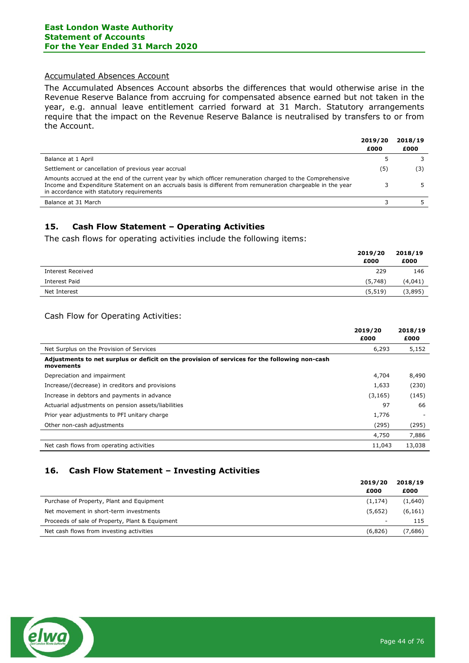## Accumulated Absences Account

The Accumulated Absences Account absorbs the differences that would otherwise arise in the Revenue Reserve Balance from accruing for compensated absence earned but not taken in the year, e.g. annual leave entitlement carried forward at 31 March. Statutory arrangements require that the impact on the Revenue Reserve Balance is neutralised by transfers to or from the Account.

|                                                                                                                                                                                                                                                                       | 2019/20<br>£000 | 2018/19<br>£000 |
|-----------------------------------------------------------------------------------------------------------------------------------------------------------------------------------------------------------------------------------------------------------------------|-----------------|-----------------|
| Balance at 1 April                                                                                                                                                                                                                                                    |                 |                 |
| Settlement or cancellation of previous year accrual                                                                                                                                                                                                                   | (5)             | (3)             |
| Amounts accrued at the end of the current year by which officer remuneration charged to the Comprehensive<br>Income and Expenditure Statement on an accruals basis is different from remuneration chargeable in the year<br>in accordance with statutory requirements |                 |                 |
| Balance at 31 March                                                                                                                                                                                                                                                   |                 |                 |

## 15. Cash Flow Statement – Operating Activities

The cash flows for operating activities include the following items:

|                   | 2019/20<br>£000 | 2018/19<br>£000 |
|-------------------|-----------------|-----------------|
| Interest Received | 229             | 146             |
| Interest Paid     | (5,748)         | (4,041)         |
| Net Interest      | (5, 519)        | (3,895)         |

## Cash Flow for Operating Activities:

|                                                                                                            | 2019/20<br>£000 | 2018/19<br>£000 |
|------------------------------------------------------------------------------------------------------------|-----------------|-----------------|
| Net Surplus on the Provision of Services                                                                   | 6,293           | 5,152           |
| Adjustments to net surplus or deficit on the provision of services for the following non-cash<br>movements |                 |                 |
| Depreciation and impairment                                                                                | 4,704           | 8,490           |
| Increase/(decrease) in creditors and provisions                                                            | 1,633           | (230)           |
| Increase in debtors and payments in advance                                                                | (3, 165)        | (145)           |
| Actuarial adjustments on pension assets/liabilities                                                        | 97              | 66              |
| Prior year adjustments to PFI unitary charge                                                               | 1,776           |                 |
| Other non-cash adjustments                                                                                 | (295)           | (295)           |
|                                                                                                            | 4,750           | 7,886           |
| Net cash flows from operating activities                                                                   | 11,043          | 13,038          |

# 16. Cash Flow Statement – Investing Activities

|                                                 | 2019/20  | 2018/19  |
|-------------------------------------------------|----------|----------|
|                                                 | £000     | £000     |
| Purchase of Property, Plant and Equipment       | (1, 174) | (1,640)  |
| Net movement in short-term investments          | (5,652)  | (6, 161) |
| Proceeds of sale of Property, Plant & Equipment | -        | 115      |
| Net cash flows from investing activities        | (6.826)  | (7,686)  |

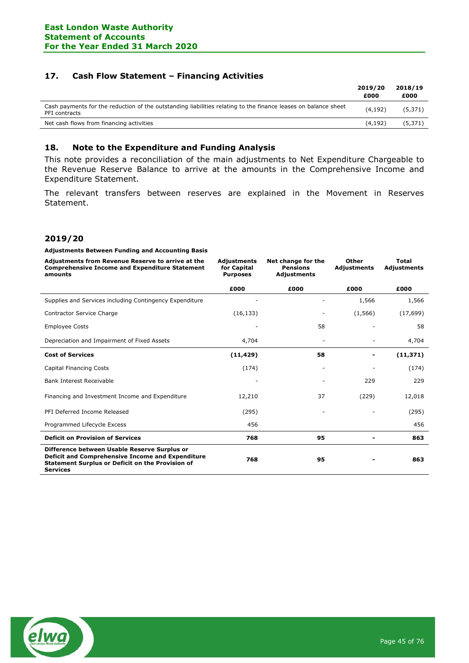## 17. Cash Flow Statement – Financing Activities

|                                                                                                                                 | 2019/20<br>£000 | 2018/19<br>£000 |
|---------------------------------------------------------------------------------------------------------------------------------|-----------------|-----------------|
| Cash payments for the reduction of the outstanding liabilities relating to the finance leases on balance sheet<br>PFI contracts | (4.192)         | (5,371)         |
| Net cash flows from financing activities                                                                                        | (4.192)         | (5, 371)        |
|                                                                                                                                 |                 |                 |

## 18. Note to the Expenditure and Funding Analysis

This note provides a reconciliation of the main adjustments to Net Expenditure Chargeable to the Revenue Reserve Balance to arrive at the amounts in the Comprehensive Income and Expenditure Statement.

The relevant transfers between reserves are explained in the Movement in Reserves Statement.

## 2019/20

#### Adjustments Between Funding and Accounting Basis

| Adjustments from Revenue Reserve to arrive at the<br><b>Comprehensive Income and Expenditure Statement</b><br>amounts                                                          | <b>Adjustments</b><br>for Capital<br><b>Purposes</b> | Net change for the<br><b>Pensions</b><br>Adjustments | Other<br><b>Adjustments</b> | <b>Total</b><br><b>Adjustments</b> |
|--------------------------------------------------------------------------------------------------------------------------------------------------------------------------------|------------------------------------------------------|------------------------------------------------------|-----------------------------|------------------------------------|
|                                                                                                                                                                                | £000                                                 | £000                                                 | £000                        | £000                               |
| Supplies and Services including Contingency Expenditure                                                                                                                        |                                                      | ٠                                                    | 1,566                       | 1,566                              |
| Contractor Service Charge                                                                                                                                                      | (16, 133)                                            | -                                                    | (1, 566)                    | (17, 699)                          |
| <b>Employee Costs</b>                                                                                                                                                          |                                                      | 58                                                   |                             | 58                                 |
| Depreciation and Impairment of Fixed Assets                                                                                                                                    | 4,704                                                | ٠                                                    |                             | 4,704                              |
| <b>Cost of Services</b>                                                                                                                                                        | (11, 429)                                            | 58                                                   |                             | (11, 371)                          |
| <b>Capital Financing Costs</b>                                                                                                                                                 | (174)                                                | ۰                                                    |                             | (174)                              |
| <b>Bank Interest Receivable</b>                                                                                                                                                |                                                      |                                                      | 229                         | 229                                |
| Financing and Investment Income and Expenditure                                                                                                                                | 12,210                                               | 37                                                   | (229)                       | 12,018                             |
| PFI Deferred Income Released                                                                                                                                                   | (295)                                                |                                                      |                             | (295)                              |
| Programmed Lifecycle Excess                                                                                                                                                    | 456                                                  |                                                      |                             | 456                                |
| <b>Deficit on Provision of Services</b>                                                                                                                                        | 768                                                  | 95                                                   |                             | 863                                |
| Difference between Usable Reserve Surplus or<br>Deficit and Comprehensive Income and Expenditure<br><b>Statement Surplus or Deficit on the Provision of</b><br><b>Services</b> | 768                                                  | 95                                                   |                             | 863                                |

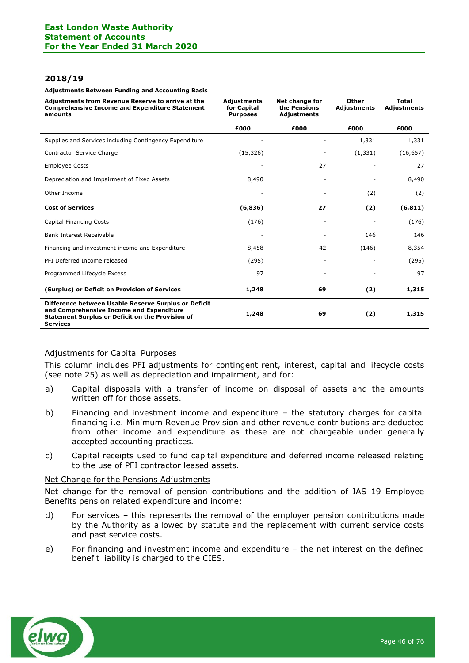## 2018/19

#### Adjustments Between Funding and Accounting Basis

| Adjustments from Revenue Reserve to arrive at the<br><b>Comprehensive Income and Expenditure Statement</b><br>amounts                                                          | <b>Adjustments</b><br>for Capital<br><b>Purposes</b> | Net change for<br>the Pensions<br>Adjustments | Other<br><b>Adjustments</b> | <b>Total</b><br><b>Adjustments</b> |
|--------------------------------------------------------------------------------------------------------------------------------------------------------------------------------|------------------------------------------------------|-----------------------------------------------|-----------------------------|------------------------------------|
|                                                                                                                                                                                | £000                                                 | £000                                          | £000                        | £000                               |
| Supplies and Services including Contingency Expenditure                                                                                                                        |                                                      |                                               | 1,331                       | 1,331                              |
| Contractor Service Charge                                                                                                                                                      | (15, 326)                                            |                                               | (1, 331)                    | (16, 657)                          |
| <b>Employee Costs</b>                                                                                                                                                          |                                                      | 27                                            | $\overline{\phantom{m}}$    | 27                                 |
| Depreciation and Impairment of Fixed Assets                                                                                                                                    | 8,490                                                |                                               |                             | 8,490                              |
| Other Income                                                                                                                                                                   |                                                      |                                               | (2)                         | (2)                                |
| <b>Cost of Services</b>                                                                                                                                                        | (6,836)                                              | 27                                            | (2)                         | (6, 811)                           |
| <b>Capital Financing Costs</b>                                                                                                                                                 | (176)                                                |                                               |                             | (176)                              |
| <b>Bank Interest Receivable</b>                                                                                                                                                |                                                      |                                               | 146                         | 146                                |
| Financing and investment income and Expenditure                                                                                                                                | 8,458                                                | 42                                            | (146)                       | 8,354                              |
| PFI Deferred Income released                                                                                                                                                   | (295)                                                |                                               |                             | (295)                              |
| Programmed Lifecycle Excess                                                                                                                                                    | 97                                                   |                                               |                             | 97                                 |
| (Surplus) or Deficit on Provision of Services                                                                                                                                  | 1,248                                                | 69                                            | (2)                         | 1,315                              |
| Difference between Usable Reserve Surplus or Deficit<br>and Comprehensive Income and Expenditure<br><b>Statement Surplus or Deficit on the Provision of</b><br><b>Services</b> | 1,248                                                | 69                                            | (2)                         | 1,315                              |

## Adjustments for Capital Purposes

This column includes PFI adjustments for contingent rent, interest, capital and lifecycle costs (see note 25) as well as depreciation and impairment, and for:

- a) Capital disposals with a transfer of income on disposal of assets and the amounts written off for those assets.
- b) Financing and investment income and expenditure the statutory charges for capital financing i.e. Minimum Revenue Provision and other revenue contributions are deducted from other income and expenditure as these are not chargeable under generally accepted accounting practices.
- c) Capital receipts used to fund capital expenditure and deferred income released relating to the use of PFI contractor leased assets.

#### Net Change for the Pensions Adjustments

Net change for the removal of pension contributions and the addition of IAS 19 Employee Benefits pension related expenditure and income:

- d) For services this represents the removal of the employer pension contributions made by the Authority as allowed by statute and the replacement with current service costs and past service costs.
- e) For financing and investment income and expenditure the net interest on the defined benefit liability is charged to the CIES.

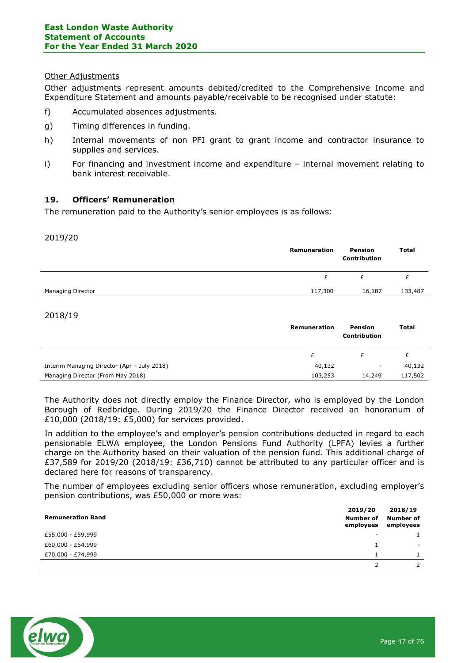## Other Adjustments

Other adjustments represent amounts debited/credited to the Comprehensive Income and Expenditure Statement and amounts payable/receivable to be recognised under statute:

- f) Accumulated absences adjustments.
- g) Timing differences in funding.
- h) Internal movements of non PFI grant to grant income and contractor insurance to supplies and services.
- i) For financing and investment income and expenditure internal movement relating to bank interest receivable.

## 19. Officers' Remuneration

The remuneration paid to the Authority's senior employees is as follows:

#### 2019/20

|                   | Remuneration | <b>Pension</b><br><b>Contribution</b> | <b>Total</b> |
|-------------------|--------------|---------------------------------------|--------------|
|                   |              |                                       |              |
| Managing Director | 117,300      | 16,187                                | 133,487      |

## 2018/19

|                                             | Remuneration | Pension<br><b>Contribution</b> | Total   |
|---------------------------------------------|--------------|--------------------------------|---------|
|                                             |              |                                |         |
| Interim Managing Director (Apr - July 2018) | 40,132       | -                              | 40,132  |
| Managing Director (From May 2018)           | 103,253      | 14,249                         | 117,502 |

The Authority does not directly employ the Finance Director, who is employed by the London Borough of Redbridge. During 2019/20 the Finance Director received an honorarium of £10,000 (2018/19: £5,000) for services provided.

In addition to the employee's and employer's pension contributions deducted in regard to each pensionable ELWA employee, the London Pensions Fund Authority (LPFA) levies a further charge on the Authority based on their valuation of the pension fund. This additional charge of £37,589 for 2019/20 (2018/19: £36,710) cannot be attributed to any particular officer and is declared here for reasons of transparency.

The number of employees excluding senior officers whose remuneration, excluding employer's pension contributions, was £50,000 or more was:

| <b>Remuneration Band</b> | 2019/20<br>Number of<br>employees | 2018/19<br>Number of<br>employees |
|--------------------------|-----------------------------------|-----------------------------------|
| £55,000 - £59,999        | ٠                                 |                                   |
| £60,000 - £64,999        |                                   |                                   |
| £70,000 - £74,999        |                                   |                                   |
|                          |                                   |                                   |

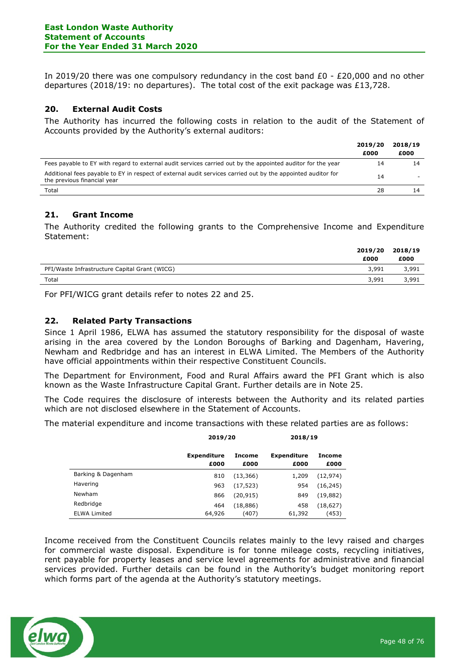In 2019/20 there was one compulsory redundancy in the cost band £0 - £20,000 and no other departures (2018/19: no departures). The total cost of the exit package was £13,728.

## 20. External Audit Costs

The Authority has incurred the following costs in relation to the audit of the Statement of Accounts provided by the Authority's external auditors:

|                                                                                                                                             | 2019/20 | 2018/19 |
|---------------------------------------------------------------------------------------------------------------------------------------------|---------|---------|
|                                                                                                                                             | £000    | £000    |
| Fees payable to EY with regard to external audit services carried out by the appointed auditor for the year                                 | 14      | 14      |
| Additional fees payable to EY in respect of external audit services carried out by the appointed auditor for<br>the previous financial year | 14      |         |
| Total                                                                                                                                       | 28      |         |

## 21. Grant Income

The Authority credited the following grants to the Comprehensive Income and Expenditure Statement:

|                                               | 2019/20<br>£000 | 2018/19<br>£000 |
|-----------------------------------------------|-----------------|-----------------|
| PFI/Waste Infrastructure Capital Grant (WICG) | 3,991           | 3,991           |
| Total                                         | 3,991           | 3,991           |
|                                               |                 |                 |

For PFI/WICG grant details refer to notes 22 and 25.

## 22. Related Party Transactions

Since 1 April 1986, ELWA has assumed the statutory responsibility for the disposal of waste arising in the area covered by the London Boroughs of Barking and Dagenham, Havering, Newham and Redbridge and has an interest in ELWA Limited. The Members of the Authority have official appointments within their respective Constituent Councils.

The Department for Environment, Food and Rural Affairs award the PFI Grant which is also known as the Waste Infrastructure Capital Grant. Further details are in Note 25.

The Code requires the disclosure of interests between the Authority and its related parties which are not disclosed elsewhere in the Statement of Accounts.

The material expenditure and income transactions with these related parties are as follows:

|                     | 2019/20                    |                | 2018/19                    |                |
|---------------------|----------------------------|----------------|----------------------------|----------------|
|                     | <b>Expenditure</b><br>£000 | Income<br>£000 | <b>Expenditure</b><br>£000 | Income<br>£000 |
| Barking & Dagenham  | 810                        | (13, 366)      | 1,209                      | (12, 974)      |
| Havering            | 963                        | (17, 523)      | 954                        | (16, 245)      |
| Newham              | 866                        | (20, 915)      | 849                        | (19, 882)      |
| Redbridge           | 464                        | (18, 886)      | 458                        | (18,627)       |
| <b>ELWA Limited</b> | 64,926                     | (407)          | 61,392                     | (453)          |

Income received from the Constituent Councils relates mainly to the levy raised and charges for commercial waste disposal. Expenditure is for tonne mileage costs, recycling initiatives, rent payable for property leases and service level agreements for administrative and financial services provided. Further details can be found in the Authority's budget monitoring report which forms part of the agenda at the Authority's statutory meetings.

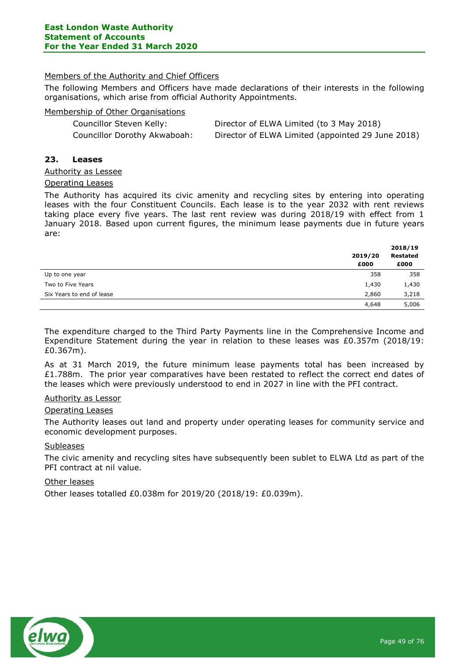## Members of the Authority and Chief Officers

The following Members and Officers have made declarations of their interests in the following organisations, which arise from official Authority Appointments.

## Membership of Other Organisations

| Councillor Steven Kelly:     | Director of ELWA Limited (to 3 May 2018)          |
|------------------------------|---------------------------------------------------|
| Councillor Dorothy Akwaboah: | Director of ELWA Limited (appointed 29 June 2018) |

## 23. Leases

### Authority as Lessee

### Operating Leases

The Authority has acquired its civic amenity and recycling sites by entering into operating leases with the four Constituent Councils. Each lease is to the year 2032 with rent reviews taking place every five years. The last rent review was during 2018/19 with effect from 1 January 2018. Based upon current figures, the minimum lease payments due in future years are:

|                           | 2019/20<br>£000 | 2018/19<br><b>Restated</b><br>£000 |
|---------------------------|-----------------|------------------------------------|
| Up to one year            | 358             | 358                                |
| Two to Five Years         | 1,430           | 1,430                              |
| Six Years to end of lease | 2,860           | 3,218                              |
|                           | 4,648           | 5,006                              |

The expenditure charged to the Third Party Payments line in the Comprehensive Income and Expenditure Statement during the year in relation to these leases was  $£0.357m$  (2018/19: £0.367m).

As at 31 March 2019, the future minimum lease payments total has been increased by £1.788m. The prior year comparatives have been restated to reflect the correct end dates of the leases which were previously understood to end in 2027 in line with the PFI contract.

## Authority as Lessor

## Operating Leases

The Authority leases out land and property under operating leases for community service and economic development purposes.

## **Subleases**

The civic amenity and recycling sites have subsequently been sublet to ELWA Ltd as part of the PFI contract at nil value.

### Other leases

Other leases totalled £0.038m for 2019/20 (2018/19: £0.039m).

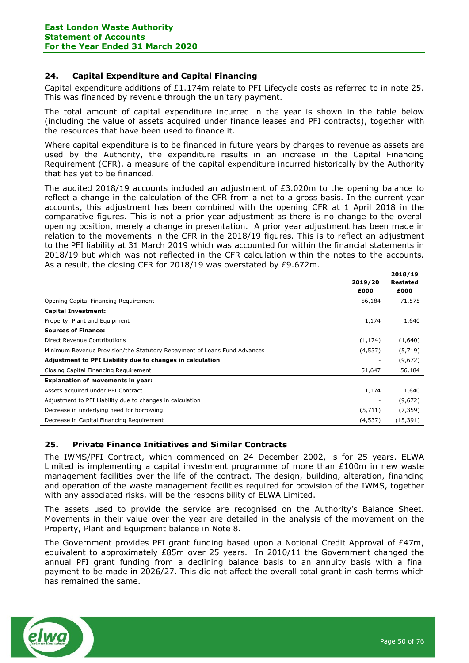## 24. Capital Expenditure and Capital Financing

Capital expenditure additions of £1.174m relate to PFI Lifecycle costs as referred to in note 25. This was financed by revenue through the unitary payment.

The total amount of capital expenditure incurred in the year is shown in the table below (including the value of assets acquired under finance leases and PFI contracts), together with the resources that have been used to finance it.

Where capital expenditure is to be financed in future years by charges to revenue as assets are used by the Authority, the expenditure results in an increase in the Capital Financing Requirement (CFR), a measure of the capital expenditure incurred historically by the Authority that has yet to be financed.

The audited 2018/19 accounts included an adjustment of  $E3.020m$  to the opening balance to reflect a change in the calculation of the CFR from a net to a gross basis. In the current year accounts, this adjustment has been combined with the opening CFR at 1 April 2018 in the comparative figures. This is not a prior year adjustment as there is no change to the overall opening position, merely a change in presentation. A prior year adjustment has been made in relation to the movements in the CFR in the 2018/19 figures. This is to reflect an adjustment to the PFI liability at 31 March 2019 which was accounted for within the financial statements in 2018/19 but which was not reflected in the CFR calculation within the notes to the accounts. As a result, the closing CFR for 2018/19 was overstated by £9.672m.

|                                                                          |          | 2018/19         |
|--------------------------------------------------------------------------|----------|-----------------|
|                                                                          | 2019/20  | <b>Restated</b> |
|                                                                          | £000     | £000            |
| Opening Capital Financing Requirement                                    | 56,184   | 71,575          |
| <b>Capital Investment:</b>                                               |          |                 |
| Property, Plant and Equipment                                            | 1,174    | 1,640           |
| <b>Sources of Finance:</b>                                               |          |                 |
| Direct Revenue Contributions                                             | (1, 174) | (1,640)         |
| Minimum Revenue Provision/the Statutory Repayment of Loans Fund Advances | (4, 537) | (5,719)         |
| Adjustment to PFI Liability due to changes in calculation                |          | (9,672)         |
| Closing Capital Financing Requirement                                    | 51,647   | 56,184          |
| <b>Explanation of movements in year:</b>                                 |          |                 |
| Assets acquired under PFI Contract                                       | 1,174    | 1,640           |
| Adjustment to PFI Liability due to changes in calculation                |          | (9,672)         |
| Decrease in underlying need for borrowing                                | (5,711)  | (7, 359)        |
| Decrease in Capital Financing Requirement                                | (4,537)  | (15, 391)       |

## 25. Private Finance Initiatives and Similar Contracts

The IWMS/PFI Contract, which commenced on 24 December 2002, is for 25 years. ELWA Limited is implementing a capital investment programme of more than £100m in new waste management facilities over the life of the contract. The design, building, alteration, financing and operation of the waste management facilities required for provision of the IWMS, together with any associated risks, will be the responsibility of ELWA Limited.

The assets used to provide the service are recognised on the Authority's Balance Sheet. Movements in their value over the year are detailed in the analysis of the movement on the Property, Plant and Equipment balance in Note 8.

The Government provides PFI grant funding based upon a Notional Credit Approval of £47m, equivalent to approximately £85m over 25 years. In 2010/11 the Government changed the annual PFI grant funding from a declining balance basis to an annuity basis with a final payment to be made in 2026/27. This did not affect the overall total grant in cash terms which has remained the same.

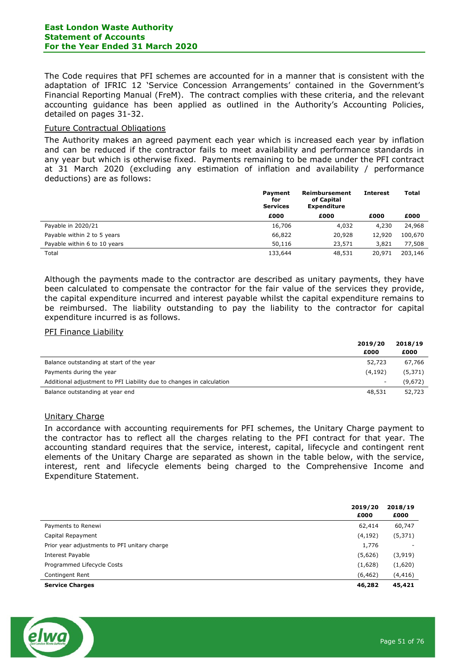The Code requires that PFI schemes are accounted for in a manner that is consistent with the adaptation of IFRIC 12 'Service Concession Arrangements' contained in the Government's Financial Reporting Manual (FreM). The contract complies with these criteria, and the relevant accounting guidance has been applied as outlined in the Authority's Accounting Policies, detailed on pages 31-32.

### Future Contractual Obligations

The Authority makes an agreed payment each year which is increased each year by inflation and can be reduced if the contractor fails to meet availability and performance standards in any year but which is otherwise fixed. Payments remaining to be made under the PFI contract at 31 March 2020 (excluding any estimation of inflation and availability / performance deductions) are as follows:

|                              | <b>Payment</b><br>for<br><b>Services</b> | Reimbursement<br>of Capital<br><b>Expenditure</b> | <b>Interest</b> | Total   |
|------------------------------|------------------------------------------|---------------------------------------------------|-----------------|---------|
|                              | £000                                     | £000                                              | £000            | £000    |
| Payable in 2020/21           | 16,706                                   | 4,032                                             | 4,230           | 24,968  |
| Payable within 2 to 5 years  | 66,822                                   | 20,928                                            | 12,920          | 100,670 |
| Payable within 6 to 10 years | 50,116                                   | 23,571                                            | 3,821           | 77,508  |
| Total                        | 133,644                                  | 48,531                                            | 20,971          | 203,146 |

Although the payments made to the contractor are described as unitary payments, they have been calculated to compensate the contractor for the fair value of the services they provide, the capital expenditure incurred and interest payable whilst the capital expenditure remains to be reimbursed. The liability outstanding to pay the liability to the contractor for capital expenditure incurred is as follows.

#### PFI Finance Liability

|                                                                      | 2019/20                  | 2018/19  |
|----------------------------------------------------------------------|--------------------------|----------|
|                                                                      | £000                     | £000     |
| Balance outstanding at start of the year                             | 52,723                   | 67,766   |
| Payments during the year                                             | (4, 192)                 | (5, 371) |
| Additional adjustment to PFI Liability due to changes in calculation | $\overline{\phantom{a}}$ | (9,672)  |
| Balance outstanding at year end                                      | 48,531                   | 52,723   |

#### Unitary Charge

In accordance with accounting requirements for PFI schemes, the Unitary Charge payment to the contractor has to reflect all the charges relating to the PFI contract for that year. The accounting standard requires that the service, interest, capital, lifecycle and contingent rent elements of the Unitary Charge are separated as shown in the table below, with the service, interest, rent and lifecycle elements being charged to the Comprehensive Income and Expenditure Statement.

|                                              | 2019/20<br>£000 | 2018/19<br>£000 |
|----------------------------------------------|-----------------|-----------------|
| Payments to Renewi                           | 62,414          | 60,747          |
| Capital Repayment                            | (4, 192)        | (5,371)         |
| Prior year adjustments to PFI unitary charge | 1,776           |                 |
| Interest Payable                             | (5,626)         | (3, 919)        |
| Programmed Lifecycle Costs                   | (1,628)         | (1,620)         |
| Contingent Rent                              | (6, 462)        | (4,416)         |
| <b>Service Charges</b>                       | 46,282          | 45,421          |

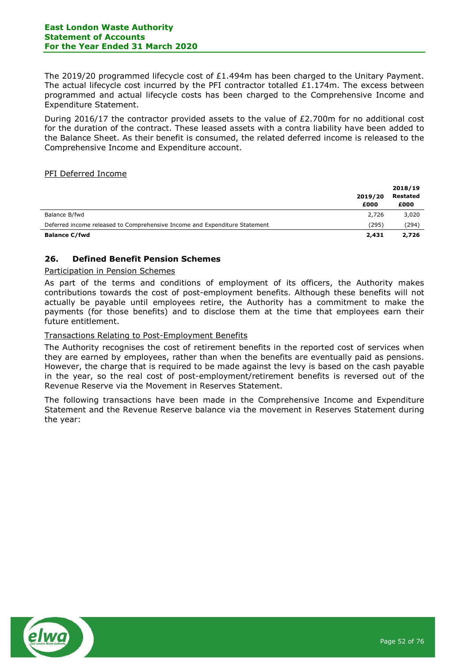The 2019/20 programmed lifecycle cost of £1.494m has been charged to the Unitary Payment. The actual lifecycle cost incurred by the PFI contractor totalled  $£1.174m$ . The excess between programmed and actual lifecycle costs has been charged to the Comprehensive Income and Expenditure Statement.

During 2016/17 the contractor provided assets to the value of £2.700m for no additional cost for the duration of the contract. These leased assets with a contra liability have been added to the Balance Sheet. As their benefit is consumed, the related deferred income is released to the Comprehensive Income and Expenditure account.

## PFI Deferred Income

|                                                                            |         | 2018/19         |
|----------------------------------------------------------------------------|---------|-----------------|
|                                                                            | 2019/20 | <b>Restated</b> |
|                                                                            | £000    | £000            |
| Balance B/fwd                                                              | 2,726   | 3,020           |
| Deferred income released to Comprehensive Income and Expenditure Statement | (295)   | (294)           |
| <b>Balance C/fwd</b>                                                       | 2,431   | 2,726           |

## 26. Defined Benefit Pension Schemes

### Participation in Pension Schemes

As part of the terms and conditions of employment of its officers, the Authority makes contributions towards the cost of post-employment benefits. Although these benefits will not actually be payable until employees retire, the Authority has a commitment to make the payments (for those benefits) and to disclose them at the time that employees earn their future entitlement.

## Transactions Relating to Post-Employment Benefits

The Authority recognises the cost of retirement benefits in the reported cost of services when they are earned by employees, rather than when the benefits are eventually paid as pensions. However, the charge that is required to be made against the levy is based on the cash payable in the year, so the real cost of post-employment/retirement benefits is reversed out of the Revenue Reserve via the Movement in Reserves Statement.

The following transactions have been made in the Comprehensive Income and Expenditure Statement and the Revenue Reserve balance via the movement in Reserves Statement during the year:

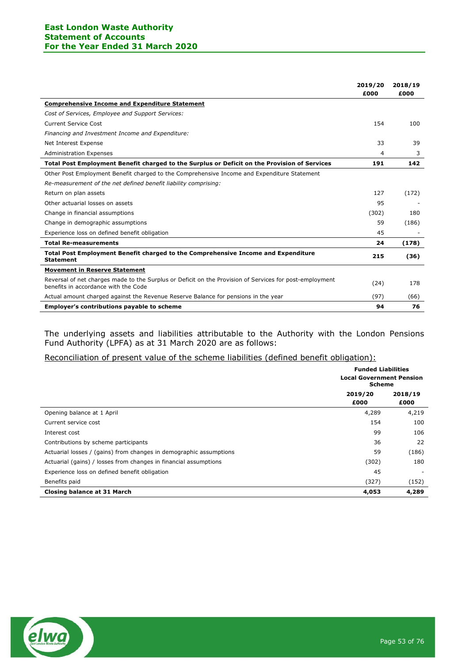## East London Waste Authority Statement of Accounts For the Year Ended 31 March 2020

|                                                                                                                                                 | 2019/20<br>£000 | 2018/19<br>£000 |
|-------------------------------------------------------------------------------------------------------------------------------------------------|-----------------|-----------------|
| <b>Comprehensive Income and Expenditure Statement</b>                                                                                           |                 |                 |
| Cost of Services, Employee and Support Services:                                                                                                |                 |                 |
| Current Service Cost                                                                                                                            | 154             | 100             |
| Financing and Investment Income and Expenditure:                                                                                                |                 |                 |
| Net Interest Expense                                                                                                                            | 33              | 39              |
| <b>Administration Expenses</b>                                                                                                                  | 4               | 3               |
| Total Post Employment Benefit charged to the Surplus or Deficit on the Provision of Services                                                    | 191             | 142             |
| Other Post Employment Benefit charged to the Comprehensive Income and Expenditure Statement                                                     |                 |                 |
| Re-measurement of the net defined benefit liability comprising:                                                                                 |                 |                 |
| Return on plan assets                                                                                                                           | 127             | (172)           |
| Other actuarial losses on assets                                                                                                                | 95              |                 |
| Change in financial assumptions                                                                                                                 | (302)           | 180             |
| Change in demographic assumptions                                                                                                               | 59              | (186)           |
| Experience loss on defined benefit obligation                                                                                                   | 45              |                 |
| <b>Total Re-measurements</b>                                                                                                                    | 24              | (178)           |
| Total Post Employment Benefit charged to the Comprehensive Income and Expenditure<br><b>Statement</b>                                           | 215             | (36)            |
| <b>Movement in Reserve Statement</b>                                                                                                            |                 |                 |
| Reversal of net charges made to the Surplus or Deficit on the Provision of Services for post-employment<br>benefits in accordance with the Code | (24)            | 178             |
| Actual amount charged against the Revenue Reserve Balance for pensions in the year                                                              | (97)            | (66)            |
| <b>Employer's contributions payable to scheme</b>                                                                                               | 94              | 76              |

The underlying assets and liabilities attributable to the Authority with the London Pensions Fund Authority (LPFA) as at 31 March 2020 are as follows:

## Reconciliation of present value of the scheme liabilities (defined benefit obligation):

|                                                                    | <b>Funded Liabilities</b><br><b>Local Government Pension</b><br><b>Scheme</b> |                 |
|--------------------------------------------------------------------|-------------------------------------------------------------------------------|-----------------|
|                                                                    | 2019/20<br>£000                                                               | 2018/19<br>£000 |
| Opening balance at 1 April                                         | 4,289                                                                         | 4,219           |
| Current service cost                                               | 154                                                                           | 100             |
| Interest cost                                                      | 99                                                                            | 106             |
| Contributions by scheme participants                               | 36                                                                            | 22              |
| Actuarial losses / (gains) from changes in demographic assumptions | 59                                                                            | (186)           |
| Actuarial (gains) / losses from changes in financial assumptions   | (302)                                                                         | 180             |
| Experience loss on defined benefit obligation                      | 45                                                                            |                 |
| Benefits paid                                                      | (327)                                                                         | (152)           |
| Closing balance at 31 March                                        | 4,053                                                                         | 4,289           |

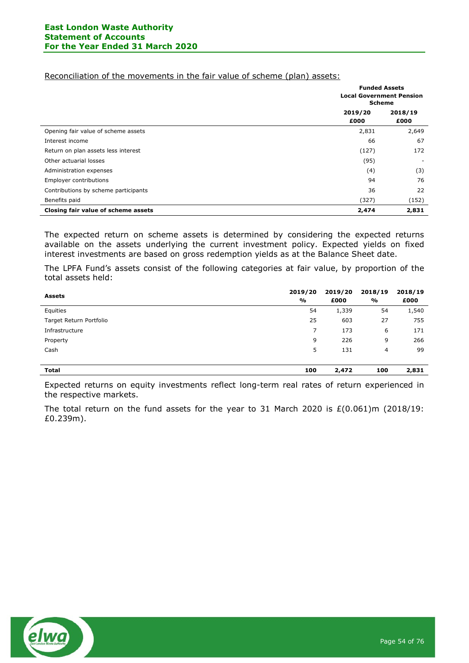### Reconciliation of the movements in the fair value of scheme (plan) assets:

|                                      |                 | <b>Funded Assets</b><br><b>Local Government Pension</b><br><b>Scheme</b> |  |
|--------------------------------------|-----------------|--------------------------------------------------------------------------|--|
|                                      | 2019/20<br>£000 | 2018/19<br>£000                                                          |  |
| Opening fair value of scheme assets  | 2,831           | 2,649                                                                    |  |
| Interest income                      | 66              | 67                                                                       |  |
| Return on plan assets less interest  | (127)           | 172                                                                      |  |
| Other actuarial losses               | (95)            | $\overline{\phantom{a}}$                                                 |  |
| Administration expenses              | (4)             | (3)                                                                      |  |
| Employer contributions               | 94              | 76                                                                       |  |
| Contributions by scheme participants | 36              | 22                                                                       |  |
| Benefits paid                        | (327)           | (152)                                                                    |  |
| Closing fair value of scheme assets  | 2,474           | 2,831                                                                    |  |

The expected return on scheme assets is determined by considering the expected returns available on the assets underlying the current investment policy. Expected yields on fixed interest investments are based on gross redemption yields as at the Balance Sheet date.

The LPFA Fund's assets consist of the following categories at fair value, by proportion of the total assets held:

| <b>Assets</b>           | 2019/20<br>% | 2019/20<br>£000 | 2018/19<br>$\frac{6}{9}$ | 2018/19<br>£000 |
|-------------------------|--------------|-----------------|--------------------------|-----------------|
| Equities                | 54           | 1,339           | 54                       | 1,540           |
| Target Return Portfolio | 25           | 603             | 27                       | 755             |
| Infrastructure          |              | 173             | 6                        | 171             |
| Property                | 9            | 226             | 9                        | 266             |
| Cash                    | 5            | 131             | 4                        | 99              |
|                         |              |                 |                          |                 |
| <b>Total</b>            | 100          | 2,472           | 100                      | 2,831           |

Expected returns on equity investments reflect long-term real rates of return experienced in the respective markets.

The total return on the fund assets for the year to 31 March 2020 is  $E(0.061)$ m (2018/19: £0.239m).

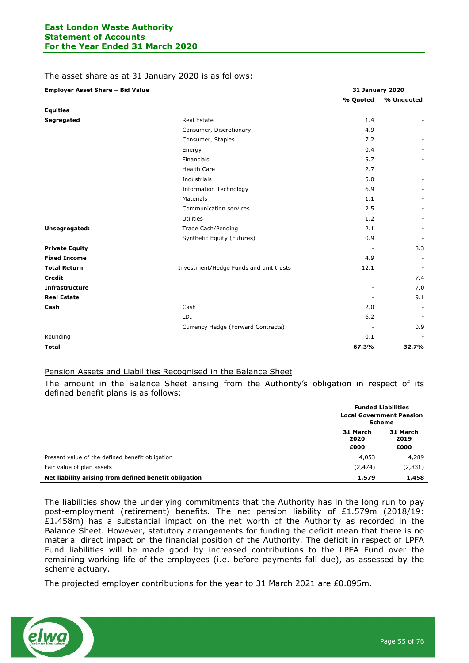### The asset share as at 31 January 2020 is as follows:

| <b>Employer Asset Share - Bid Value</b> | <b>31 January 2020</b>                 |          |            |
|-----------------------------------------|----------------------------------------|----------|------------|
|                                         |                                        | % Quoted | % Unquoted |
| <b>Equities</b>                         |                                        |          |            |
| Segregated                              | <b>Real Estate</b>                     | 1.4      |            |
|                                         | Consumer, Discretionary                | 4.9      |            |
|                                         | Consumer, Staples                      | 7.2      |            |
|                                         | Energy                                 | 0.4      |            |
|                                         | Financials                             | 5.7      |            |
|                                         | <b>Health Care</b>                     | 2.7      |            |
|                                         | Industrials                            | 5.0      |            |
|                                         | <b>Information Technology</b>          | 6.9      |            |
|                                         | Materials                              | 1.1      |            |
|                                         | Communication services                 | 2.5      |            |
|                                         | <b>Utilities</b>                       | 1.2      |            |
| Unsegregated:                           | Trade Cash/Pending                     | 2.1      |            |
|                                         | Synthetic Equity (Futures)             | 0.9      |            |
| <b>Private Equity</b>                   |                                        |          | 8.3        |
| <b>Fixed Income</b>                     |                                        | 4.9      |            |
| <b>Total Return</b>                     | Investment/Hedge Funds and unit trusts | 12.1     |            |
| <b>Credit</b>                           |                                        |          | 7.4        |
| <b>Infrastructure</b>                   |                                        |          | 7.0        |
| <b>Real Estate</b>                      |                                        |          | 9.1        |
| Cash                                    | Cash                                   | 2.0      |            |
|                                         | LDI                                    | 6.2      |            |
|                                         | Currency Hedge (Forward Contracts)     |          | 0.9        |
| Rounding                                |                                        | 0.1      |            |
| <b>Total</b>                            |                                        | 67.3%    | 32.7%      |

## Pension Assets and Liabilities Recognised in the Balance Sheet

The amount in the Balance Sheet arising from the Authority's obligation in respect of its defined benefit plans is as follows:

|                                                       | <b>Funded Liabilities</b><br><b>Local Government Pension</b><br><b>Scheme</b> |                  |  |
|-------------------------------------------------------|-------------------------------------------------------------------------------|------------------|--|
|                                                       |                                                                               |                  |  |
|                                                       | 31 March<br>2020                                                              | 31 March<br>2019 |  |
|                                                       | £000                                                                          | £000             |  |
| Present value of the defined benefit obligation       | 4,053                                                                         | 4,289            |  |
| Fair value of plan assets                             | (2, 474)                                                                      | (2,831)          |  |
| Net liability arising from defined benefit obligation | 1,579                                                                         | 1,458            |  |

The liabilities show the underlying commitments that the Authority has in the long run to pay post-employment (retirement) benefits. The net pension liability of £1.579m (2018/19:  $£1.458m)$  has a substantial impact on the net worth of the Authority as recorded in the Balance Sheet. However, statutory arrangements for funding the deficit mean that there is no material direct impact on the financial position of the Authority. The deficit in respect of LPFA Fund liabilities will be made good by increased contributions to the LPFA Fund over the remaining working life of the employees (i.e. before payments fall due), as assessed by the scheme actuary.

The projected employer contributions for the year to 31 March 2021 are £0.095m.

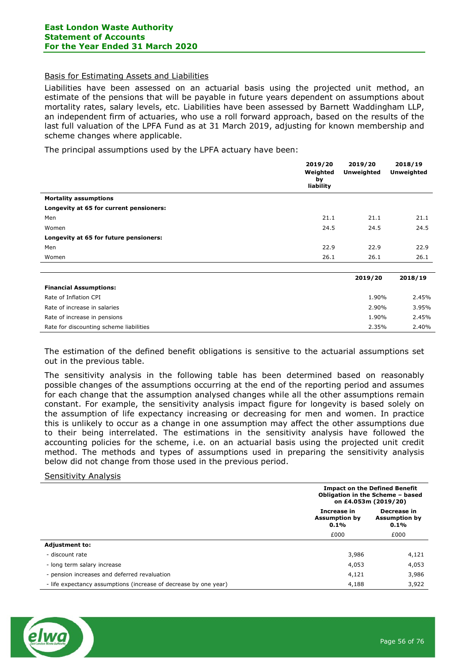### Basis for Estimating Assets and Liabilities

Liabilities have been assessed on an actuarial basis using the projected unit method, an estimate of the pensions that will be payable in future years dependent on assumptions about mortality rates, salary levels, etc. Liabilities have been assessed by Barnett Waddingham LLP, an independent firm of actuaries, who use a roll forward approach, based on the results of the last full valuation of the LPFA Fund as at 31 March 2019, adjusting for known membership and scheme changes where applicable.

The principal assumptions used by the LPFA actuary have been:

|                                         | 2019/20                     | 2019/20           | 2018/19           |
|-----------------------------------------|-----------------------------|-------------------|-------------------|
|                                         | Weighted<br>by<br>liability | <b>Unweighted</b> | <b>Unweighted</b> |
| <b>Mortality assumptions</b>            |                             |                   |                   |
| Longevity at 65 for current pensioners: |                             |                   |                   |
| Men                                     | 21.1                        | 21.1              | 21.1              |
| Women                                   | 24.5                        | 24.5              | 24.5              |
| Longevity at 65 for future pensioners:  |                             |                   |                   |
| Men                                     | 22.9                        | 22.9              | 22.9              |
| Women                                   | 26.1                        | 26.1              | 26.1              |
|                                         |                             |                   |                   |
|                                         |                             | 2019/20           | 2018/19           |
| <b>Financial Assumptions:</b>           |                             |                   |                   |
| Rate of Inflation CPI                   |                             | 1.90%             | 2.45%             |
| Rate of increase in salaries            |                             | 2.90%             | 3.95%             |
| Rate of increase in pensions            |                             | 1.90%             | 2.45%             |
| Rate for discounting scheme liabilities |                             | 2.35%             | 2.40%             |

The estimation of the defined benefit obligations is sensitive to the actuarial assumptions set out in the previous table.

The sensitivity analysis in the following table has been determined based on reasonably possible changes of the assumptions occurring at the end of the reporting period and assumes for each change that the assumption analysed changes while all the other assumptions remain constant. For example, the sensitivity analysis impact figure for longevity is based solely on the assumption of life expectancy increasing or decreasing for men and women. In practice this is unlikely to occur as a change in one assumption may affect the other assumptions due to their being interrelated. The estimations in the sensitivity analysis have followed the accounting policies for the scheme, i.e. on an actuarial basis using the projected unit credit method. The methods and types of assumptions used in preparing the sensitivity analysis below did not change from those used in the previous period.

#### Sensitivity Analysis

|                                                                  | <b>Impact on the Defined Benefit</b><br>Obligation in the Scheme - based<br>on £4.053m (2019/20) |                                             |  |
|------------------------------------------------------------------|--------------------------------------------------------------------------------------------------|---------------------------------------------|--|
|                                                                  | Increase in<br><b>Assumption by</b><br>0.1%                                                      | Decrease in<br><b>Assumption by</b><br>0.1% |  |
|                                                                  | £000                                                                                             | £000                                        |  |
| <b>Adjustment to:</b>                                            |                                                                                                  |                                             |  |
| - discount rate                                                  | 3,986                                                                                            | 4,121                                       |  |
| - long term salary increase                                      | 4,053                                                                                            | 4,053                                       |  |
| - pension increases and deferred revaluation                     | 4,121                                                                                            | 3,986                                       |  |
| - life expectancy assumptions (increase of decrease by one year) | 4,188                                                                                            | 3,922                                       |  |

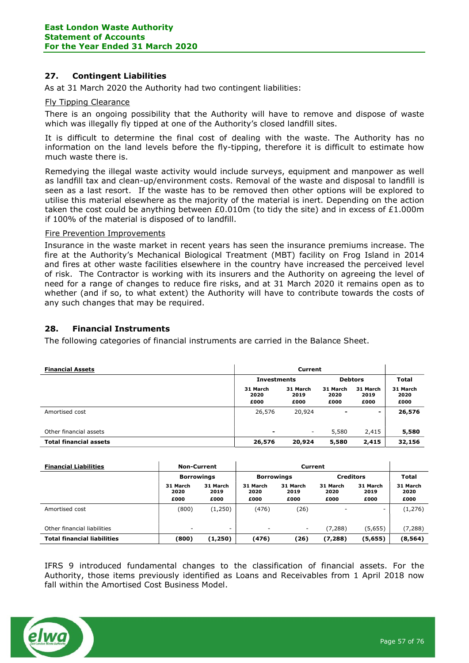## 27. Contingent Liabilities

As at 31 March 2020 the Authority had two contingent liabilities:

### Fly Tipping Clearance

There is an ongoing possibility that the Authority will have to remove and dispose of waste which was illegally fly tipped at one of the Authority's closed landfill sites.

It is difficult to determine the final cost of dealing with the waste. The Authority has no information on the land levels before the fly-tipping, therefore it is difficult to estimate how much waste there is.

Remedying the illegal waste activity would include surveys, equipment and manpower as well as landfill tax and clean-up/environment costs. Removal of the waste and disposal to landfill is seen as a last resort. If the waste has to be removed then other options will be explored to utilise this material elsewhere as the majority of the material is inert. Depending on the action taken the cost could be anything between  $£0.010m$  (to tidy the site) and in excess of  $£1.000m$ if 100% of the material is disposed of to landfill.

### Fire Prevention Improvements

Insurance in the waste market in recent years has seen the insurance premiums increase. The fire at the Authority's Mechanical Biological Treatment (MBT) facility on Frog Island in 2014 and fires at other waste facilities elsewhere in the country have increased the perceived level of risk. The Contractor is working with its insurers and the Authority on agreeing the level of need for a range of changes to reduce fire risks, and at 31 March 2020 it remains open as to whether (and if so, to what extent) the Authority will have to contribute towards the costs of any such changes that may be required.

## 28. Financial Instruments

The following categories of financial instruments are carried in the Balance Sheet.

| <b>Financial Assets</b>       | Current                              |                          |                          |                          |                          |
|-------------------------------|--------------------------------------|--------------------------|--------------------------|--------------------------|--------------------------|
|                               | <b>Debtors</b><br><b>Investments</b> |                          | <b>Total</b>             |                          |                          |
|                               | 31 March<br>2020<br>£000             | 31 March<br>2019<br>£000 | 31 March<br>2020<br>£000 | 31 March<br>2019<br>£000 | 31 March<br>2020<br>£000 |
| Amortised cost                | 26,576                               | 20,924                   | $\overline{\phantom{0}}$ | Ξ.                       | 26,576                   |
| Other financial assets        | $\overline{\phantom{0}}$             | ۰                        | 5,580                    | 2,415                    | 5,580                    |
| <b>Total financial assets</b> | 26,576                               | 20,924                   | 5,580                    | 2,415                    | 32,156                   |

| <b>Financial Liabilities</b>       | <b>Non-Current</b>       |                          | Current                               |                          |                          |                          |                          |
|------------------------------------|--------------------------|--------------------------|---------------------------------------|--------------------------|--------------------------|--------------------------|--------------------------|
|                                    | <b>Borrowings</b>        |                          | <b>Creditors</b><br><b>Borrowings</b> |                          |                          | <b>Total</b>             |                          |
|                                    | 31 March<br>2020<br>£000 | 31 March<br>2019<br>£000 | 31 March<br>2020<br>£000              | 31 March<br>2019<br>£000 | 31 March<br>2020<br>£000 | 31 March<br>2019<br>£000 | 31 March<br>2020<br>£000 |
| Amortised cost                     | (800)                    | (1,250)                  | (476)                                 | (26)                     |                          | ۰                        | (1,276)                  |
| Other financial liabilities        |                          | ۰                        | ۰                                     | $\overline{\phantom{a}}$ | (7, 288)                 | (5,655)                  | (7, 288)                 |
| <b>Total financial liabilities</b> | (800)                    | (1,250)                  | (476)                                 | (26)                     | (7, 288)                 | (5,655)                  | (8, 564)                 |

IFRS 9 introduced fundamental changes to the classification of financial assets. For the Authority, those items previously identified as Loans and Receivables from 1 April 2018 now fall within the Amortised Cost Business Model.

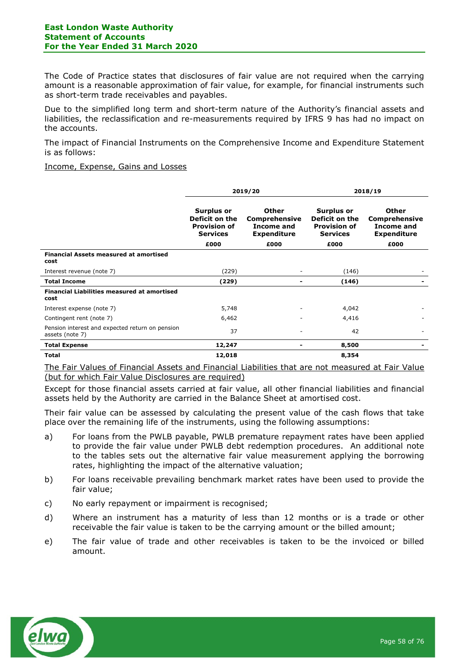The Code of Practice states that disclosures of fair value are not required when the carrying amount is a reasonable approximation of fair value, for example, for financial instruments such as short-term trade receivables and payables.

Due to the simplified long term and short-term nature of the Authority's financial assets and liabilities, the reclassification and re-measurements required by IFRS 9 has had no impact on the accounts.

The impact of Financial Instruments on the Comprehensive Income and Expenditure Statement is as follows:

#### Income, Expense, Gains and Losses

|                                                                    | 2019/20                                                                       |                                                                   |                                                                               | 2018/19                                                           |
|--------------------------------------------------------------------|-------------------------------------------------------------------------------|-------------------------------------------------------------------|-------------------------------------------------------------------------------|-------------------------------------------------------------------|
|                                                                    | <b>Surplus or</b><br>Deficit on the<br><b>Provision of</b><br><b>Services</b> | Other<br><b>Comprehensive</b><br>Income and<br><b>Expenditure</b> | <b>Surplus or</b><br>Deficit on the<br><b>Provision of</b><br><b>Services</b> | <b>Other</b><br>Comprehensive<br>Income and<br><b>Expenditure</b> |
|                                                                    | £000                                                                          | £000                                                              | £000                                                                          | £000                                                              |
| <b>Financial Assets measured at amortised</b><br>cost              |                                                                               |                                                                   |                                                                               |                                                                   |
| Interest revenue (note 7)                                          | (229)                                                                         |                                                                   | (146)                                                                         |                                                                   |
| <b>Total Income</b>                                                | (229)                                                                         |                                                                   | (146)                                                                         |                                                                   |
| <b>Financial Liabilities measured at amortised</b><br>cost         |                                                                               |                                                                   |                                                                               |                                                                   |
| Interest expense (note 7)                                          | 5,748                                                                         |                                                                   | 4,042                                                                         |                                                                   |
| Contingent rent (note 7)                                           | 6,462                                                                         |                                                                   | 4,416                                                                         |                                                                   |
| Pension interest and expected return on pension<br>assets (note 7) | 37                                                                            |                                                                   | 42                                                                            |                                                                   |
| <b>Total Expense</b>                                               | 12,247                                                                        |                                                                   | 8,500                                                                         |                                                                   |
| <b>Total</b>                                                       | 12,018                                                                        |                                                                   | 8,354                                                                         |                                                                   |

The Fair Values of Financial Assets and Financial Liabilities that are not measured at Fair Value (but for which Fair Value Disclosures are required)

Except for those financial assets carried at fair value, all other financial liabilities and financial assets held by the Authority are carried in the Balance Sheet at amortised cost.

Their fair value can be assessed by calculating the present value of the cash flows that take place over the remaining life of the instruments, using the following assumptions:

- a) For loans from the PWLB payable, PWLB premature repayment rates have been applied to provide the fair value under PWLB debt redemption procedures. An additional note to the tables sets out the alternative fair value measurement applying the borrowing rates, highlighting the impact of the alternative valuation;
- b) For loans receivable prevailing benchmark market rates have been used to provide the fair value;
- c) No early repayment or impairment is recognised;
- d) Where an instrument has a maturity of less than 12 months or is a trade or other receivable the fair value is taken to be the carrying amount or the billed amount;
- e) The fair value of trade and other receivables is taken to be the invoiced or billed amount.

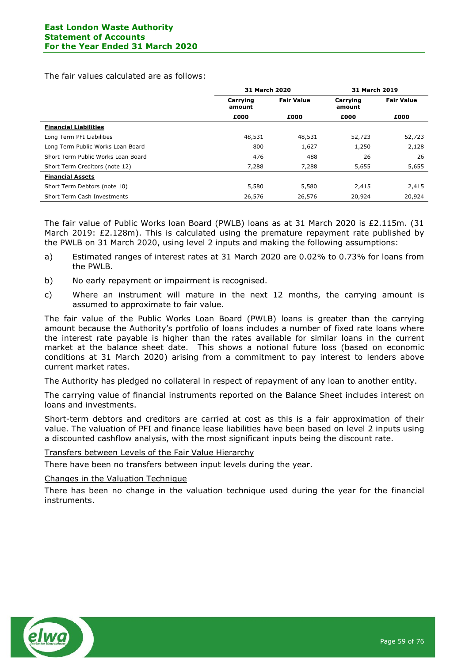The fair values calculated are as follows:

|                                    | 31 March 2020                           |        | <b>31 March 2019</b> |                   |
|------------------------------------|-----------------------------------------|--------|----------------------|-------------------|
|                                    | <b>Fair Value</b><br>Carrying<br>amount |        | Carrying<br>amount   | <b>Fair Value</b> |
|                                    | £000                                    | £000   | £000                 | £000              |
| <b>Financial Liabilities</b>       |                                         |        |                      |                   |
| Long Term PFI Liabilities          | 48,531                                  | 48,531 | 52,723               | 52,723            |
| Long Term Public Works Loan Board  | 800                                     | 1,627  | 1,250                | 2,128             |
| Short Term Public Works Loan Board | 476                                     | 488    | 26                   | 26                |
| Short Term Creditors (note 12)     | 7,288                                   | 7,288  | 5,655                | 5,655             |
| <b>Financial Assets</b>            |                                         |        |                      |                   |
| Short Term Debtors (note 10)       | 5,580                                   | 5,580  | 2,415                | 2,415             |
| Short Term Cash Investments        | 26,576                                  | 26,576 | 20,924               | 20,924            |

The fair value of Public Works loan Board (PWLB) loans as at 31 March 2020 is £2.115m. (31 March 2019: £2.128m). This is calculated using the premature repayment rate published by the PWLB on 31 March 2020, using level 2 inputs and making the following assumptions:

- a) Estimated ranges of interest rates at 31 March 2020 are 0.02% to 0.73% for loans from the PWLB.
- b) No early repayment or impairment is recognised.
- c) Where an instrument will mature in the next 12 months, the carrying amount is assumed to approximate to fair value.

The fair value of the Public Works Loan Board (PWLB) loans is greater than the carrying amount because the Authority's portfolio of loans includes a number of fixed rate loans where the interest rate payable is higher than the rates available for similar loans in the current market at the balance sheet date. This shows a notional future loss (based on economic conditions at 31 March 2020) arising from a commitment to pay interest to lenders above current market rates.

The Authority has pledged no collateral in respect of repayment of any loan to another entity.

The carrying value of financial instruments reported on the Balance Sheet includes interest on loans and investments.

Short-term debtors and creditors are carried at cost as this is a fair approximation of their value. The valuation of PFI and finance lease liabilities have been based on level 2 inputs using a discounted cashflow analysis, with the most significant inputs being the discount rate.

Transfers between Levels of the Fair Value Hierarchy

There have been no transfers between input levels during the year.

Changes in the Valuation Technique

There has been no change in the valuation technique used during the year for the financial instruments.

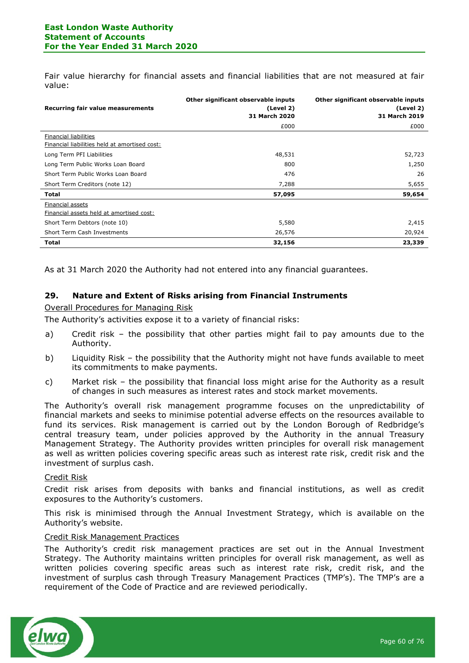Fair value hierarchy for financial assets and financial liabilities that are not measured at fair value:

| Recurring fair value measurements                                      | Other significant observable inputs<br>(Level 2)<br><b>31 March 2020</b> | Other significant observable inputs<br>(Level 2)<br>31 March 2019 |
|------------------------------------------------------------------------|--------------------------------------------------------------------------|-------------------------------------------------------------------|
|                                                                        | £000                                                                     | £000                                                              |
| Financial liabilities<br>Financial liabilities held at amortised cost: |                                                                          |                                                                   |
| Long Term PFI Liabilities                                              | 48,531                                                                   | 52,723                                                            |
| Long Term Public Works Loan Board                                      | 800                                                                      | 1,250                                                             |
| Short Term Public Works Loan Board                                     | 476                                                                      | 26                                                                |
| Short Term Creditors (note 12)                                         | 7,288                                                                    | 5,655                                                             |
| <b>Total</b>                                                           | 57,095                                                                   | 59,654                                                            |
| Financial assets<br>Financial assets held at amortised cost:           |                                                                          |                                                                   |
| Short Term Debtors (note 10)                                           | 5,580                                                                    | 2,415                                                             |
| Short Term Cash Investments                                            | 26,576                                                                   | 20,924                                                            |
| <b>Total</b>                                                           | 32,156                                                                   | 23,339                                                            |

As at 31 March 2020 the Authority had not entered into any financial guarantees.

## 29. Nature and Extent of Risks arising from Financial Instruments

### Overall Procedures for Managing Risk

The Authority's activities expose it to a variety of financial risks:

- a) Credit risk the possibility that other parties might fail to pay amounts due to the Authority.
- b) Liquidity Risk the possibility that the Authority might not have funds available to meet its commitments to make payments.
- c) Market risk the possibility that financial loss might arise for the Authority as a result of changes in such measures as interest rates and stock market movements.

The Authority's overall risk management programme focuses on the unpredictability of financial markets and seeks to minimise potential adverse effects on the resources available to fund its services. Risk management is carried out by the London Borough of Redbridge's central treasury team, under policies approved by the Authority in the annual Treasury Management Strategy. The Authority provides written principles for overall risk management as well as written policies covering specific areas such as interest rate risk, credit risk and the investment of surplus cash.

#### Credit Risk

Credit risk arises from deposits with banks and financial institutions, as well as credit exposures to the Authority's customers.

This risk is minimised through the Annual Investment Strategy, which is available on the Authority's website.

#### Credit Risk Management Practices

The Authority's credit risk management practices are set out in the Annual Investment Strategy. The Authority maintains written principles for overall risk management, as well as written policies covering specific areas such as interest rate risk, credit risk, and the investment of surplus cash through Treasury Management Practices (TMP's). The TMP's are a requirement of the Code of Practice and are reviewed periodically.

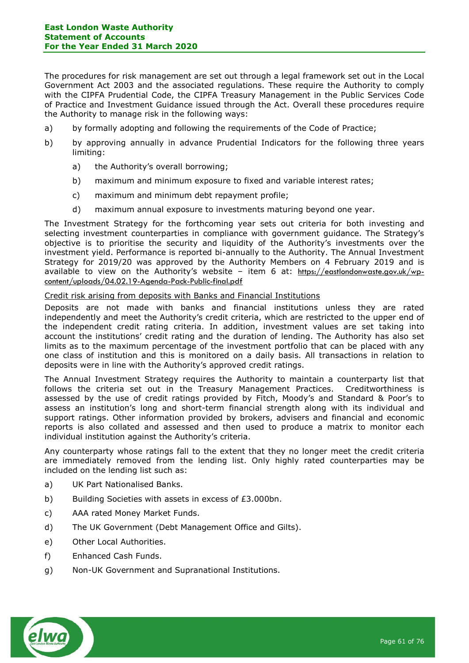The procedures for risk management are set out through a legal framework set out in the Local Government Act 2003 and the associated regulations. These require the Authority to comply with the CIPFA Prudential Code, the CIPFA Treasury Management in the Public Services Code of Practice and Investment Guidance issued through the Act. Overall these procedures require the Authority to manage risk in the following ways:

- a) by formally adopting and following the requirements of the Code of Practice;
- b) by approving annually in advance Prudential Indicators for the following three years limiting:
	- a) the Authority's overall borrowing;
	- b) maximum and minimum exposure to fixed and variable interest rates;
	- c) maximum and minimum debt repayment profile;
	- d) maximum annual exposure to investments maturing beyond one year.

The Investment Strategy for the forthcoming year sets out criteria for both investing and selecting investment counterparties in compliance with government guidance. The Strategy's objective is to prioritise the security and liquidity of the Authority's investments over the investment yield. Performance is reported bi-annually to the Authority. The Annual Investment Strategy for 2019/20 was approved by the Authority Members on 4 February 2019 and is available to view on the Authority's website – item 6 at: https://eastlondonwaste.gov.uk/wpcontent/uploads/04.02.19-Agenda-Pack-Public-final.pdf

## Credit risk arising from deposits with Banks and Financial Institutions

Deposits are not made with banks and financial institutions unless they are rated independently and meet the Authority's credit criteria, which are restricted to the upper end of the independent credit rating criteria. In addition, investment values are set taking into account the institutions' credit rating and the duration of lending. The Authority has also set limits as to the maximum percentage of the investment portfolio that can be placed with any one class of institution and this is monitored on a daily basis. All transactions in relation to deposits were in line with the Authority's approved credit ratings.

The Annual Investment Strategy requires the Authority to maintain a counterparty list that follows the criteria set out in the Treasury Management Practices. Creditworthiness is assessed by the use of credit ratings provided by Fitch, Moody's and Standard & Poor's to assess an institution's long and short-term financial strength along with its individual and support ratings. Other information provided by brokers, advisers and financial and economic reports is also collated and assessed and then used to produce a matrix to monitor each individual institution against the Authority's criteria.

Any counterparty whose ratings fall to the extent that they no longer meet the credit criteria are immediately removed from the lending list. Only highly rated counterparties may be included on the lending list such as:

- a) UK Part Nationalised Banks.
- b) Building Societies with assets in excess of £3.000bn.
- c) AAA rated Money Market Funds.
- d) The UK Government (Debt Management Office and Gilts).
- e) Other Local Authorities.
- f) Enhanced Cash Funds.
- g) Non-UK Government and Supranational Institutions.

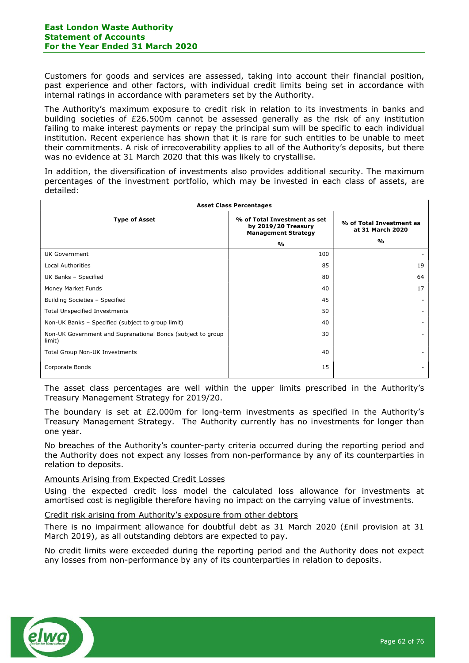Customers for goods and services are assessed, taking into account their financial position, past experience and other factors, with individual credit limits being set in accordance with internal ratings in accordance with parameters set by the Authority.

The Authority's maximum exposure to credit risk in relation to its investments in banks and building societies of £26.500m cannot be assessed generally as the risk of any institution failing to make interest payments or repay the principal sum will be specific to each individual institution. Recent experience has shown that it is rare for such entities to be unable to meet their commitments. A risk of irrecoverability applies to all of the Authority's deposits, but there was no evidence at 31 March 2020 that this was likely to crystallise.

In addition, the diversification of investments also provides additional security. The maximum percentages of the investment portfolio, which may be invested in each class of assets, are detailed:

| <b>Asset Class Percentages</b>                                        |                                                                                   |                                              |  |  |  |
|-----------------------------------------------------------------------|-----------------------------------------------------------------------------------|----------------------------------------------|--|--|--|
| <b>Type of Asset</b>                                                  | % of Total Investment as set<br>by 2019/20 Treasury<br><b>Management Strategy</b> | % of Total Investment as<br>at 31 March 2020 |  |  |  |
|                                                                       | $\frac{9}{0}$                                                                     | %                                            |  |  |  |
| UK Government                                                         | 100                                                                               |                                              |  |  |  |
| <b>Local Authorities</b>                                              | 85                                                                                | 19                                           |  |  |  |
| UK Banks - Specified                                                  | 80                                                                                | 64                                           |  |  |  |
| Money Market Funds                                                    | 40                                                                                | 17                                           |  |  |  |
| Building Societies - Specified                                        | 45                                                                                |                                              |  |  |  |
| <b>Total Unspecified Investments</b>                                  | 50                                                                                |                                              |  |  |  |
| Non-UK Banks - Specified (subject to group limit)                     | 40                                                                                |                                              |  |  |  |
| Non-UK Government and Supranational Bonds (subject to group<br>limit) | 30                                                                                | ۰.                                           |  |  |  |
| Total Group Non-UK Investments                                        | 40                                                                                |                                              |  |  |  |
| Corporate Bonds                                                       | 15                                                                                |                                              |  |  |  |

The asset class percentages are well within the upper limits prescribed in the Authority's Treasury Management Strategy for 2019/20.

The boundary is set at  $E2.000m$  for long-term investments as specified in the Authority's Treasury Management Strategy. The Authority currently has no investments for longer than one year.

No breaches of the Authority's counter-party criteria occurred during the reporting period and the Authority does not expect any losses from non-performance by any of its counterparties in relation to deposits.

## Amounts Arising from Expected Credit Losses

Using the expected credit loss model the calculated loss allowance for investments at amortised cost is negligible therefore having no impact on the carrying value of investments.

## Credit risk arising from Authority's exposure from other debtors

There is no impairment allowance for doubtful debt as 31 March 2020 (£nil provision at 31 March 2019), as all outstanding debtors are expected to pay.

No credit limits were exceeded during the reporting period and the Authority does not expect any losses from non-performance by any of its counterparties in relation to deposits.

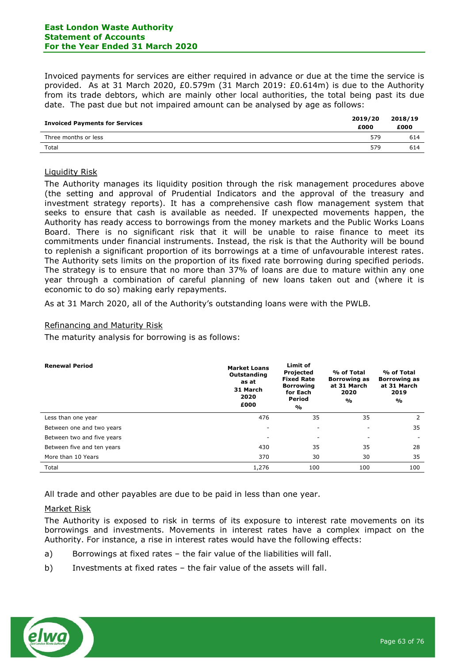Invoiced payments for services are either required in advance or due at the time the service is provided. As at 31 March 2020, £0.579m (31 March 2019: £0.614m) is due to the Authority from its trade debtors, which are mainly other local authorities, the total being past its due date. The past due but not impaired amount can be analysed by age as follows:

| <b>Invoiced Payments for Services</b> | 2019/20<br>£000 | 2018/19<br>£000 |
|---------------------------------------|-----------------|-----------------|
| Three months or less                  | 579             | 614             |
| Total                                 | 579             | 614             |

### Liquidity Risk

The Authority manages its liquidity position through the risk management procedures above (the setting and approval of Prudential Indicators and the approval of the treasury and investment strategy reports). It has a comprehensive cash flow management system that seeks to ensure that cash is available as needed. If unexpected movements happen, the Authority has ready access to borrowings from the money markets and the Public Works Loans Board. There is no significant risk that it will be unable to raise finance to meet its commitments under financial instruments. Instead, the risk is that the Authority will be bound to replenish a significant proportion of its borrowings at a time of unfavourable interest rates. The Authority sets limits on the proportion of its fixed rate borrowing during specified periods. The strategy is to ensure that no more than 37% of loans are due to mature within any one year through a combination of careful planning of new loans taken out and (where it is economic to do so) making early repayments.

As at 31 March 2020, all of the Authority's outstanding loans were with the PWLB.

### Refinancing and Maturity Risk

The maturity analysis for borrowing is as follows:

| <b>Renewal Period</b>      | <b>Market Loans</b><br>Outstanding<br>as at<br>31 March<br>2020<br>£000 | Limit of<br>Projected<br><b>Fixed Rate</b><br><b>Borrowing</b><br>for Each<br>Period<br>% | % of Total<br><b>Borrowing as</b><br>at 31 March<br>2020<br>$\mathbf{O}/\mathbf{O}$ | % of Total<br><b>Borrowing as</b><br>at 31 March<br>2019<br>% |
|----------------------------|-------------------------------------------------------------------------|-------------------------------------------------------------------------------------------|-------------------------------------------------------------------------------------|---------------------------------------------------------------|
| Less than one year         | 476                                                                     | 35                                                                                        | 35                                                                                  | 2                                                             |
| Between one and two years  |                                                                         |                                                                                           | ۰.                                                                                  | 35                                                            |
| Between two and five years | ۰                                                                       | ۰                                                                                         | ٠                                                                                   |                                                               |
| Between five and ten years | 430                                                                     | 35                                                                                        | 35                                                                                  | 28                                                            |
| More than 10 Years         | 370                                                                     | 30                                                                                        | 30                                                                                  | 35                                                            |
| Total                      | 1,276                                                                   | 100                                                                                       | 100                                                                                 | 100                                                           |

All trade and other payables are due to be paid in less than one year.

## Market Risk

The Authority is exposed to risk in terms of its exposure to interest rate movements on its borrowings and investments. Movements in interest rates have a complex impact on the Authority. For instance, a rise in interest rates would have the following effects:

- a) Borrowings at fixed rates the fair value of the liabilities will fall.
- b) Investments at fixed rates the fair value of the assets will fall.

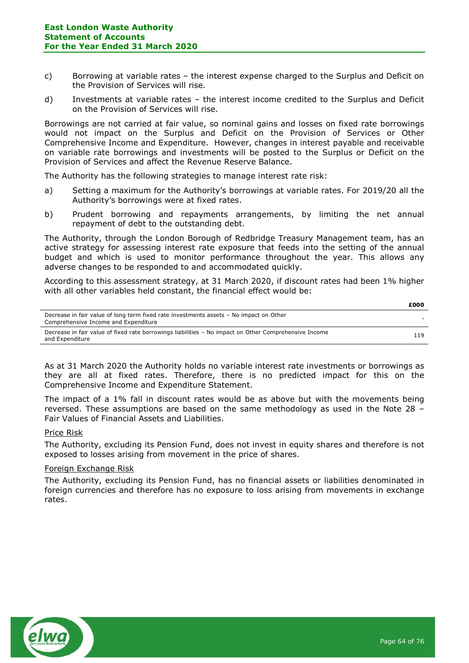- c) Borrowing at variable rates the interest expense charged to the Surplus and Deficit on the Provision of Services will rise.
- d) Investments at variable rates the interest income credited to the Surplus and Deficit on the Provision of Services will rise.

Borrowings are not carried at fair value, so nominal gains and losses on fixed rate borrowings would not impact on the Surplus and Deficit on the Provision of Services or Other Comprehensive Income and Expenditure. However, changes in interest payable and receivable on variable rate borrowings and investments will be posted to the Surplus or Deficit on the Provision of Services and affect the Revenue Reserve Balance.

The Authority has the following strategies to manage interest rate risk:

- a) Setting a maximum for the Authority's borrowings at variable rates. For 2019/20 all the Authority's borrowings were at fixed rates.
- b) Prudent borrowing and repayments arrangements, by limiting the net annual repayment of debt to the outstanding debt.

The Authority, through the London Borough of Redbridge Treasury Management team, has an active strategy for assessing interest rate exposure that feeds into the setting of the annual budget and which is used to monitor performance throughout the year. This allows any adverse changes to be responded to and accommodated quickly.

According to this assessment strategy, at 31 March 2020, if discount rates had been 1% higher with all other variables held constant, the financial effect would be:

|                                                                                                                                | £000 |
|--------------------------------------------------------------------------------------------------------------------------------|------|
| Decrease in fair value of long term fixed rate investments assets - No impact on Other<br>Comprehensive Income and Expenditure |      |
| Decrease in fair value of fixed rate borrowings liabilities - No impact on Other Comprehensive Income<br>and Expenditure       | 119  |

As at 31 March 2020 the Authority holds no variable interest rate investments or borrowings as they are all at fixed rates. Therefore, there is no predicted impact for this on the Comprehensive Income and Expenditure Statement.

The impact of a 1% fall in discount rates would be as above but with the movements being reversed. These assumptions are based on the same methodology as used in the Note 28 – Fair Values of Financial Assets and Liabilities.

## Price Risk

The Authority, excluding its Pension Fund, does not invest in equity shares and therefore is not exposed to losses arising from movement in the price of shares.

### Foreign Exchange Risk

The Authority, excluding its Pension Fund, has no financial assets or liabilities denominated in foreign currencies and therefore has no exposure to loss arising from movements in exchange rates.

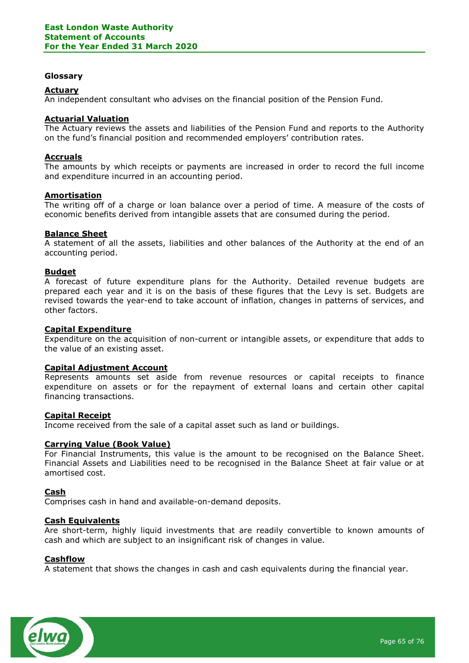### Glossary

### Actuary

An independent consultant who advises on the financial position of the Pension Fund.

### Actuarial Valuation

The Actuary reviews the assets and liabilities of the Pension Fund and reports to the Authority on the fund's financial position and recommended employers' contribution rates.

### Accruals

The amounts by which receipts or payments are increased in order to record the full income and expenditure incurred in an accounting period.

### **Amortisation**

The writing off of a charge or loan balance over a period of time. A measure of the costs of economic benefits derived from intangible assets that are consumed during the period.

### Balance Sheet

A statement of all the assets, liabilities and other balances of the Authority at the end of an accounting period.

### **Budget**

A forecast of future expenditure plans for the Authority. Detailed revenue budgets are prepared each year and it is on the basis of these figures that the Levy is set. Budgets are revised towards the year-end to take account of inflation, changes in patterns of services, and other factors.

### Capital Expenditure

Expenditure on the acquisition of non-current or intangible assets, or expenditure that adds to the value of an existing asset.

#### Capital Adjustment Account

Represents amounts set aside from revenue resources or capital receipts to finance expenditure on assets or for the repayment of external loans and certain other capital financing transactions.

#### Capital Receipt

Income received from the sale of a capital asset such as land or buildings.

### Carrying Value (Book Value)

For Financial Instruments, this value is the amount to be recognised on the Balance Sheet. Financial Assets and Liabilities need to be recognised in the Balance Sheet at fair value or at amortised cost.

#### Cash

Comprises cash in hand and available-on-demand deposits.

#### Cash Equivalents

Are short-term, highly liquid investments that are readily convertible to known amounts of cash and which are subject to an insignificant risk of changes in value.

#### Cashflow

A statement that shows the changes in cash and cash equivalents during the financial year.

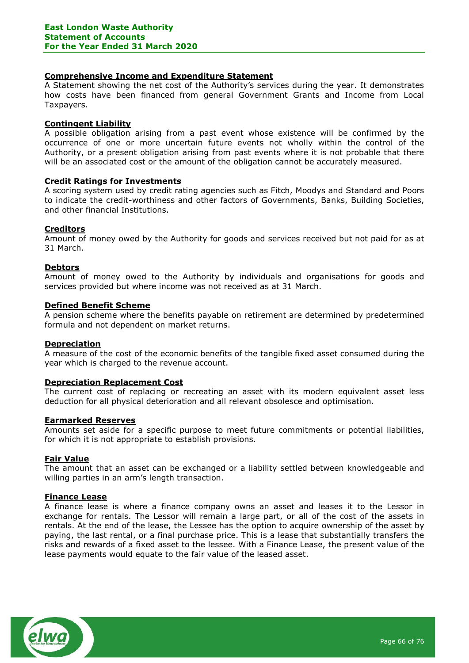## Comprehensive Income and Expenditure Statement

A Statement showing the net cost of the Authority's services during the year. It demonstrates how costs have been financed from general Government Grants and Income from Local Taxpayers.

### Contingent Liability

A possible obligation arising from a past event whose existence will be confirmed by the occurrence of one or more uncertain future events not wholly within the control of the Authority, or a present obligation arising from past events where it is not probable that there will be an associated cost or the amount of the obligation cannot be accurately measured.

## Credit Ratings for Investments

A scoring system used by credit rating agencies such as Fitch, Moodys and Standard and Poors to indicate the credit-worthiness and other factors of Governments, Banks, Building Societies, and other financial Institutions.

### **Creditors**

Amount of money owed by the Authority for goods and services received but not paid for as at 31 March.

### **Debtors**

Amount of money owed to the Authority by individuals and organisations for goods and services provided but where income was not received as at 31 March.

#### Defined Benefit Scheme

A pension scheme where the benefits payable on retirement are determined by predetermined formula and not dependent on market returns.

#### **Depreciation**

A measure of the cost of the economic benefits of the tangible fixed asset consumed during the year which is charged to the revenue account.

## Depreciation Replacement Cost

The current cost of replacing or recreating an asset with its modern equivalent asset less deduction for all physical deterioration and all relevant obsolesce and optimisation.

#### Earmarked Reserves

Amounts set aside for a specific purpose to meet future commitments or potential liabilities, for which it is not appropriate to establish provisions.

#### Fair Value

The amount that an asset can be exchanged or a liability settled between knowledgeable and willing parties in an arm's length transaction.

#### Finance Lease

A finance lease is where a finance company owns an asset and leases it to the Lessor in exchange for rentals. The Lessor will remain a large part, or all of the cost of the assets in rentals. At the end of the lease, the Lessee has the option to acquire ownership of the asset by paying, the last rental, or a final purchase price. This is a lease that substantially transfers the risks and rewards of a fixed asset to the lessee. With a Finance Lease, the present value of the lease payments would equate to the fair value of the leased asset.

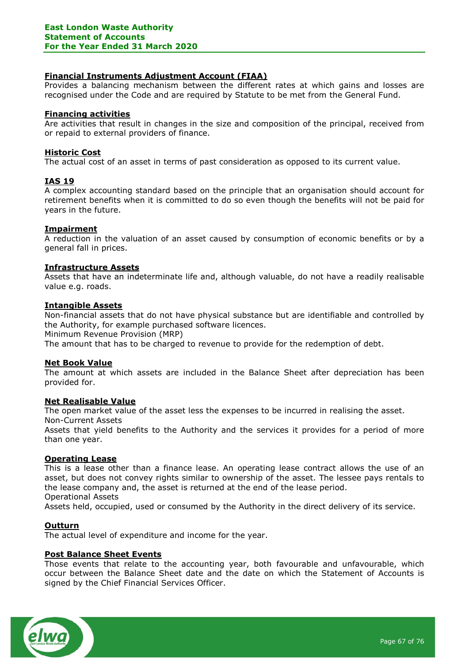## Financial Instruments Adjustment Account (FIAA)

Provides a balancing mechanism between the different rates at which gains and losses are recognised under the Code and are required by Statute to be met from the General Fund.

## Financing activities

Are activities that result in changes in the size and composition of the principal, received from or repaid to external providers of finance.

## Historic Cost

The actual cost of an asset in terms of past consideration as opposed to its current value.

## IAS 19

A complex accounting standard based on the principle that an organisation should account for retirement benefits when it is committed to do so even though the benefits will not be paid for years in the future.

## Impairment

A reduction in the valuation of an asset caused by consumption of economic benefits or by a general fall in prices.

## Infrastructure Assets

Assets that have an indeterminate life and, although valuable, do not have a readily realisable value e.g. roads.

### Intangible Assets

Non-financial assets that do not have physical substance but are identifiable and controlled by the Authority, for example purchased software licences.

Minimum Revenue Provision (MRP)

The amount that has to be charged to revenue to provide for the redemption of debt.

## Net Book Value

The amount at which assets are included in the Balance Sheet after depreciation has been provided for.

## Net Realisable Value

The open market value of the asset less the expenses to be incurred in realising the asset.

Non-Current Assets

Assets that yield benefits to the Authority and the services it provides for a period of more than one year.

#### Operating Lease

This is a lease other than a finance lease. An operating lease contract allows the use of an asset, but does not convey rights similar to ownership of the asset. The lessee pays rentals to the lease company and, the asset is returned at the end of the lease period. Operational Assets

Assets held, occupied, used or consumed by the Authority in the direct delivery of its service.

## **Outturn**

The actual level of expenditure and income for the year.

## Post Balance Sheet Events

Those events that relate to the accounting year, both favourable and unfavourable, which occur between the Balance Sheet date and the date on which the Statement of Accounts is signed by the Chief Financial Services Officer.

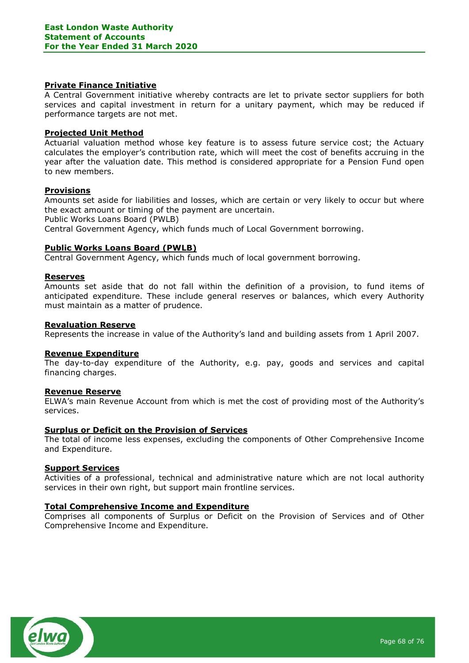## Private Finance Initiative

A Central Government initiative whereby contracts are let to private sector suppliers for both services and capital investment in return for a unitary payment, which may be reduced if performance targets are not met.

### Projected Unit Method

Actuarial valuation method whose key feature is to assess future service cost; the Actuary calculates the employer's contribution rate, which will meet the cost of benefits accruing in the year after the valuation date. This method is considered appropriate for a Pension Fund open to new members.

### **Provisions**

Amounts set aside for liabilities and losses, which are certain or very likely to occur but where the exact amount or timing of the payment are uncertain. Public Works Loans Board (PWLB) Central Government Agency, which funds much of Local Government borrowing.

### Public Works Loans Board (PWLB)

Central Government Agency, which funds much of local government borrowing.

#### Reserves

Amounts set aside that do not fall within the definition of a provision, to fund items of anticipated expenditure. These include general reserves or balances, which every Authority must maintain as a matter of prudence.

#### Revaluation Reserve

Represents the increase in value of the Authority's land and building assets from 1 April 2007.

#### Revenue Expenditure

The day-to-day expenditure of the Authority, e.g. pay, goods and services and capital financing charges.

### Revenue Reserve

ELWA's main Revenue Account from which is met the cost of providing most of the Authority's services.

### Surplus or Deficit on the Provision of Services

The total of income less expenses, excluding the components of Other Comprehensive Income and Expenditure.

#### Support Services

Activities of a professional, technical and administrative nature which are not local authority services in their own right, but support main frontline services.

#### Total Comprehensive Income and Expenditure

Comprises all components of Surplus or Deficit on the Provision of Services and of Other Comprehensive Income and Expenditure.

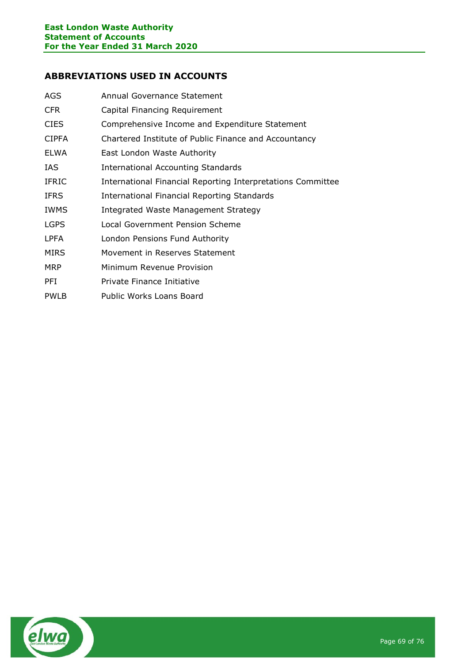# ABBREVIATIONS USED IN ACCOUNTS

| AGS          | Annual Governance Statement                                 |
|--------------|-------------------------------------------------------------|
| <b>CFR</b>   | Capital Financing Requirement                               |
| <b>CIES</b>  | Comprehensive Income and Expenditure Statement              |
| <b>CIPFA</b> | Chartered Institute of Public Finance and Accountancy       |
| <b>ELWA</b>  | East London Waste Authority                                 |
| IAS.         | International Accounting Standards                          |
| <b>IFRIC</b> | International Financial Reporting Interpretations Committee |
| <b>IFRS</b>  | International Financial Reporting Standards                 |
| <b>IWMS</b>  | Integrated Waste Management Strategy                        |
| <b>LGPS</b>  | Local Government Pension Scheme                             |
| <b>LPFA</b>  | London Pensions Fund Authority                              |
| <b>MIRS</b>  | Movement in Reserves Statement                              |
| <b>MRP</b>   | Minimum Revenue Provision                                   |
| PFI          | Private Finance Initiative                                  |
| <b>PWLB</b>  | Public Works Loans Board                                    |

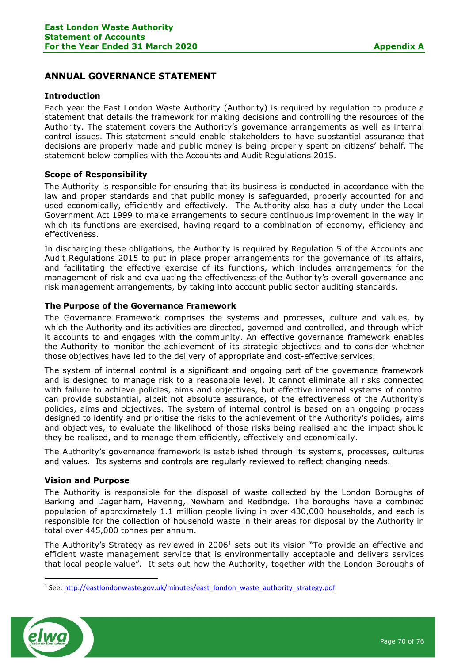# ANNUAL GOVERNANCE STATEMENT

## Introduction

Each year the East London Waste Authority (Authority) is required by regulation to produce a statement that details the framework for making decisions and controlling the resources of the Authority. The statement covers the Authority's governance arrangements as well as internal control issues. This statement should enable stakeholders to have substantial assurance that decisions are properly made and public money is being properly spent on citizens' behalf. The statement below complies with the Accounts and Audit Regulations 2015.

## Scope of Responsibility

The Authority is responsible for ensuring that its business is conducted in accordance with the law and proper standards and that public money is safeguarded, properly accounted for and used economically, efficiently and effectively. The Authority also has a duty under the Local Government Act 1999 to make arrangements to secure continuous improvement in the way in which its functions are exercised, having regard to a combination of economy, efficiency and effectiveness.

In discharging these obligations, the Authority is required by Regulation 5 of the Accounts and Audit Regulations 2015 to put in place proper arrangements for the governance of its affairs, and facilitating the effective exercise of its functions, which includes arrangements for the management of risk and evaluating the effectiveness of the Authority's overall governance and risk management arrangements, by taking into account public sector auditing standards.

## The Purpose of the Governance Framework

The Governance Framework comprises the systems and processes, culture and values, by which the Authority and its activities are directed, governed and controlled, and through which it accounts to and engages with the community. An effective governance framework enables the Authority to monitor the achievement of its strategic objectives and to consider whether those objectives have led to the delivery of appropriate and cost-effective services.

The system of internal control is a significant and ongoing part of the governance framework and is designed to manage risk to a reasonable level. It cannot eliminate all risks connected with failure to achieve policies, aims and objectives, but effective internal systems of control can provide substantial, albeit not absolute assurance, of the effectiveness of the Authority's policies, aims and objectives. The system of internal control is based on an ongoing process designed to identify and prioritise the risks to the achievement of the Authority's policies, aims and objectives, to evaluate the likelihood of those risks being realised and the impact should they be realised, and to manage them efficiently, effectively and economically.

The Authority's governance framework is established through its systems, processes, cultures and values. Its systems and controls are regularly reviewed to reflect changing needs.

#### Vision and Purpose

The Authority is responsible for the disposal of waste collected by the London Boroughs of Barking and Dagenham, Havering, Newham and Redbridge. The boroughs have a combined population of approximately 1.1 million people living in over 430,000 households, and each is responsible for the collection of household waste in their areas for disposal by the Authority in total over 445,000 tonnes per annum.

The Authority's Strategy as reviewed in 2006<sup>1</sup> sets out its vision "To provide an effective and efficient waste management service that is environmentally acceptable and delivers services that local people value". It sets out how the Authority, together with the London Boroughs of

<sup>&</sup>lt;sup>1</sup> See: http://eastlondonwaste.gov.uk/minutes/east\_london\_waste\_authority\_strategy.pdf



-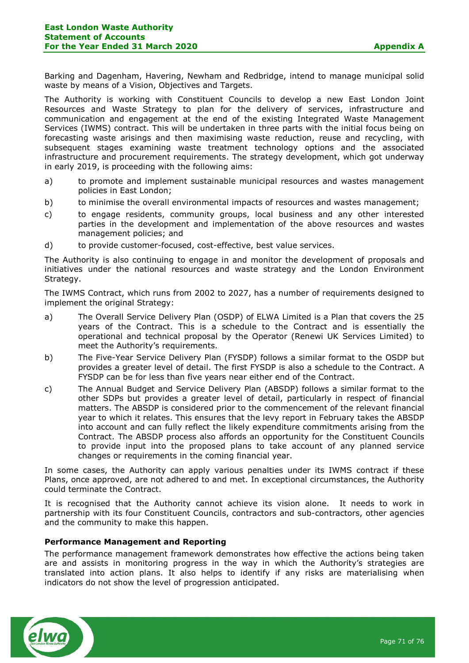Barking and Dagenham, Havering, Newham and Redbridge, intend to manage municipal solid waste by means of a Vision, Objectives and Targets.

The Authority is working with Constituent Councils to develop a new East London Joint Resources and Waste Strategy to plan for the delivery of services, infrastructure and communication and engagement at the end of the existing Integrated Waste Management Services (IWMS) contract. This will be undertaken in three parts with the initial focus being on forecasting waste arisings and then maximising waste reduction, reuse and recycling, with subsequent stages examining waste treatment technology options and the associated infrastructure and procurement requirements. The strategy development, which got underway in early 2019, is proceeding with the following aims:

- a) to promote and implement sustainable municipal resources and wastes management policies in East London;
- b) to minimise the overall environmental impacts of resources and wastes management;
- c) to engage residents, community groups, local business and any other interested parties in the development and implementation of the above resources and wastes management policies; and
- d) to provide customer-focused, cost-effective, best value services.

The Authority is also continuing to engage in and monitor the development of proposals and initiatives under the national resources and waste strategy and the London Environment Strategy.

The IWMS Contract, which runs from 2002 to 2027, has a number of requirements designed to implement the original Strategy:

- a) The Overall Service Delivery Plan (OSDP) of ELWA Limited is a Plan that covers the 25 years of the Contract. This is a schedule to the Contract and is essentially the operational and technical proposal by the Operator (Renewi UK Services Limited) to meet the Authority's requirements.
- b) The Five-Year Service Delivery Plan (FYSDP) follows a similar format to the OSDP but provides a greater level of detail. The first FYSDP is also a schedule to the Contract. A FYSDP can be for less than five years near either end of the Contract.
- c) The Annual Budget and Service Delivery Plan (ABSDP) follows a similar format to the other SDPs but provides a greater level of detail, particularly in respect of financial matters. The ABSDP is considered prior to the commencement of the relevant financial year to which it relates. This ensures that the levy report in February takes the ABSDP into account and can fully reflect the likely expenditure commitments arising from the Contract. The ABSDP process also affords an opportunity for the Constituent Councils to provide input into the proposed plans to take account of any planned service changes or requirements in the coming financial year.

In some cases, the Authority can apply various penalties under its IWMS contract if these Plans, once approved, are not adhered to and met. In exceptional circumstances, the Authority could terminate the Contract.

It is recognised that the Authority cannot achieve its vision alone. It needs to work in partnership with its four Constituent Councils, contractors and sub-contractors, other agencies and the community to make this happen.

## Performance Management and Reporting

The performance management framework demonstrates how effective the actions being taken are and assists in monitoring progress in the way in which the Authority's strategies are translated into action plans. It also helps to identify if any risks are materialising when indicators do not show the level of progression anticipated.

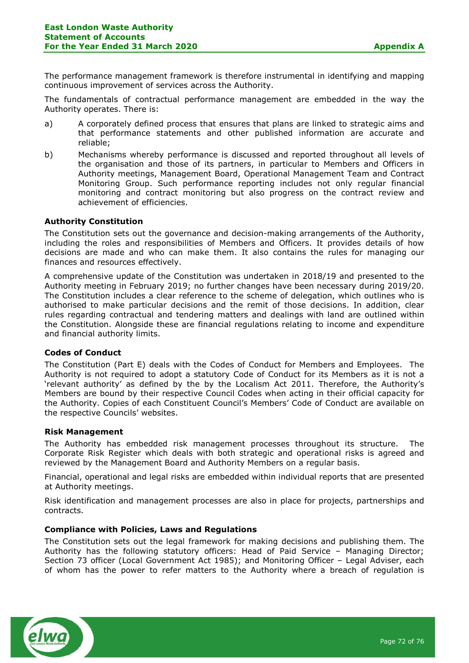The performance management framework is therefore instrumental in identifying and mapping continuous improvement of services across the Authority.

The fundamentals of contractual performance management are embedded in the way the Authority operates. There is:

- a) A corporately defined process that ensures that plans are linked to strategic aims and that performance statements and other published information are accurate and reliable;
- b) Mechanisms whereby performance is discussed and reported throughout all levels of the organisation and those of its partners, in particular to Members and Officers in Authority meetings, Management Board, Operational Management Team and Contract Monitoring Group. Such performance reporting includes not only regular financial monitoring and contract monitoring but also progress on the contract review and achievement of efficiencies.

## Authority Constitution

The Constitution sets out the governance and decision-making arrangements of the Authority, including the roles and responsibilities of Members and Officers. It provides details of how decisions are made and who can make them. It also contains the rules for managing our finances and resources effectively.

A comprehensive update of the Constitution was undertaken in 2018/19 and presented to the Authority meeting in February 2019; no further changes have been necessary during 2019/20. The Constitution includes a clear reference to the scheme of delegation, which outlines who is authorised to make particular decisions and the remit of those decisions. In addition, clear rules regarding contractual and tendering matters and dealings with land are outlined within the Constitution. Alongside these are financial regulations relating to income and expenditure and financial authority limits.

#### Codes of Conduct

The Constitution (Part E) deals with the Codes of Conduct for Members and Employees. The Authority is not required to adopt a statutory Code of Conduct for its Members as it is not a 'relevant authority' as defined by the by the Localism Act 2011. Therefore, the Authority's Members are bound by their respective Council Codes when acting in their official capacity for the Authority. Copies of each Constituent Council's Members' Code of Conduct are available on the respective Councils' websites.

#### Risk Management

The Authority has embedded risk management processes throughout its structure. The Corporate Risk Register which deals with both strategic and operational risks is agreed and reviewed by the Management Board and Authority Members on a regular basis.

Financial, operational and legal risks are embedded within individual reports that are presented at Authority meetings.

Risk identification and management processes are also in place for projects, partnerships and contracts.

## Compliance with Policies, Laws and Regulations

The Constitution sets out the legal framework for making decisions and publishing them. The Authority has the following statutory officers: Head of Paid Service – Managing Director; Section 73 officer (Local Government Act 1985); and Monitoring Officer – Legal Adviser, each of whom has the power to refer matters to the Authority where a breach of regulation is

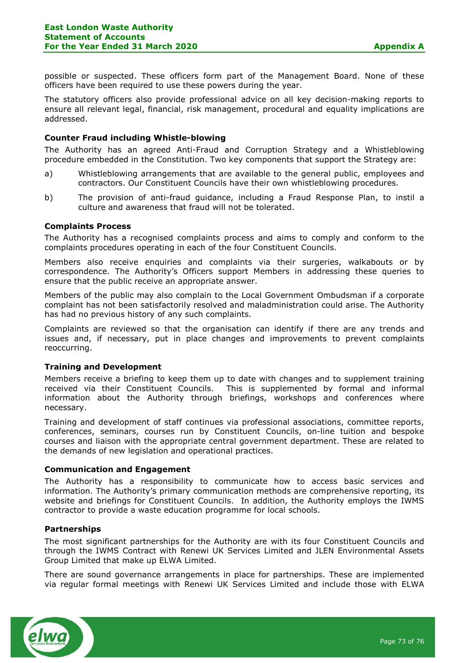possible or suspected. These officers form part of the Management Board. None of these officers have been required to use these powers during the year.

The statutory officers also provide professional advice on all key decision-making reports to ensure all relevant legal, financial, risk management, procedural and equality implications are addressed.

## Counter Fraud including Whistle-blowing

The Authority has an agreed Anti-Fraud and Corruption Strategy and a Whistleblowing procedure embedded in the Constitution. Two key components that support the Strategy are:

- a) Whistleblowing arrangements that are available to the general public, employees and contractors. Our Constituent Councils have their own whistleblowing procedures.
- b) The provision of anti-fraud guidance, including a Fraud Response Plan, to instil a culture and awareness that fraud will not be tolerated.

# Complaints Process

The Authority has a recognised complaints process and aims to comply and conform to the complaints procedures operating in each of the four Constituent Councils.

Members also receive enquiries and complaints via their surgeries, walkabouts or by correspondence. The Authority's Officers support Members in addressing these queries to ensure that the public receive an appropriate answer.

Members of the public may also complain to the Local Government Ombudsman if a corporate complaint has not been satisfactorily resolved and maladministration could arise. The Authority has had no previous history of any such complaints.

Complaints are reviewed so that the organisation can identify if there are any trends and issues and, if necessary, put in place changes and improvements to prevent complaints reoccurring.

## Training and Development

Members receive a briefing to keep them up to date with changes and to supplement training received via their Constituent Councils. This is supplemented by formal and informal information about the Authority through briefings, workshops and conferences where necessary.

Training and development of staff continues via professional associations, committee reports, conferences, seminars, courses run by Constituent Councils, on-line tuition and bespoke courses and liaison with the appropriate central government department. These are related to the demands of new legislation and operational practices.

#### Communication and Engagement

The Authority has a responsibility to communicate how to access basic services and information. The Authority's primary communication methods are comprehensive reporting, its website and briefings for Constituent Councils. In addition, the Authority employs the IWMS contractor to provide a waste education programme for local schools.

#### Partnerships

The most significant partnerships for the Authority are with its four Constituent Councils and through the IWMS Contract with Renewi UK Services Limited and JLEN Environmental Assets Group Limited that make up ELWA Limited.

There are sound governance arrangements in place for partnerships. These are implemented via regular formal meetings with Renewi UK Services Limited and include those with ELWA

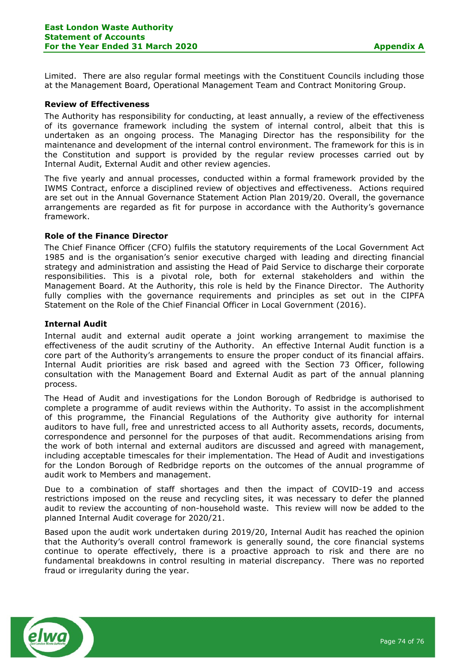Limited. There are also regular formal meetings with the Constituent Councils including those at the Management Board, Operational Management Team and Contract Monitoring Group.

#### Review of Effectiveness

The Authority has responsibility for conducting, at least annually, a review of the effectiveness of its governance framework including the system of internal control, albeit that this is undertaken as an ongoing process. The Managing Director has the responsibility for the maintenance and development of the internal control environment. The framework for this is in the Constitution and support is provided by the regular review processes carried out by Internal Audit, External Audit and other review agencies.

The five yearly and annual processes, conducted within a formal framework provided by the IWMS Contract, enforce a disciplined review of objectives and effectiveness. Actions required are set out in the Annual Governance Statement Action Plan 2019/20. Overall, the governance arrangements are regarded as fit for purpose in accordance with the Authority's governance framework.

### Role of the Finance Director

The Chief Finance Officer (CFO) fulfils the statutory requirements of the Local Government Act 1985 and is the organisation's senior executive charged with leading and directing financial strategy and administration and assisting the Head of Paid Service to discharge their corporate responsibilities. This is a pivotal role, both for external stakeholders and within the Management Board. At the Authority, this role is held by the Finance Director. The Authority fully complies with the governance requirements and principles as set out in the CIPFA Statement on the Role of the Chief Financial Officer in Local Government (2016).

### Internal Audit

Internal audit and external audit operate a joint working arrangement to maximise the effectiveness of the audit scrutiny of the Authority. An effective Internal Audit function is a core part of the Authority's arrangements to ensure the proper conduct of its financial affairs. Internal Audit priorities are risk based and agreed with the Section 73 Officer, following consultation with the Management Board and External Audit as part of the annual planning process.

The Head of Audit and investigations for the London Borough of Redbridge is authorised to complete a programme of audit reviews within the Authority. To assist in the accomplishment of this programme, the Financial Regulations of the Authority give authority for internal auditors to have full, free and unrestricted access to all Authority assets, records, documents, correspondence and personnel for the purposes of that audit. Recommendations arising from the work of both internal and external auditors are discussed and agreed with management, including acceptable timescales for their implementation. The Head of Audit and investigations for the London Borough of Redbridge reports on the outcomes of the annual programme of audit work to Members and management.

Due to a combination of staff shortages and then the impact of COVID-19 and access restrictions imposed on the reuse and recycling sites, it was necessary to defer the planned audit to review the accounting of non-household waste. This review will now be added to the planned Internal Audit coverage for 2020/21.

Based upon the audit work undertaken during 2019/20, Internal Audit has reached the opinion that the Authority's overall control framework is generally sound, the core financial systems continue to operate effectively, there is a proactive approach to risk and there are no fundamental breakdowns in control resulting in material discrepancy. There was no reported fraud or irregularity during the year.

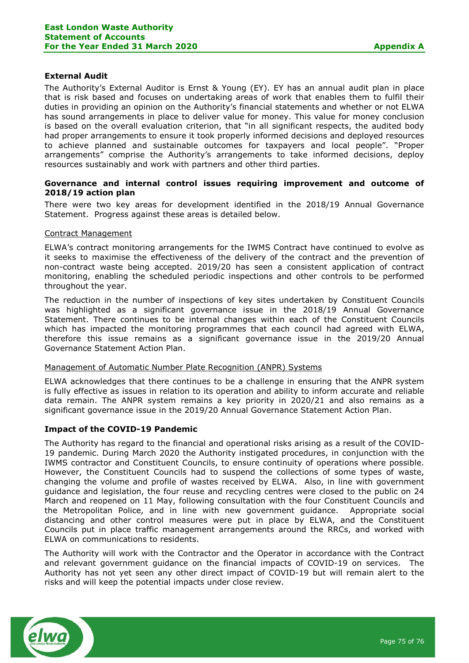# External Audit

The Authority's External Auditor is Ernst & Young (EY). EY has an annual audit plan in place that is risk based and focuses on undertaking areas of work that enables them to fulfil their duties in providing an opinion on the Authority's financial statements and whether or not ELWA has sound arrangements in place to deliver value for money. This value for money conclusion is based on the overall evaluation criterion, that "in all significant respects, the audited body had proper arrangements to ensure it took properly informed decisions and deployed resources to achieve planned and sustainable outcomes for taxpayers and local people". "Proper arrangements" comprise the Authority's arrangements to take informed decisions, deploy resources sustainably and work with partners and other third parties.

## Governance and internal control issues requiring improvement and outcome of 2018/19 action plan

There were two key areas for development identified in the 2018/19 Annual Governance Statement. Progress against these areas is detailed below.

### Contract Management

ELWA's contract monitoring arrangements for the IWMS Contract have continued to evolve as it seeks to maximise the effectiveness of the delivery of the contract and the prevention of non-contract waste being accepted. 2019/20 has seen a consistent application of contract monitoring, enabling the scheduled periodic inspections and other controls to be performed throughout the year.

The reduction in the number of inspections of key sites undertaken by Constituent Councils was highlighted as a significant governance issue in the 2018/19 Annual Governance Statement. There continues to be internal changes within each of the Constituent Councils which has impacted the monitoring programmes that each council had agreed with ELWA, therefore this issue remains as a significant governance issue in the 2019/20 Annual Governance Statement Action Plan.

#### Management of Automatic Number Plate Recognition (ANPR) Systems

ELWA acknowledges that there continues to be a challenge in ensuring that the ANPR system is fully effective as issues in relation to its operation and ability to inform accurate and reliable data remain. The ANPR system remains a key priority in 2020/21 and also remains as a significant governance issue in the 2019/20 Annual Governance Statement Action Plan.

## Impact of the COVID-19 Pandemic

The Authority has regard to the financial and operational risks arising as a result of the COVID-19 pandemic. During March 2020 the Authority instigated procedures, in conjunction with the IWMS contractor and Constituent Councils, to ensure continuity of operations where possible. However, the Constituent Councils had to suspend the collections of some types of waste, changing the volume and profile of wastes received by ELWA. Also, in line with government guidance and legislation, the four reuse and recycling centres were closed to the public on 24 March and reopened on 11 May, following consultation with the four Constituent Councils and the Metropolitan Police, and in line with new government guidance. Appropriate social distancing and other control measures were put in place by ELWA, and the Constituent Councils put in place traffic management arrangements around the RRCs, and worked with ELWA on communications to residents.

The Authority will work with the Contractor and the Operator in accordance with the Contract and relevant government guidance on the financial impacts of COVID-19 on services. The Authority has not yet seen any other direct impact of COVID-19 but will remain alert to the risks and will keep the potential impacts under close review.